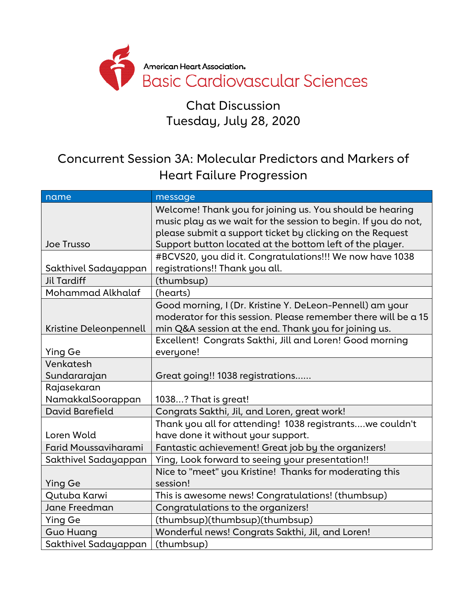

#### Chat Discussion Tuesday, July 28, 2020

### Concurrent Session 3A: Molecular Predictors and Markers of Heart Failure Progression

| name                        | message                                                        |
|-----------------------------|----------------------------------------------------------------|
|                             | Welcome! Thank you for joining us. You should be hearing       |
|                             | music play as we wait for the session to begin. If you do not, |
|                             | please submit a support ticket by clicking on the Request      |
| Joe Trusso                  | Support button located at the bottom left of the player.       |
|                             | #BCVS20, you did it. Congratulations!!! We now have 1038       |
| Sakthivel Sadayappan        | registrations!! Thank you all.                                 |
| <b>Jil Tardiff</b>          | (thumbsup)                                                     |
| Mohammad Alkhalaf           | (hearts)                                                       |
|                             | Good morning, I (Dr. Kristine Y. DeLeon-Pennell) am your       |
|                             | moderator for this session. Please remember there will be a 15 |
| Kristine Deleonpennell      | min Q&A session at the end. Thank you for joining us.          |
|                             | Excellent! Congrats Sakthi, Jill and Loren! Good morning       |
| <b>Ying Ge</b>              | everyone!                                                      |
| Venkatesh                   |                                                                |
| Sundararajan                | Great going!! 1038 registrations                               |
| Rajasekaran                 |                                                                |
| NamakkalSoorappan           | 1038? That is great!                                           |
| <b>David Barefield</b>      | Congrats Sakthi, Jil, and Loren, great work!                   |
|                             | Thank you all for attending! 1038 registrantswe couldn't       |
| Loren Wold                  | have done it without your support.                             |
| <b>Farid Moussaviharami</b> | Fantastic achievement! Great job by the organizers!            |
| Sakthivel Sadayappan        | Ying, Look forward to seeing your presentation!!               |
|                             | Nice to "meet" you Kristine! Thanks for moderating this        |
| <b>Ying Ge</b>              | session!                                                       |
| Qutuba Karwi                | This is awesome news! Congratulations! (thumbsup)              |
| Jane Freedman               | Congratulations to the organizers!                             |
| Ying Ge                     | (thumbsup)(thumbsup)(thumbsup)                                 |
| <b>Guo Huang</b>            | Wonderful news! Congrats Sakthi, Jil, and Loren!               |
| Sakthivel Sadayappan        | (thumbsup)                                                     |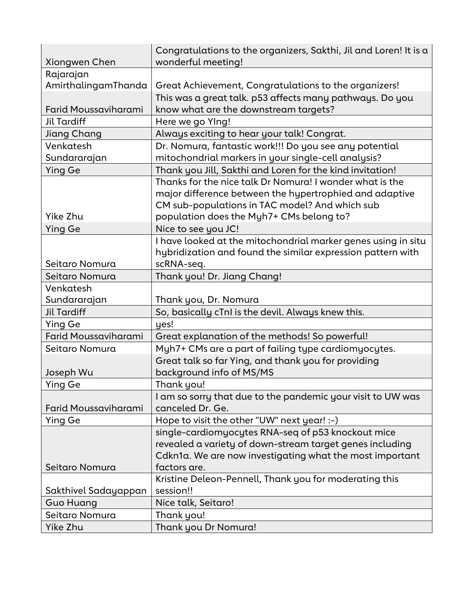|                      | Congratulations to the organizers, Sakthi, Jil and Loren! It is a |
|----------------------|-------------------------------------------------------------------|
| Xiongwen Chen        | wonderful meeting!                                                |
| Rajarajan            |                                                                   |
| AmirthalingamThanda  | Great Achievement, Congratulations to the organizers!             |
|                      | This was a great talk. p53 affects many pathways. Do you          |
| Farid Moussaviharami | know what are the downstream targets?                             |
| Jil Tardiff          | Here we go Ylng!                                                  |
| Jiang Chang          | Always exciting to hear your talk! Congrat.                       |
| Venkatesh            | Dr. Nomura, fantastic work!!! Do you see any potential            |
| Sundararajan         | mitochondrial markers in your single-cell analysis?               |
| <b>Ying Ge</b>       | Thank you Jill, Sakthi and Loren for the kind invitation!         |
|                      | Thanks for the nice talk Dr Nomura! I wonder what is the          |
|                      | major difference between the hypertrophied and adaptive           |
|                      | CM sub-populations in TAC model? And which sub                    |
| Yike Zhu             | population does the Myh7+ CMs belong to?                          |
| <b>Ying Ge</b>       | Nice to see you JC!                                               |
|                      | I have looked at the mitochondrial marker genes using in situ     |
|                      | hybridization and found the similar expression pattern with       |
| Seitaro Nomura       | scRNA-seq.                                                        |
| Seitaro Nomura       | Thank you! Dr. Jiang Chang!                                       |
| Venkatesh            |                                                                   |
| Sundararajan         | Thank you, Dr. Nomura                                             |
| <b>Jil Tardiff</b>   | So, basically cTnI is the devil. Always knew this.                |
| <b>Ying Ge</b>       | yes!                                                              |
| Farid Moussaviharami | Great explanation of the methods! So powerful!                    |
| Seitaro Nomura       | Myh7+ CMs are a part of failing type cardiomyocytes.              |
|                      | Great talk so far Ying, and thank you for providing               |
| Joseph Wu            | background info of MS/MS                                          |
| Ying Ge              | Thank you!                                                        |
|                      | I am so sorry that due to the pandemic your visit to UW was       |
| Farid Moussaviharami | canceled Dr. Ge.                                                  |
| <b>Ying Ge</b>       | Hope to visit the other "UW" next year! :-)                       |
|                      | single-cardiomyocytes RNA-seq of p53 knockout mice                |
|                      | revealed a variety of down-stream target genes including          |
|                      | Cdkn1a. We are now investigating what the most important          |
| Seitaro Nomura       | factors are.                                                      |
|                      | Kristine Deleon-Pennell, Thank you for moderating this            |
| Sakthivel Sadayappan | session!!                                                         |
| <b>Guo Huang</b>     | Nice talk, Seitaro!                                               |
| Seitaro Nomura       | Thank you!                                                        |
| Yike Zhu             | Thank you Dr Nomura!                                              |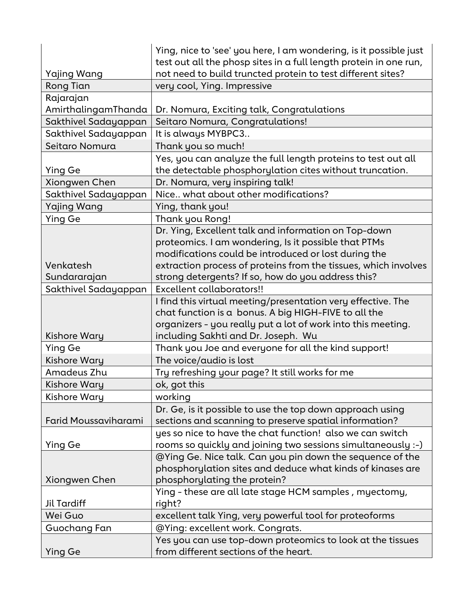|                      | Ying, nice to 'see' you here, I am wondering, is it possible just<br>test out all the phosp sites in a full length protein in one run, |
|----------------------|----------------------------------------------------------------------------------------------------------------------------------------|
| Yajing Wang          | not need to build truncted protein to test different sites?                                                                            |
| <b>Rong Tian</b>     | very cool, Ying. Impressive                                                                                                            |
| Rajarajan            |                                                                                                                                        |
| AmirthalingamThanda  | Dr. Nomura, Exciting talk, Congratulations                                                                                             |
| Sakthivel Sadayappan | Seitaro Nomura, Congratulations!                                                                                                       |
| Sakthivel Sadayappan | It is always MYBPC3                                                                                                                    |
| Seitaro Nomura       | Thank you so much!                                                                                                                     |
| <b>Ying Ge</b>       | Yes, you can analyze the full length proteins to test out all<br>the detectable phosphorylation cites without truncation.              |
| Xiongwen Chen        | Dr. Nomura, very inspiring talk!                                                                                                       |
| Sakthivel Sadayappan | Nice what about other modifications?                                                                                                   |
| Yajing Wang          | Ying, thank you!                                                                                                                       |
| <b>Ying Ge</b>       | Thank you Rong!                                                                                                                        |
|                      | Dr. Ying, Excellent talk and information on Top-down                                                                                   |
|                      | proteomics. I am wondering, Is it possible that PTMs                                                                                   |
|                      | modifications could be introduced or lost during the                                                                                   |
| Venkatesh            | extraction process of proteins from the tissues, which involves                                                                        |
| Sundararajan         | strong detergents? If so, how do you address this?                                                                                     |
| Sakthivel Sadayappan | Excellent collaborators!!                                                                                                              |
|                      | I find this virtual meeting/presentation very effective. The                                                                           |
|                      | chat function is a bonus. A big HIGH-FIVE to all the                                                                                   |
|                      | organizers - you really put a lot of work into this meeting.                                                                           |
| Kishore Wary         | including Sakhti and Dr. Joseph. Wu                                                                                                    |
| Ying Ge              | Thank you Joe and everyone for all the kind support!                                                                                   |
| Kishore Wary         | The voice/audio is lost                                                                                                                |
| Amadeus Zhu          | Try refreshing your page? It still works for me                                                                                        |
| Kishore Wary         | ok, got this                                                                                                                           |
| Kishore Wary         | working                                                                                                                                |
|                      | Dr. Ge, is it possible to use the top down approach using                                                                              |
| Farid Moussaviharami | sections and scanning to preserve spatial information?                                                                                 |
|                      | yes so nice to have the chat function! also we can switch                                                                              |
| Ying Ge              | rooms so quickly and joining two sessions simultaneously :-)                                                                           |
|                      | @Ying Ge. Nice talk. Can you pin down the sequence of the                                                                              |
|                      | phosphorylation sites and deduce what kinds of kinases are                                                                             |
| Xiongwen Chen        | phosphorylating the protein?                                                                                                           |
|                      | Ying - these are all late stage HCM samples, myectomy,                                                                                 |
| <b>Jil Tardiff</b>   | right?                                                                                                                                 |
| Wei Guo              | excellent talk Ying, very powerful tool for proteoforms                                                                                |
| Guochang Fan         | @Ying: excellent work. Congrats.                                                                                                       |
|                      | Yes you can use top-down proteomics to look at the tissues                                                                             |
| <b>Ying Ge</b>       | from different sections of the heart.                                                                                                  |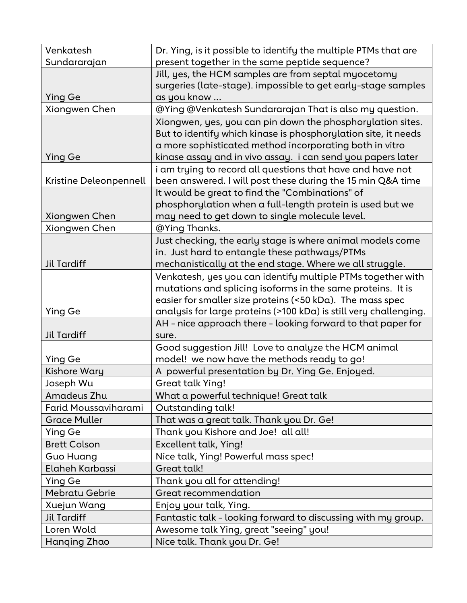| Venkatesh              | Dr. Ying, is it possible to identify the multiple PTMs that are                                                                                                                                                                                        |
|------------------------|--------------------------------------------------------------------------------------------------------------------------------------------------------------------------------------------------------------------------------------------------------|
| Sundararajan           | present together in the same peptide sequence?                                                                                                                                                                                                         |
|                        | Jill, yes, the HCM samples are from septal myocetomy<br>surgeries (late-stage). impossible to get early-stage samples                                                                                                                                  |
| <b>Ying Ge</b>         | as you know                                                                                                                                                                                                                                            |
| Xiongwen Chen          | @Ying @Venkatesh Sundararajan That is also my question.                                                                                                                                                                                                |
| <b>Ying Ge</b>         | Xiongwen, yes, you can pin down the phosphorylation sites.<br>But to identify which kinase is phosphorylation site, it needs<br>a more sophisticated method incorporating both in vitro<br>kinase assay and in vivo assay. i can send you papers later |
| Kristine Deleonpennell | i am trying to record all questions that have and have not<br>been answered. I will post these during the 15 min Q&A time                                                                                                                              |
|                        | It would be great to find the "Combinations" of                                                                                                                                                                                                        |
| Xiongwen Chen          | phosphorylation when a full-length protein is used but we<br>may need to get down to single molecule level.                                                                                                                                            |
| Xiongwen Chen          | @Ying Thanks.                                                                                                                                                                                                                                          |
| <b>Jil Tardiff</b>     | Just checking, the early stage is where animal models come<br>in. Just hard to entangle these pathways/PTMs<br>mechanistically at the end stage. Where we all struggle.                                                                                |
|                        | Venkatesh, yes you can identify multiple PTMs together with<br>mutations and splicing isoforms in the same proteins. It is<br>easier for smaller size proteins (<50 kDa). The mass spec                                                                |
| <b>Ying Ge</b>         | analysis for large proteins (>100 kDa) is still very challenging.                                                                                                                                                                                      |
| <b>Jil Tardiff</b>     | AH - nice approach there - looking forward to that paper for<br>sure.                                                                                                                                                                                  |
|                        | Good suggestion Jill! Love to analyze the HCM animal                                                                                                                                                                                                   |
| Ying Ge                | model! we now have the methods ready to go!                                                                                                                                                                                                            |
| Kishore Wary           | A powerful presentation by Dr. Ying Ge. Enjoyed.                                                                                                                                                                                                       |
| Joseph Wu              | Great talk Ying!                                                                                                                                                                                                                                       |
| Amadeus Zhu            | What a powerful technique! Great talk                                                                                                                                                                                                                  |
| Farid Moussaviharami   | Outstanding talk!                                                                                                                                                                                                                                      |
| <b>Grace Muller</b>    | That was a great talk. Thank you Dr. Ge!                                                                                                                                                                                                               |
| Ying Ge                | Thank you Kishore and Joe! all all!                                                                                                                                                                                                                    |
| <b>Brett Colson</b>    | Excellent talk, Ying!                                                                                                                                                                                                                                  |
| <b>Guo Huang</b>       | Nice talk, Ying! Powerful mass spec!                                                                                                                                                                                                                   |
| Elaheh Karbassi        | Great talk!                                                                                                                                                                                                                                            |
| Ying Ge                | Thank you all for attending!                                                                                                                                                                                                                           |
| <b>Mebratu Gebrie</b>  | Great recommendation                                                                                                                                                                                                                                   |
| Xuejun Wang            | Enjoy your talk, Ying.                                                                                                                                                                                                                                 |
| <b>Jil Tardiff</b>     | Fantastic talk - looking forward to discussing with my group.                                                                                                                                                                                          |
| Loren Wold             | Awesome talk Ying, great "seeing" you!                                                                                                                                                                                                                 |
| Hanging Zhao           | Nice talk. Thank you Dr. Ge!                                                                                                                                                                                                                           |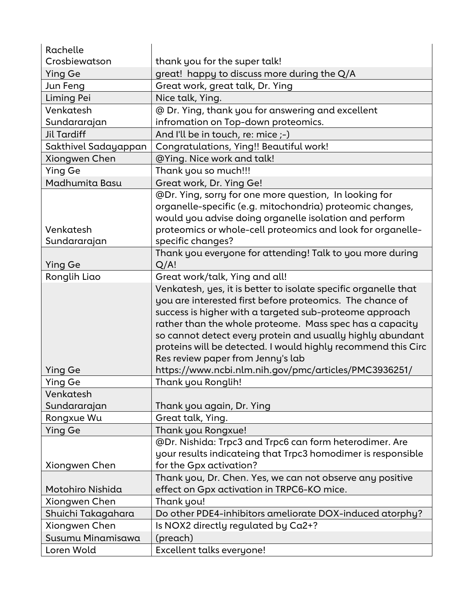| Rachelle                  |                                                                                                                                                                                                                                                                                                                                                                                                                         |
|---------------------------|-------------------------------------------------------------------------------------------------------------------------------------------------------------------------------------------------------------------------------------------------------------------------------------------------------------------------------------------------------------------------------------------------------------------------|
| Crosbiewatson             | thank you for the super talk!                                                                                                                                                                                                                                                                                                                                                                                           |
| <b>Ying Ge</b>            | great! happy to discuss more during the Q/A                                                                                                                                                                                                                                                                                                                                                                             |
| Jun Feng                  | Great work, great talk, Dr. Ying                                                                                                                                                                                                                                                                                                                                                                                        |
| Liming Pei                | Nice talk, Ying.                                                                                                                                                                                                                                                                                                                                                                                                        |
| Venkatesh                 | @ Dr. Ying, thank you for answering and excellent                                                                                                                                                                                                                                                                                                                                                                       |
| Sundararajan              | infromation on Top-down proteomics.                                                                                                                                                                                                                                                                                                                                                                                     |
| <b>Jil Tardiff</b>        | And I'll be in touch, re: mice ;-)                                                                                                                                                                                                                                                                                                                                                                                      |
| Sakthivel Sadayappan      | Congratulations, Ying!! Beautiful work!                                                                                                                                                                                                                                                                                                                                                                                 |
| Xiongwen Chen             | @Ying. Nice work and talk!                                                                                                                                                                                                                                                                                                                                                                                              |
| <b>Ying Ge</b>            | Thank you so much!!!                                                                                                                                                                                                                                                                                                                                                                                                    |
| Madhumita Basu            | Great work, Dr. Ying Ge!                                                                                                                                                                                                                                                                                                                                                                                                |
| Venkatesh<br>Sundararajan | @Dr. Ying, sorry for one more question, In looking for<br>organelle-specific (e.g. mitochondria) proteomic changes,<br>would you advise doing organelle isolation and perform<br>proteomics or whole-cell proteomics and look for organelle-<br>specific changes?                                                                                                                                                       |
| <b>Ying Ge</b>            | Thank you everyone for attending! Talk to you more during<br>Q/A!                                                                                                                                                                                                                                                                                                                                                       |
| Ronglih Liao              | Great work/talk, Ying and all!                                                                                                                                                                                                                                                                                                                                                                                          |
|                           | Venkatesh, yes, it is better to isolate specific organelle that<br>you are interested first before proteomics. The chance of<br>success is higher with a targeted sub-proteome approach<br>rather than the whole proteome. Mass spec has a capacity<br>so cannot detect every protein and usually highly abundant<br>proteins will be detected. I would highly recommend this Circ<br>Res review paper from Jenny's lab |
| <b>Ying Ge</b>            | https://www.ncbi.nlm.nih.gov/pmc/articles/PMC3936251/                                                                                                                                                                                                                                                                                                                                                                   |
| <b>Ying Ge</b>            | Thank you Ronglih!                                                                                                                                                                                                                                                                                                                                                                                                      |
| Venkatesh                 |                                                                                                                                                                                                                                                                                                                                                                                                                         |
| Sundararajan              | Thank you again, Dr. Ying                                                                                                                                                                                                                                                                                                                                                                                               |
| Rongxue Wu                | Great talk, Ying.                                                                                                                                                                                                                                                                                                                                                                                                       |
| <b>Ying Ge</b>            | Thank you Rongxue!                                                                                                                                                                                                                                                                                                                                                                                                      |
| Xiongwen Chen             | @Dr. Nishida: Trpc3 and Trpc6 can form heterodimer. Are<br>your results indicateing that Trpc3 homodimer is responsible<br>for the Gpx activation?                                                                                                                                                                                                                                                                      |
|                           | Thank you, Dr. Chen. Yes, we can not observe any positive                                                                                                                                                                                                                                                                                                                                                               |
| Motohiro Nishida          | effect on Gpx activation in TRPC6-KO mice.                                                                                                                                                                                                                                                                                                                                                                              |
| Xiongwen Chen             | Thank you!                                                                                                                                                                                                                                                                                                                                                                                                              |
| Shuichi Takagahara        | Do other PDE4-inhibitors ameliorate DOX-induced atorphy?                                                                                                                                                                                                                                                                                                                                                                |
| Xiongwen Chen             | Is NOX2 directly regulated by Ca2+?                                                                                                                                                                                                                                                                                                                                                                                     |
| Susumu Minamisawa         | (preach)                                                                                                                                                                                                                                                                                                                                                                                                                |
| Loren Wold                | Excellent talks everyone!                                                                                                                                                                                                                                                                                                                                                                                               |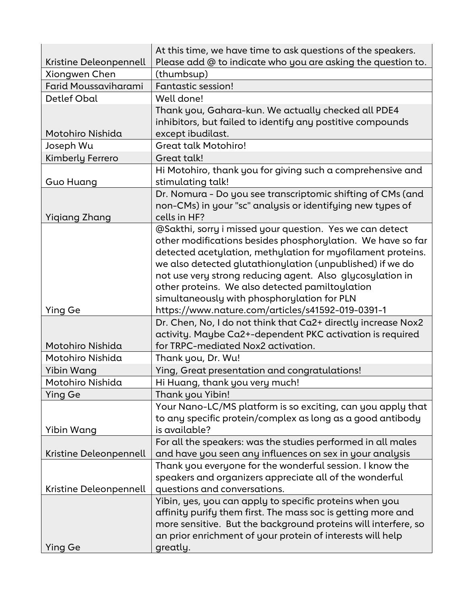|                                         | At this time, we have time to ask questions of the speakers.               |
|-----------------------------------------|----------------------------------------------------------------------------|
| Kristine Deleonpennell<br>Xiongwen Chen | Please add @ to indicate who you are asking the question to.<br>(thumbsup) |
| Farid Moussaviharami                    | Fantastic session!                                                         |
| Detlef Obal                             | Well done!                                                                 |
|                                         | Thank you, Gahara-kun. We actually checked all PDE4                        |
|                                         | inhibitors, but failed to identify any postitive compounds                 |
| Motohiro Nishida                        | except ibudilast.                                                          |
| Joseph Wu                               | <b>Great talk Motohiro!</b>                                                |
| Kimberly Ferrero                        | Great talk!                                                                |
|                                         | Hi Motohiro, thank you for giving such a comprehensive and                 |
| Guo Huang                               | stimulating talk!                                                          |
|                                         | Dr. Nomura - Do you see transcriptomic shifting of CMs (and                |
|                                         | non-CMs) in your "sc" analysis or identifying new types of                 |
| Yiqiang Zhang                           | cells in HF?                                                               |
|                                         | @Sakthi, sorry i missed your question. Yes we can detect                   |
|                                         | other modifications besides phosphorylation. We have so far                |
|                                         | detected acetylation, methylation for myofilament proteins.                |
|                                         | we also detected glutathionylation (unpublished) if we do                  |
|                                         | not use very strong reducing agent. Also glycosylation in                  |
|                                         | other proteins. We also detected pamiltoylation                            |
|                                         | simultaneously with phosphorylation for PLN                                |
| <b>Ying Ge</b>                          | https://www.nature.com/articles/s41592-019-0391-1                          |
|                                         | Dr. Chen, No, I do not think that Ca2+ directly increase Nox2              |
|                                         | activity. Maybe Ca2+-dependent PKC activation is required                  |
| Motohiro Nishida                        | for TRPC-mediated Nox2 activation.                                         |
| Motohiro Nishida                        | Thank you, Dr. Wu!                                                         |
| Yibin Wang                              | Ying, Great presentation and congratulations!                              |
| Motohiro Nishida                        | <u>Hi Huang, thank you very much!</u>                                      |
| Ying Ge                                 | Thank you Yibin!                                                           |
|                                         | Your Nano-LC/MS platform is so exciting, can you apply that                |
|                                         | to any specific protein/complex as long as a good antibody                 |
| Yibin Wang                              | is available?                                                              |
|                                         | For all the speakers: was the studies performed in all males               |
| Kristine Deleonpennell                  | and have you seen any influences on sex in your analysis                   |
|                                         | Thank you everyone for the wonderful session. I know the                   |
|                                         | speakers and organizers appreciate all of the wonderful                    |
| Kristine Deleonpennell                  | questions and conversations.                                               |
|                                         | Yibin, yes, you can apply to specific proteins when you                    |
|                                         | affinity purify them first. The mass soc is getting more and               |
|                                         | more sensitive. But the background proteins will interfere, so             |
|                                         | an prior enrichment of your protein of interests will help                 |
| Ying Ge                                 | greatly.                                                                   |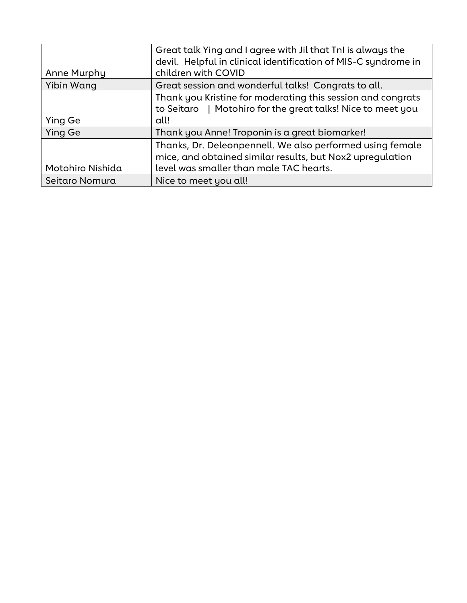|                  | Great talk Ying and I agree with Jil that TnI is always the<br>devil. Helpful in clinical identification of MIS-C syndrome in |
|------------------|-------------------------------------------------------------------------------------------------------------------------------|
| Anne Murphy      | children with COVID                                                                                                           |
| Yibin Wang       | Great session and wonderful talks! Congrats to all.                                                                           |
|                  | Thank you Kristine for moderating this session and congrats<br>to Seitaro   Motohiro for the great talks! Nice to meet you    |
| Ying Ge          | all!                                                                                                                          |
| Ying Ge          | Thank you Anne! Troponin is a great biomarker!                                                                                |
|                  | Thanks, Dr. Deleonpennell. We also performed using female<br>mice, and obtained similar results, but Nox2 upregulation        |
| Motohiro Nishida | level was smaller than male TAC hearts.                                                                                       |
| Seitaro Nomura   | Nice to meet you all!                                                                                                         |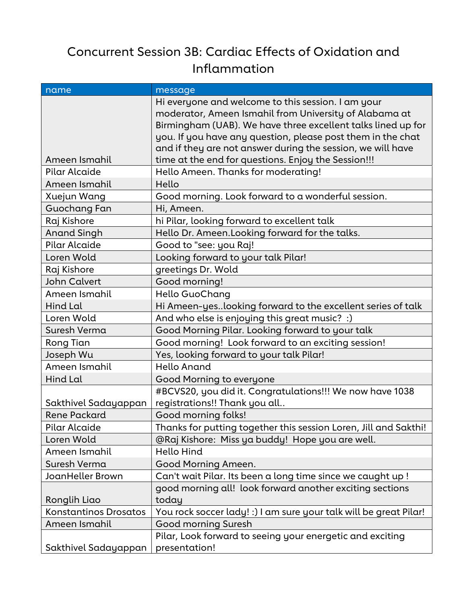## Concurrent Session 3B: Cardiac Effects of Oxidation and Inflammation

| name                         | message                                                                                                      |
|------------------------------|--------------------------------------------------------------------------------------------------------------|
|                              | Hi everyone and welcome to this session. I am your<br>moderator, Ameen Ismahil from University of Alabama at |
|                              | Birmingham (UAB). We have three excellent talks lined up for                                                 |
|                              | you. If you have any question, please post them in the chat                                                  |
|                              | and if they are not answer during the session, we will have                                                  |
| Ameen Ismahil                | time at the end for questions. Enjoy the Session!!!                                                          |
| Pilar Alcaide                | Hello Ameen. Thanks for moderating!                                                                          |
| Ameen Ismahil                | Hello                                                                                                        |
| Xuejun Wang                  | Good morning. Look forward to a wonderful session.                                                           |
| Guochang Fan                 | Hi, Ameen.                                                                                                   |
| Raj Kishore                  | hi Pilar, looking forward to excellent talk                                                                  |
| <b>Anand Singh</b>           | Hello Dr. Ameen. Looking forward for the talks.                                                              |
| <b>Pilar Alcaide</b>         | Good to "see: you Raj!                                                                                       |
| Loren Wold                   | Looking forward to your talk Pilar!                                                                          |
| Raj Kishore                  | greetings Dr. Wold                                                                                           |
| <b>John Calvert</b>          | Good morning!                                                                                                |
| Ameen Ismahil                | Hello GuoChang                                                                                               |
| Hind Lal                     | Hi Ameen-yeslooking forward to the excellent series of talk                                                  |
| Loren Wold                   | And who else is enjoying this great music? :)                                                                |
| Suresh Verma                 | Good Morning Pilar. Looking forward to your talk                                                             |
| Rong Tian                    | Good morning! Look forward to an exciting session!                                                           |
| Joseph Wu                    | Yes, looking forward to your talk Pilar!                                                                     |
| Ameen Ismahil                | <b>Hello Anand</b>                                                                                           |
| Hind Lal                     | Good Morning to everyone                                                                                     |
|                              | #BCVS20, you did it. Congratulations!!! We now have 1038                                                     |
| Sakthivel Sadayappan         | registrations!! Thank you all                                                                                |
| <b>Rene Packard</b>          | Good morning folks!                                                                                          |
| Pilar Alcaide                | Thanks for putting together this session Loren, Jill and Sakthi!                                             |
| Loren Wold                   | @Raj Kishore: Miss ya buddy! Hope you are well.                                                              |
| Ameen Ismahil                | <b>Hello Hind</b>                                                                                            |
| Suresh Verma                 | Good Morning Ameen.                                                                                          |
| JoanHeller Brown             | Can't wait Pilar. Its been a long time since we caught up !                                                  |
|                              | good morning all! look forward another exciting sections                                                     |
| Ronglih Liao                 | today                                                                                                        |
| <b>Konstantinos Drosatos</b> | You rock soccer lady! :) I am sure your talk will be great Pilar!                                            |
| Ameen Ismahil                | Good morning Suresh                                                                                          |
|                              | Pilar, Look forward to seeing your energetic and exciting                                                    |
| Sakthivel Sadayappan         | presentation!                                                                                                |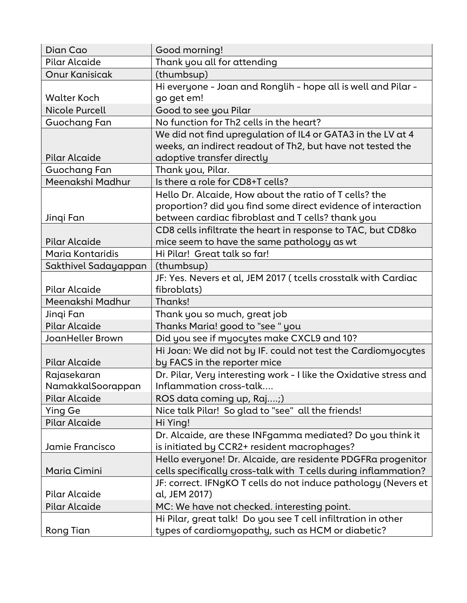| Dian Cao              | Good morning!                                                      |
|-----------------------|--------------------------------------------------------------------|
| Pilar Alcaide         | Thank you all for attending                                        |
| <b>Onur Kanisicak</b> | (thumbsup)                                                         |
|                       | Hi everyone - Joan and Ronglih - hope all is well and Pilar -      |
| <b>Walter Koch</b>    | go get em!                                                         |
| <b>Nicole Purcell</b> | Good to see you Pilar                                              |
| Guochang Fan          | No function for Th2 cells in the heart?                            |
|                       | We did not find upregulation of IL4 or GATA3 in the LV at 4        |
|                       | weeks, an indirect readout of Th2, but have not tested the         |
| Pilar Alcaide         | adoptive transfer directly                                         |
| Guochang Fan          | Thank you, Pilar.                                                  |
| Meenakshi Madhur      | Is there a role for CD8+T cells?                                   |
|                       | Hello Dr. Alcaide, How about the ratio of T cells? the             |
|                       | proportion? did you find some direct evidence of interaction       |
| Jinqi Fan             | between cardiac fibroblast and T cells? thank you                  |
|                       | CD8 cells infiltrate the heart in response to TAC, but CD8ko       |
| Pilar Alcaide         | mice seem to have the same pathology as wt                         |
| Maria Kontaridis      | Hi Pilar! Great talk so far!                                       |
| Sakthivel Sadayappan  | (thumbsup)                                                         |
|                       | JF: Yes. Nevers et al, JEM 2017 (tcells crosstalk with Cardiac     |
| Pilar Alcaide         | fibroblats)                                                        |
| Meenakshi Madhur      | Thanks!                                                            |
| Jingi Fan             | Thank you so much, great job                                       |
| Pilar Alcaide         | Thanks Maria! good to "see " you                                   |
| JoanHeller Brown      | Did you see if myocytes make CXCL9 and 10?                         |
|                       | Hi Joan: We did not by IF. could not test the Cardiomyocytes       |
| Pilar Alcaide         | by FACS in the reporter mice                                       |
| Rajasekaran           | Dr. Pilar, Very interesting work - I like the Oxidative stress and |
| NamakkalSoorappan     | Inflammation cross-talk                                            |
| <b>Pilar Alcaide</b>  | ROS data coming up, Raj;)                                          |
| Ying Ge               | Nice talk Pilar! So glad to "see" all the friends!                 |
| Pilar Alcaide         | Hi Ying!                                                           |
|                       | Dr. Alcaide, are these INFgamma mediated? Do you think it          |
| Jamie Francisco       | is initiated by CCR2+ resident macrophages?                        |
|                       | Hello everyone! Dr. Alcaide, are residente PDGFRa progenitor       |
| Maria Cimini          | cells specifically cross-talk with T cells during inflammation?    |
|                       | JF: correct. IFNgKO T cells do not induce pathology (Nevers et     |
| Pilar Alcaide         | al, JEM 2017)                                                      |
| Pilar Alcaide         | MC: We have not checked. interesting point.                        |
|                       | Hi Pilar, great talk! Do you see T cell infiltration in other      |
| Rong Tian             | types of cardiomyopathy, such as HCM or diabetic?                  |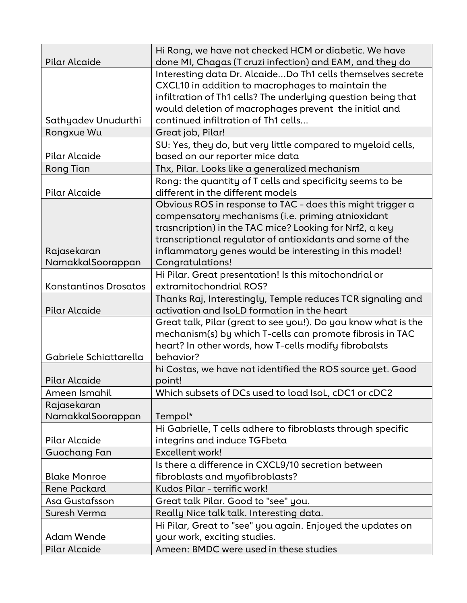|                              | Hi Rong, we have not checked HCM or diabetic. We have          |
|------------------------------|----------------------------------------------------------------|
| Pilar Alcaide                | done MI, Chagas (T cruzi infection) and EAM, and they do       |
|                              | Interesting data Dr. AlcaideDo Th1 cells themselves secrete    |
|                              | CXCL10 in addition to macrophages to maintain the              |
|                              | infiltration of Th1 cells? The underlying question being that  |
|                              | would deletion of macrophages prevent the initial and          |
| Sathyadev Unudurthi          | continued infiltration of Th1 cells                            |
| Rongxue Wu                   | Great job, Pilar!                                              |
|                              | SU: Yes, they do, but very little compared to myeloid cells,   |
| Pilar Alcaide                | based on our reporter mice data                                |
| <b>Rong Tian</b>             | Thx, Pilar. Looks like a generalized mechanism                 |
|                              | Rong: the quantity of T cells and specificity seems to be      |
| Pilar Alcaide                | different in the different models                              |
|                              | Obvious ROS in response to TAC - does this might trigger a     |
|                              | compensatory mechanisms (i.e. priming atnioxidant              |
|                              | trasncription) in the TAC mice? Looking for Nrf2, a key        |
|                              | transcriptional regulator of antioxidants and some of the      |
| Rajasekaran                  | inflammatory genes would be interesting in this model!         |
| NamakkalSoorappan            | Congratulations!                                               |
|                              | Hi Pilar. Great presentation! Is this mitochondrial or         |
| <b>Konstantinos Drosatos</b> | extramitochondrial ROS?                                        |
|                              | Thanks Raj, Interestingly, Temple reduces TCR signaling and    |
| <b>Pilar Alcaide</b>         | activation and IsoLD formation in the heart                    |
|                              | Great talk, Pilar (great to see you!). Do you know what is the |
|                              | mechanism(s) by which T-cells can promote fibrosis in TAC      |
|                              | heart? In other words, how T-cells modify fibrobalsts          |
| Gabriele Schiattarella       | behavior?                                                      |
|                              | hi Costas, we have not identified the ROS source yet. Good     |
| Pilar Alcaide                | point!                                                         |
| Ameen Ismahil                | Which subsets of DCs used to load IsoL, cDC1 or cDC2           |
| Rajasekaran                  |                                                                |
| NamakkalSoorappan            | Tempol*                                                        |
|                              | Hi Gabrielle, T cells adhere to fibroblasts through specific   |
| Pilar Alcaide                | integrins and induce TGFbeta                                   |
| Guochang Fan                 | <b>Excellent work!</b>                                         |
|                              | Is there a difference in CXCL9/10 secretion between            |
| <b>Blake Monroe</b>          | fibroblasts and myofibroblasts?                                |
| <b>Rene Packard</b>          | Kudos Pilar - terrific work!                                   |
| Asa Gustafsson               | Great talk Pilar. Good to "see" you.                           |
| Suresh Verma                 | Really Nice talk talk. Interesting data.                       |
|                              | Hi Pilar, Great to "see" you again. Enjoyed the updates on     |
| <b>Adam Wende</b>            | your work, exciting studies.                                   |
| Pilar Alcaide                | Ameen: BMDC were used in these studies                         |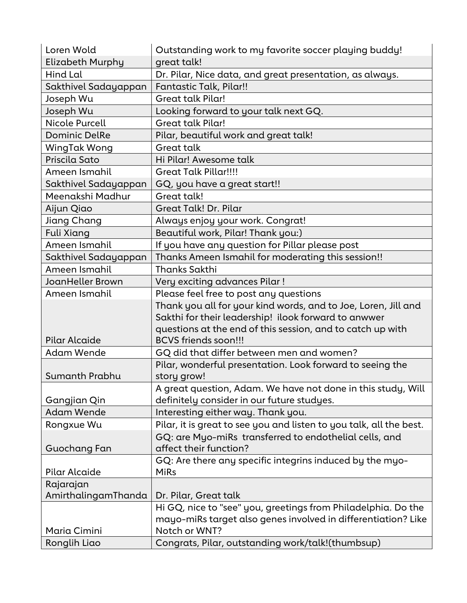| Loren Wold            | Outstanding work to my favorite soccer playing buddy!               |
|-----------------------|---------------------------------------------------------------------|
| Elizabeth Murphy      | great talk!                                                         |
| Hind Lal              | Dr. Pilar, Nice data, and great presentation, as always.            |
| Sakthivel Sadayappan  | Fantastic Talk, Pilar!!                                             |
| Joseph Wu             | <b>Great talk Pilar!</b>                                            |
| Joseph Wu             | Looking forward to your talk next GQ.                               |
| <b>Nicole Purcell</b> | <b>Great talk Pilar!</b>                                            |
| <b>Dominic DelRe</b>  | Pilar, beautiful work and great talk!                               |
| WingTak Wong          | Great talk                                                          |
| Priscila Sato         | Hi Pilar! Awesome talk                                              |
| Ameen Ismahil         | <b>Great Talk Pillar!!!!</b>                                        |
| Sakthivel Sadayappan  | GQ, you have a great start!!                                        |
| Meenakshi Madhur      | Great talk!                                                         |
| Aijun Qiao            | <b>Great Talk! Dr. Pilar</b>                                        |
| Jiang Chang           | Always enjoy your work. Congrat!                                    |
| Fuli Xiang            | Beautiful work, Pilar! Thank you:)                                  |
| Ameen Ismahil         | If you have any question for Pillar please post                     |
| Sakthivel Sadayappan  | Thanks Ameen Ismahil for moderating this session!!                  |
| Ameen Ismahil         | <b>Thanks Sakthi</b>                                                |
| JoanHeller Brown      | Very exciting advances Pilar!                                       |
| Ameen Ismahil         | Please feel free to post any questions                              |
|                       | Thank you all for your kind words, and to Joe, Loren, Jill and      |
|                       | Sakthi for their leadership! ilook forward to anwwer                |
|                       | questions at the end of this session, and to catch up with          |
| <b>Pilar Alcaide</b>  | <b>BCVS friends soon!!!</b>                                         |
| Adam Wende            | GQ did that differ between men and women?                           |
|                       | Pilar, wonderful presentation. Look forward to seeing the           |
| Sumanth Prabhu        | story grow!                                                         |
|                       | A great question, Adam. We have not done in this study, Will        |
| Gangjian Qin          | definitely consider in our future studyes.                          |
| Adam Wende            | Interesting either way. Thank you.                                  |
| Rongxue Wu            | Pilar, it is great to see you and listen to you talk, all the best. |
|                       | GQ: are Myo-miRs transferred to endothelial cells, and              |
| Guochang Fan          | affect their function?                                              |
|                       | GQ: Are there any specific integrins induced by the myo-            |
| Pilar Alcaide         | <b>MiRs</b>                                                         |
| Rajarajan             |                                                                     |
| AmirthalingamThanda   | Dr. Pilar, Great talk                                               |
|                       | Hi GQ, nice to "see" you, greetings from Philadelphia. Do the       |
|                       | mayo-miRs target also genes involved in differentiation? Like       |
| Maria Cimini          | Notch or WNT?                                                       |
| Ronglih Liao          | Congrats, Pilar, outstanding work/talk!(thumbsup)                   |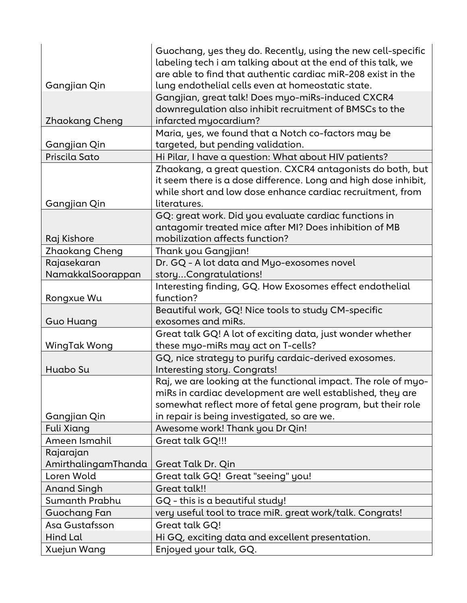|                     | Guochang, yes they do. Recently, using the new cell-specific    |
|---------------------|-----------------------------------------------------------------|
|                     | labeling tech i am talking about at the end of this talk, we    |
|                     | are able to find that authentic cardiac miR-208 exist in the    |
| Gangjian Qin        | lung endothelial cells even at homeostatic state.               |
|                     | Gangjian, great talk! Does myo-miRs-induced CXCR4               |
|                     | downregulation also inhibit recruitment of BMSCs to the         |
| Zhaokang Cheng      | infarcted myocardium?                                           |
|                     | Maria, yes, we found that a Notch co-factors may be             |
| Gangjian Qin        | targeted, but pending validation.                               |
| Priscila Sato       | Hi Pilar, I have a question: What about HIV patients?           |
|                     | Zhaokang, a great question. CXCR4 antagonists do both, but      |
|                     | it seem there is a dose difference. Long and high dose inhibit, |
|                     | while short and low dose enhance cardiac recruitment, from      |
| Gangjian Qin        | literatures.                                                    |
|                     | GQ: great work. Did you evaluate cardiac functions in           |
|                     | antagomir treated mice after MI? Does inhibition of MB          |
| Raj Kishore         | mobilization affects function?                                  |
| Zhaokang Cheng      | Thank you Gangjian!                                             |
| Rajasekaran         | Dr. GQ - A lot data and Myo-exosomes novel                      |
| NamakkalSoorappan   | storyCongratulations!                                           |
|                     | Interesting finding, GQ. How Exosomes effect endothelial        |
| Rongxue Wu          | function?                                                       |
|                     | Beautiful work, GQ! Nice tools to study CM-specific             |
| <b>Guo Huang</b>    | exosomes and miRs.                                              |
|                     | Great talk GQ! A lot of exciting data, just wonder whether      |
| WingTak Wong        | these myo-miRs may act on T-cells?                              |
|                     | GQ, nice strategy to purify cardaic-derived exosomes.           |
| Huabo Su            | Interesting story. Congrats!                                    |
|                     | Raj, we are looking at the functional impact. The role of myo-  |
|                     | miRs in cardiac development are well established, they are      |
|                     | somewhat reflect more of fetal gene program, but their role     |
| Gangjian Qin        | in repair is being investigated, so are we.                     |
| <b>Fuli Xiang</b>   | Awesome work! Thank you Dr Qin!                                 |
| Ameen Ismahil       | Great talk GQ!!!                                                |
| Rajarajan           |                                                                 |
| AmirthalingamThanda | Great Talk Dr. Qin                                              |
| Loren Wold          | Great talk GQ! Great "seeing" you!                              |
| <b>Anand Singh</b>  | <b>Great talk!!</b>                                             |
| Sumanth Prabhu      | $GQ$ - this is a beautiful study!                               |
| Guochang Fan        | very useful tool to trace miR. great work/talk. Congrats!       |
| Asa Gustafsson      | Great talk GQ!                                                  |
| Hind Lal            | Hi GQ, exciting data and excellent presentation.                |
| Xuejun Wang         | Enjoyed your talk, GQ.                                          |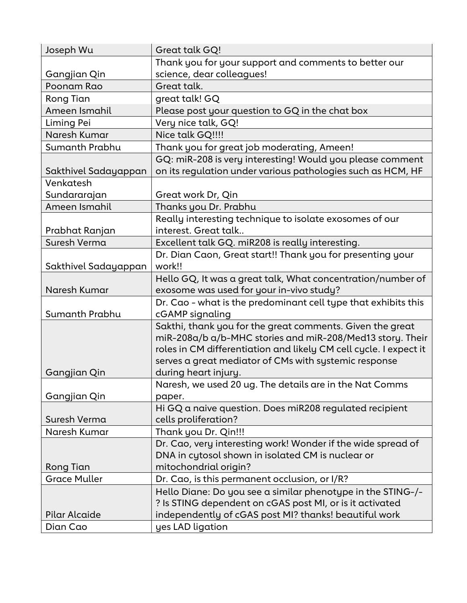| Joseph Wu            | Great talk GQ!                                                    |
|----------------------|-------------------------------------------------------------------|
|                      | Thank you for your support and comments to better our             |
| Gangjian Qin         | science, dear colleagues!                                         |
| Poonam Rao           | Great talk.                                                       |
| Rong Tian            | great talk! GQ                                                    |
| Ameen Ismahil        | Please post your question to GQ in the chat box                   |
| Liming Pei           | Very nice talk, GQ!                                               |
| Naresh Kumar         | Nice talk GQ!!!!                                                  |
| Sumanth Prabhu       | Thank you for great job moderating, Ameen!                        |
|                      | GQ: miR-208 is very interesting! Would you please comment         |
| Sakthivel Sadayappan | on its regulation under various pathologies such as HCM, HF       |
| Venkatesh            |                                                                   |
| Sundararajan         | Great work Dr, Qin                                                |
| Ameen Ismahil        | Thanks you Dr. Prabhu                                             |
|                      | Really interesting technique to isolate exosomes of our           |
| Prabhat Ranjan       | interest. Great talk                                              |
| Suresh Verma         | Excellent talk GQ. miR208 is really interesting.                  |
|                      | Dr. Dian Caon, Great start!! Thank you for presenting your        |
| Sakthivel Sadayappan | work!!                                                            |
|                      | Hello GQ, It was a great talk, What concentration/number of       |
| Naresh Kumar         | exosome was used for your in-vivo study?                          |
|                      | Dr. Cao - what is the predominant cell type that exhibits this    |
| Sumanth Prabhu       | cGAMP signaling                                                   |
|                      | Sakthi, thank you for the great comments. Given the great         |
|                      | miR-208a/b a/b-MHC stories and miR-208/Med13 story. Their         |
|                      | roles in CM differentiation and likely CM cell cycle. I expect it |
|                      | serves a great mediator of CMs with systemic response             |
| Gangjian Qin         | during heart injury.                                              |
|                      | Naresh, we used 20 ug. The details are in the Nat Comms           |
| Gangjian Qin         | paper.                                                            |
|                      | Hi GQ a naive question. Does miR208 regulated recipient           |
| Suresh Verma         | cells proliferation?                                              |
| Naresh Kumar         | Thank you Dr. Qin!!!                                              |
|                      | Dr. Cao, very interesting work! Wonder if the wide spread of      |
|                      | DNA in cytosol shown in isolated CM is nuclear or                 |
| <b>Rong Tian</b>     | mitochondrial origin?                                             |
| <b>Grace Muller</b>  | Dr. Cao, is this permanent occlusion, or I/R?                     |
|                      | Hello Diane: Do you see a similar phenotype in the STING-/-       |
|                      | ? Is STING dependent on cGAS post MI, or is it activated          |
| Pilar Alcaide        | independently of cGAS post MI? thanks! beautiful work             |
| Dian Cao             | yes LAD ligation                                                  |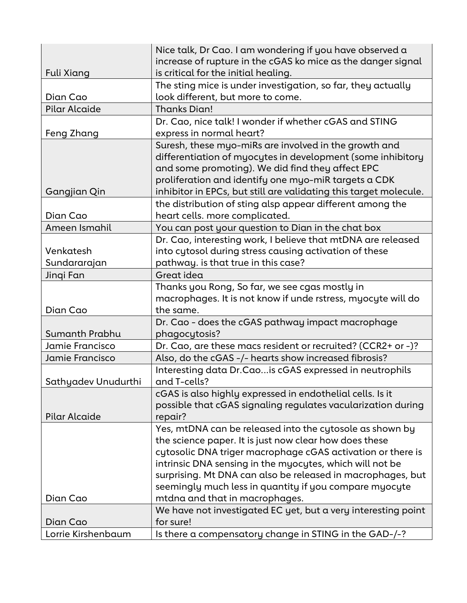| Fuli Xiang          | Nice talk, Dr Cao. I am wondering if you have observed a<br>increase of rupture in the cGAS ko mice as the danger signal<br>is critical for the initial healing. |
|---------------------|------------------------------------------------------------------------------------------------------------------------------------------------------------------|
|                     | The sting mice is under investigation, so far, they actually                                                                                                     |
| Dian Cao            | look different, but more to come.                                                                                                                                |
| Pilar Alcaide       | <b>Thanks Dian!</b>                                                                                                                                              |
|                     | Dr. Cao, nice talk! I wonder if whether cGAS and STING                                                                                                           |
| Feng Zhang          | express in normal heart?                                                                                                                                         |
|                     | Suresh, these myo-miRs are involved in the growth and                                                                                                            |
|                     | differentiation of myocytes in development (some inhibitory                                                                                                      |
|                     | and some promoting). We did find they affect EPC                                                                                                                 |
|                     | proliferation and identify one myo-miR targets a CDK                                                                                                             |
| Gangjian Qin        | inhibitor in EPCs, but still are validating this target molecule.                                                                                                |
|                     | the distribution of sting alsp appear different among the                                                                                                        |
| Dian Cao            | heart cells. more complicated.                                                                                                                                   |
| Ameen Ismahil       | You can post your question to Dian in the chat box                                                                                                               |
|                     | Dr. Cao, interesting work, I believe that mtDNA are released                                                                                                     |
| Venkatesh           | into cytosol during stress causing activation of these                                                                                                           |
| Sundararajan        | pathway. is that true in this case?                                                                                                                              |
| Jinqi Fan           | Great idea                                                                                                                                                       |
|                     | Thanks you Rong, So far, we see cgas mostly in                                                                                                                   |
|                     | macrophages. It is not know if unde rstress, myocyte will do                                                                                                     |
| Dian Cao            | the same.                                                                                                                                                        |
| Sumanth Prabhu      | Dr. Cao - does the cGAS pathway impact macrophage                                                                                                                |
| Jamie Francisco     | phagocytosis?<br>Dr. Cao, are these macs resident or recruited? (CCR2+ or -)?                                                                                    |
| Jamie Francisco     | Also, do the cGAS -/- hearts show increased fibrosis?                                                                                                            |
|                     | Interesting data Dr. Cao is cGAS expressed in neutrophils                                                                                                        |
| Sathyadev Unudurthi | and T-cells?                                                                                                                                                     |
|                     | cGAS is also highly expressed in endothelial cells. Is it                                                                                                        |
|                     | possible that cGAS signaling regulates vacularization during                                                                                                     |
| Pilar Alcaide       | repair?                                                                                                                                                          |
|                     | Yes, mtDNA can be released into the cytosole as shown by                                                                                                         |
|                     | the science paper. It is just now clear how does these                                                                                                           |
|                     | cytosolic DNA triger macrophage cGAS activation or there is                                                                                                      |
|                     | intrinsic DNA sensing in the myocytes, which will not be                                                                                                         |
|                     | surprising. Mt DNA can also be released in macrophages, but                                                                                                      |
|                     | seemingly much less in quantity if you compare myocyte                                                                                                           |
| Dian Cao            | mtdna and that in macrophages.                                                                                                                                   |
|                     | We have not investigated EC yet, but a very interesting point                                                                                                    |
| Dian Cao            | for sure!                                                                                                                                                        |
| Lorrie Kirshenbaum  | Is there a compensatory change in STING in the GAD-/-?                                                                                                           |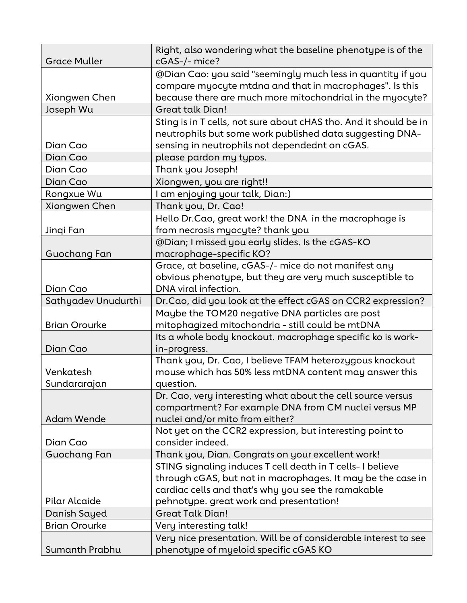| <b>Grace Muller</b>  | Right, also wondering what the baseline phenotype is of the<br>cGAS-/- mice?                                                                                                    |
|----------------------|---------------------------------------------------------------------------------------------------------------------------------------------------------------------------------|
|                      | @Dian Cao: you said "seemingly much less in quantity if you<br>compare myocyte mtdna and that in macrophages". Is this                                                          |
| Xiongwen Chen        | because there are much more mitochondrial in the myocyte?                                                                                                                       |
| Joseph Wu            | <b>Great talk Dian!</b>                                                                                                                                                         |
| Dian Cao             | Sting is in T cells, not sure about cHAS tho. And it should be in<br>neutrophils but some work published data suggesting DNA-<br>sensing in neutrophils not dependednt on cGAS. |
| Dian Cao             | please pardon my typos.                                                                                                                                                         |
| Dian Cao             | Thank you Joseph!                                                                                                                                                               |
| Dian Cao             | Xiongwen, you are right!!                                                                                                                                                       |
| Rongxue Wu           | I am enjoying your talk, Dian:)                                                                                                                                                 |
| Xiongwen Chen        | Thank you, Dr. Cao!                                                                                                                                                             |
|                      | Hello Dr.Cao, great work! the DNA in the macrophage is                                                                                                                          |
| Jinqi Fan            | from necrosis myocyte? thank you                                                                                                                                                |
|                      | @Dian; I missed you early slides. Is the cGAS-KO                                                                                                                                |
| Guochang Fan         | macrophage-specific KO?                                                                                                                                                         |
|                      | Grace, at baseline, cGAS-/- mice do not manifest any                                                                                                                            |
|                      | obvious phenotype, but they are very much susceptible to                                                                                                                        |
| Dian Cao             | DNA viral infection.                                                                                                                                                            |
| Sathyadev Unudurthi  | Dr.Cao, did you look at the effect cGAS on CCR2 expression?                                                                                                                     |
|                      | Maybe the TOM20 negative DNA particles are post                                                                                                                                 |
| <b>Brian Orourke</b> | mitophagized mitochondria - still could be mtDNA                                                                                                                                |
|                      | Its a whole body knockout. macrophage specific ko is work-                                                                                                                      |
| Dian Cao             | in-progress.                                                                                                                                                                    |
|                      | Thank you, Dr. Cao, I believe TFAM heterozygous knockout                                                                                                                        |
| Venkatesh            | mouse which has 50% less mtDNA content may answer this                                                                                                                          |
| Sundararajan         | question.                                                                                                                                                                       |
|                      | Dr. Cao, very interesting what about the cell source versus                                                                                                                     |
|                      | compartment? For example DNA from CM nuclei versus MP                                                                                                                           |
| <b>Adam Wende</b>    | nuclei and/or mito from either?                                                                                                                                                 |
|                      | Not yet on the CCR2 expression, but interesting point to                                                                                                                        |
| Dian Cao             | consider indeed.                                                                                                                                                                |
| Guochang Fan         | Thank you, Dian. Congrats on your excellent work!                                                                                                                               |
|                      | STING signaling induces T cell death in T cells-I believe                                                                                                                       |
|                      | through cGAS, but not in macrophages. It may be the case in<br>cardiac cells and that's why you see the ramakable                                                               |
| Pilar Alcaide        | pehnotype. great work and presentation!                                                                                                                                         |
| Danish Sayed         | <b>Great Talk Dian!</b>                                                                                                                                                         |
| <b>Brian Orourke</b> | Very interesting talk!                                                                                                                                                          |
|                      | Very nice presentation. Will be of considerable interest to see                                                                                                                 |
| Sumanth Prabhu       | phenotype of myeloid specific cGAS KO                                                                                                                                           |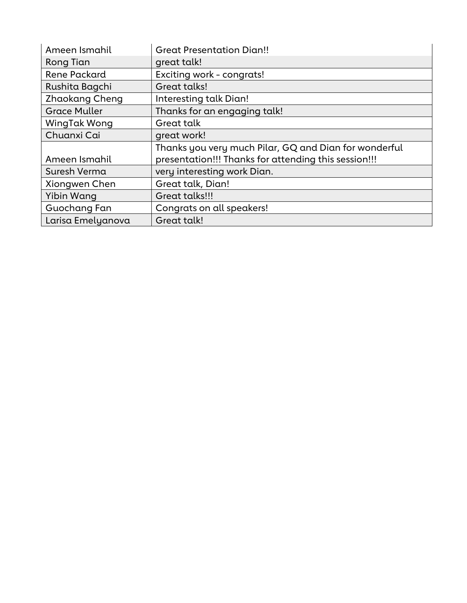| Ameen Ismahil         | <b>Great Presentation Dian!!</b>                      |
|-----------------------|-------------------------------------------------------|
| Rong Tian             | great talk!                                           |
| <b>Rene Packard</b>   | Exciting work - congrats!                             |
| Rushita Bagchi        | Great talks!                                          |
| <b>Zhaokang Cheng</b> | Interesting talk Dian!                                |
| <b>Grace Muller</b>   | Thanks for an engaging talk!                          |
| WingTak Wong          | Great talk                                            |
| Chuanxi Cai           | great work!                                           |
|                       | Thanks you very much Pilar, GQ and Dian for wonderful |
| Ameen Ismahil         | presentation!!! Thanks for attending this session!!!  |
| Suresh Verma          | very interesting work Dian.                           |
| Xiongwen Chen         | Great talk, Dian!                                     |
| Yibin Wang            | Great talks!!!                                        |
| Guochang Fan          | Congrats on all speakers!                             |
| Larisa Emelyanova     | Great talk!                                           |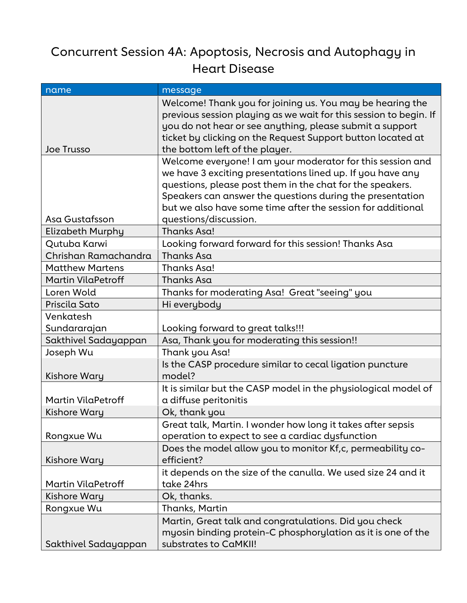### Concurrent Session 4A: Apoptosis, Necrosis and Autophagy in Heart Disease

| name                      | message                                                                                                                                                                                                                                                                                     |
|---------------------------|---------------------------------------------------------------------------------------------------------------------------------------------------------------------------------------------------------------------------------------------------------------------------------------------|
| <b>Joe Trusso</b>         | Welcome! Thank you for joining us. You may be hearing the<br>previous session playing as we wait for this session to begin. If<br>you do not hear or see anything, please submit a support<br>ticket by clicking on the Request Support button located at<br>the bottom left of the player. |
|                           | Welcome everyone! I am your moderator for this session and<br>we have 3 exciting presentations lined up. If you have any                                                                                                                                                                    |
|                           | questions, please post them in the chat for the speakers.<br>Speakers can answer the questions during the presentation                                                                                                                                                                      |
|                           | but we also have some time after the session for additional                                                                                                                                                                                                                                 |
| Asa Gustafsson            | questions/discussion.                                                                                                                                                                                                                                                                       |
| Elizabeth Murphy          | <b>Thanks Asa!</b>                                                                                                                                                                                                                                                                          |
| Qutuba Karwi              | Looking forward forward for this session! Thanks Asa                                                                                                                                                                                                                                        |
| Chrishan Ramachandra      | Thanks Asa                                                                                                                                                                                                                                                                                  |
| <b>Matthew Martens</b>    | Thanks Asa!                                                                                                                                                                                                                                                                                 |
| <b>Martin VilaPetroff</b> | Thanks Asa                                                                                                                                                                                                                                                                                  |
| Loren Wold                | Thanks for moderating Asa! Great "seeing" you                                                                                                                                                                                                                                               |
| Priscila Sato             | Hi everybody                                                                                                                                                                                                                                                                                |
| Venkatesh                 |                                                                                                                                                                                                                                                                                             |
| Sundararajan              | Looking forward to great talks!!!                                                                                                                                                                                                                                                           |
| Sakthivel Sadayappan      | Asa, Thank you for moderating this session!!                                                                                                                                                                                                                                                |
| Joseph Wu                 | Thank you Asa!                                                                                                                                                                                                                                                                              |
| Kishore Wary              | Is the CASP procedure similar to cecal ligation puncture<br>model?                                                                                                                                                                                                                          |
| <b>Martin VilaPetroff</b> | It is similar but the CASP model in the physiological model of<br>a diffuse peritonitis                                                                                                                                                                                                     |
| <b>Kishore Wary</b>       | Ok, thank you                                                                                                                                                                                                                                                                               |
|                           | Great talk, Martin. I wonder how long it takes after sepsis                                                                                                                                                                                                                                 |
| Rongxue Wu                | operation to expect to see a cardiac dysfunction                                                                                                                                                                                                                                            |
|                           | Does the model allow you to monitor Kf,c, permeability co-                                                                                                                                                                                                                                  |
| Kishore Wary              | efficient?                                                                                                                                                                                                                                                                                  |
|                           | it depends on the size of the canulla. We used size 24 and it                                                                                                                                                                                                                               |
| Martin VilaPetroff        | take 24hrs                                                                                                                                                                                                                                                                                  |
| Kishore Wary              | Ok, thanks.                                                                                                                                                                                                                                                                                 |
| Rongxue Wu                | Thanks, Martin                                                                                                                                                                                                                                                                              |
|                           | Martin, Great talk and congratulations. Did you check                                                                                                                                                                                                                                       |
| Sakthivel Sadayappan      | myosin binding protein-C phosphorylation as it is one of the<br>substrates to CaMKII!                                                                                                                                                                                                       |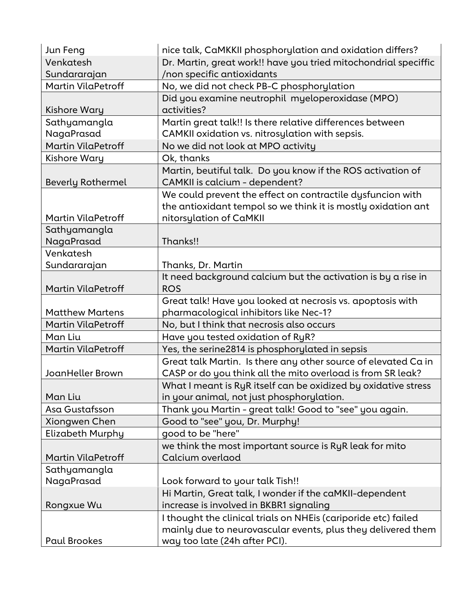| Jun Feng                  | nice talk, CaMKKII phosphorylation and oxidation differs?                                     |
|---------------------------|-----------------------------------------------------------------------------------------------|
| Venkatesh                 | Dr. Martin, great work!! have you tried mitochondrial speciffic                               |
| Sundararajan              | /non specific antioxidants                                                                    |
| Martin VilaPetroff        | No, we did not check PB-C phosphorylation                                                     |
|                           | Did you examine neutrophil myeloperoxidase (MPO)                                              |
| Kishore Wary              | activities?                                                                                   |
| Sathyamangla              | Martin great talk!! Is there relative differences between                                     |
| NagaPrasad                | CAMKII oxidation vs. nitrosylation with sepsis.                                               |
| Martin VilaPetroff        | No we did not look at MPO activity                                                            |
| Kishore Wary              | Ok, thanks                                                                                    |
|                           | Martin, beutiful talk. Do you know if the ROS activation of                                   |
| <b>Beverly Rothermel</b>  | CAMKII is calcium - dependent?                                                                |
|                           | We could prevent the effect on contractile dysfuncion with                                    |
|                           | the antioxidant tempol so we think it is mostly oxidation ant                                 |
| <b>Martin VilaPetroff</b> | nitorsylation of CaMKII                                                                       |
| Sathyamangla              |                                                                                               |
| NagaPrasad                | Thanks!!                                                                                      |
| Venkatesh                 |                                                                                               |
| Sundararajan              | Thanks, Dr. Martin                                                                            |
|                           | It need background calcium but the activation is by a rise in                                 |
| Martin VilaPetroff        | <b>ROS</b>                                                                                    |
|                           | Great talk! Have you looked at necrosis vs. apoptosis with                                    |
| <b>Matthew Martens</b>    | pharmacological inhibitors like Nec-1?                                                        |
| <b>Martin VilaPetroff</b> | No, but I think that necrosis also occurs                                                     |
| Man Liu                   | Have you tested oxidation of RyR?                                                             |
| Martin VilaPetroff        | Yes, the serine2814 is phosphorylated in sepsis                                               |
|                           | Great talk Martin. Is there any other source of elevated Ca in                                |
| JoanHeller Brown          | CASP or do you think all the mito overload is from SR leak?                                   |
|                           | What I meant is RyR itself can be oxidized by oxidative stress                                |
| Man Liu                   | in your animal, not just phosphorylation.                                                     |
| Asa Gustafsson            | Thank you Martin - great talk! Good to "see" you again.                                       |
| Xiongwen Chen             | Good to "see" you, Dr. Murphy!                                                                |
| Elizabeth Murphy          | good to be "here"                                                                             |
|                           | we think the most important source is RyR leak for mito                                       |
| <b>Martin VilaPetroff</b> | Calcium overlaod                                                                              |
| Sathyamangla              |                                                                                               |
| NagaPrasad                | Look forward to your talk Tish!!                                                              |
|                           | Hi Martin, Great talk, I wonder if the caMKII-dependent                                       |
| Rongxue Wu                | increase is involved in BKBR1 signaling                                                       |
|                           | I thought the clinical trials on NHEis (cariporide etc) failed                                |
|                           |                                                                                               |
| <b>Paul Brookes</b>       | mainly due to neurovascular events, plus they delivered them<br>way too late (24h after PCI). |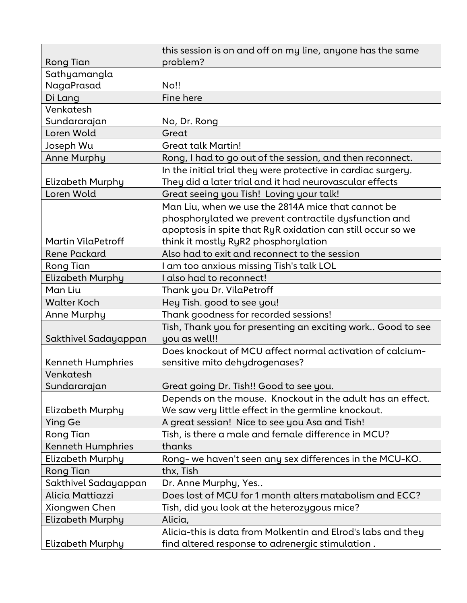| Rong Tian                | this session is on and off on my line, anyone has the same<br>problem? |
|--------------------------|------------------------------------------------------------------------|
| Sathyamangla             |                                                                        |
| NagaPrasad               | <b>No!!</b>                                                            |
| Di Lang                  | Fine here                                                              |
| Venkatesh                |                                                                        |
| Sundararajan             | No, Dr. Rong                                                           |
| Loren Wold               | Great                                                                  |
| Joseph Wu                | <b>Great talk Martin!</b>                                              |
| <b>Anne Murphy</b>       | Rong, I had to go out of the session, and then reconnect.              |
|                          | In the initial trial they were protective in cardiac surgery.          |
| Elizabeth Murphy         | They did a later trial and it had neurovascular effects                |
| Loren Wold               | Great seeing you Tish! Loving your talk!                               |
|                          | Man Liu, when we use the 2814A mice that cannot be                     |
|                          | phosphorylated we prevent contractile dysfunction and                  |
|                          | apoptosis in spite that RyR oxidation can still occur so we            |
| Martin VilaPetroff       | think it mostly RyR2 phosphorylation                                   |
| <b>Rene Packard</b>      | Also had to exit and reconnect to the session                          |
| Rong Tian                | I am too anxious missing Tish's talk LOL                               |
| Elizabeth Murphy         | I also had to reconnect!                                               |
| Man Liu                  | Thank you Dr. VilaPetroff                                              |
| <b>Walter Koch</b>       | Hey Tish. good to see you!                                             |
| Anne Murphy              | Thank goodness for recorded sessions!                                  |
|                          | Tish, Thank you for presenting an exciting work Good to see            |
| Sakthivel Sadayappan     | you as well!!                                                          |
|                          | Does knockout of MCU affect normal activation of calcium-              |
| <b>Kenneth Humphries</b> | sensitive mito dehydrogenases?                                         |
| Venkatesh                |                                                                        |
| Sundararajan             | Great going Dr. Tish!! Good to see you.                                |
|                          | Depends on the mouse. Knockout in the adult has an effect.             |
| Elizabeth Murphy         | We saw very little effect in the germline knockout.                    |
| Ying Ge                  | A great session! Nice to see you Asa and Tish!                         |
| Rong Tian                | Tish, is there a male and female difference in MCU?                    |
| <b>Kenneth Humphries</b> | thanks                                                                 |
| <b>Elizabeth Murphy</b>  | Rong- we haven't seen any sex differences in the MCU-KO.               |
| <b>Rong Tian</b>         | thx, Tish                                                              |
| Sakthivel Sadayappan     | Dr. Anne Murphy, Yes                                                   |
| Alicia Mattiazzi         | Does lost of MCU for 1 month alters matabolism and ECC?                |
| Xiongwen Chen            | Tish, did you look at the heterozygous mice?                           |
| Elizabeth Murphy         | Alicia,                                                                |
|                          | Alicia-this is data from Molkentin and Elrod's labs and they           |
| Elizabeth Murphy         | find altered response to adrenergic stimulation.                       |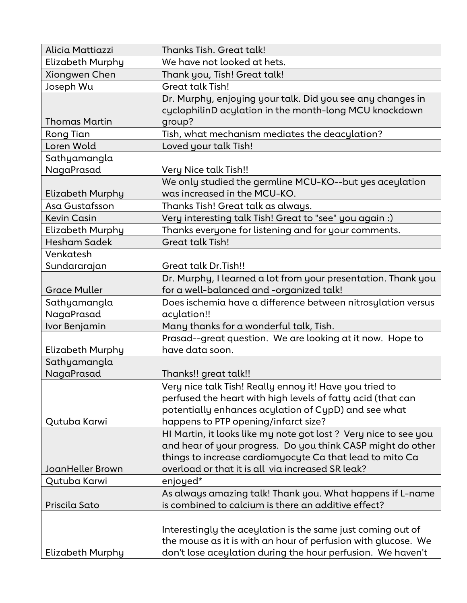| Alicia Mattiazzi           | Thanks Tish. Great talk!                                                                                                                                                                                                                         |
|----------------------------|--------------------------------------------------------------------------------------------------------------------------------------------------------------------------------------------------------------------------------------------------|
| Elizabeth Murphy           | We have not looked at hets.                                                                                                                                                                                                                      |
| Xiongwen Chen              | Thank you, Tish! Great talk!                                                                                                                                                                                                                     |
| Joseph Wu                  | <b>Great talk Tish!</b>                                                                                                                                                                                                                          |
| <b>Thomas Martin</b>       | Dr. Murphy, enjoying your talk. Did you see any changes in<br>cyclophilinD acylation in the month-long MCU knockdown<br>group?                                                                                                                   |
| Rong Tian                  | Tish, what mechanism mediates the deacylation?                                                                                                                                                                                                   |
| Loren Wold                 | Loved your talk Tish!                                                                                                                                                                                                                            |
| Sathyamangla<br>NagaPrasad | Very Nice talk Tish!!                                                                                                                                                                                                                            |
| <b>Elizabeth Murphy</b>    | We only studied the germline MCU-KO--but yes aceylation<br>was increased in the MCU-KO.                                                                                                                                                          |
| Asa Gustafsson             | Thanks Tish! Great talk as always.                                                                                                                                                                                                               |
| <b>Kevin Casin</b>         | Very interesting talk Tish! Great to "see" you again :)                                                                                                                                                                                          |
| Elizabeth Murphy           | Thanks everyone for listening and for your comments.                                                                                                                                                                                             |
| <b>Hesham Sadek</b>        | <b>Great talk Tish!</b>                                                                                                                                                                                                                          |
| Venkatesh                  |                                                                                                                                                                                                                                                  |
| Sundararajan               | <b>Great talk Dr. Tish!!</b>                                                                                                                                                                                                                     |
|                            | Dr. Murphy, I learned a lot from your presentation. Thank you                                                                                                                                                                                    |
| <b>Grace Muller</b>        | for a well-balanced and -organized talk!                                                                                                                                                                                                         |
| Sathyamangla               | Does ischemia have a difference between nitrosylation versus                                                                                                                                                                                     |
| NagaPrasad                 | acylation!!                                                                                                                                                                                                                                      |
| Ivor Benjamin              | Many thanks for a wonderful talk, Tish.                                                                                                                                                                                                          |
|                            | Prasad--great question. We are looking at it now. Hope to                                                                                                                                                                                        |
| Elizabeth Murphy           | have data soon.                                                                                                                                                                                                                                  |
| Sathyamangla               |                                                                                                                                                                                                                                                  |
| NagaPrasad                 | Thanks!! great talk!!                                                                                                                                                                                                                            |
| Qutuba Karwi               | Very nice talk Tish! Really ennoy it! Have you tried to<br>perfused the heart with high levels of fatty acid (that can<br>potentially enhances acylation of CypD) and see what<br>happens to PTP opening/infarct size?                           |
| <b>JoanHeller Brown</b>    | HI Martin, it looks like my note got lost ? Very nice to see you<br>and hear of your progress. Do you think CASP might do other<br>things to increase cardiomyocyte Ca that lead to mito Ca<br>overload or that it is all via increased SR leak? |
|                            |                                                                                                                                                                                                                                                  |
| Qutuba Karwi               | enjoyed*                                                                                                                                                                                                                                         |
| Priscila Sato              | As always amazing talk! Thank you. What happens if L-name<br>is combined to calcium is there an additive effect?                                                                                                                                 |
|                            |                                                                                                                                                                                                                                                  |
| Elizabeth Murphy           | Interestingly the aceylation is the same just coming out of<br>the mouse as it is with an hour of perfusion with glucose. We<br>don't lose aceylation during the hour perfusion. We haven't                                                      |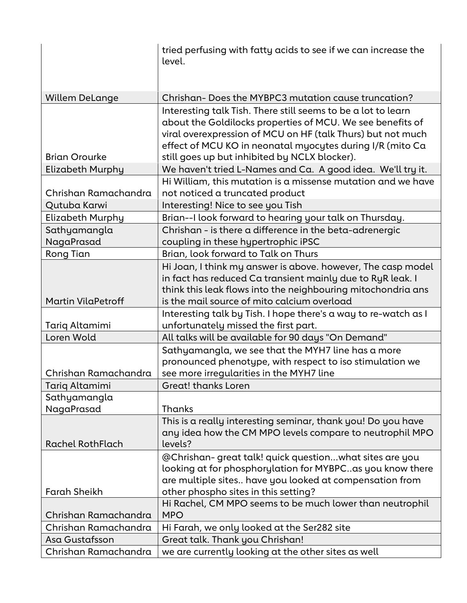|                            | tried perfusing with fatty acids to see if we can increase the<br>level.                                                                                                                                                                                |
|----------------------------|---------------------------------------------------------------------------------------------------------------------------------------------------------------------------------------------------------------------------------------------------------|
| <b>Willem DeLange</b>      | Chrishan-Does the MYBPC3 mutation cause truncation?                                                                                                                                                                                                     |
|                            | Interesting talk Tish. There still seems to be a lot to learn<br>about the Goldilocks properties of MCU. We see benefits of<br>viral overexpression of MCU on HF (talk Thurs) but not much<br>effect of MCU KO in neonatal myocytes during I/R (mito Ca |
| <b>Brian Orourke</b>       | still goes up but inhibited by NCLX blocker).                                                                                                                                                                                                           |
| Elizabeth Murphy           | We haven't tried L-Names and Ca. A good idea. We'll try it.                                                                                                                                                                                             |
| Chrishan Ramachandra       | Hi William, this mutation is a missense mutation and we have<br>not noticed a truncated product                                                                                                                                                         |
| Qutuba Karwi               | Interesting! Nice to see you Tish                                                                                                                                                                                                                       |
| <b>Elizabeth Murphy</b>    | Brian--I look forward to hearing your talk on Thursday.                                                                                                                                                                                                 |
| Sathyamangla               | Chrishan - is there a difference in the beta-adrenergic                                                                                                                                                                                                 |
| NagaPrasad<br>Rong Tian    | coupling in these hypertrophic iPSC<br>Brian, look forward to Talk on Thurs                                                                                                                                                                             |
| <b>Martin VilaPetroff</b>  | Hi Joan, I think my answer is above. however, The casp model<br>in fact has reduced Ca transient mainly due to RyR leak. I<br>think this leak flows into the neighbouring mitochondria ans<br>is the mail source of mito calcium overload               |
|                            | Interesting talk by Tish. I hope there's a way to re-watch as I                                                                                                                                                                                         |
| Tariq Altamimi             | unfortunately missed the first part.                                                                                                                                                                                                                    |
| Loren Wold                 | All talks will be available for 90 days "On Demand"                                                                                                                                                                                                     |
| Chrishan Ramachandra       | Sathyamangla, we see that the MYH7 line has a more<br>pronounced phenotype, with respect to iso stimulation we<br>see more irregularities in the MYH7 line                                                                                              |
| Tariq Altamimi             | <b>Great! thanks Loren</b>                                                                                                                                                                                                                              |
| Sathyamangla<br>NagaPrasad | Thanks                                                                                                                                                                                                                                                  |
| <b>Rachel RothFlach</b>    | This is a really interesting seminar, thank you! Do you have<br>any idea how the CM MPO levels compare to neutrophil MPO<br>levels?                                                                                                                     |
| <b>Farah Sheikh</b>        | @Chrishan-great talk! quick questionwhat sites are you<br>looking at for phosphorylation for MYBPCas you know there<br>are multiple sites have you looked at compensation from<br>other phospho sites in this setting?                                  |
| Chrishan Ramachandra       | Hi Rachel, CM MPO seems to be much lower than neutrophil<br><b>MPO</b>                                                                                                                                                                                  |
| Chrishan Ramachandra       | Hi Farah, we only looked at the Ser282 site                                                                                                                                                                                                             |
| Asa Gustafsson             | Great talk. Thank you Chrishan!                                                                                                                                                                                                                         |
| Chrishan Ramachandra       | we are currently looking at the other sites as well                                                                                                                                                                                                     |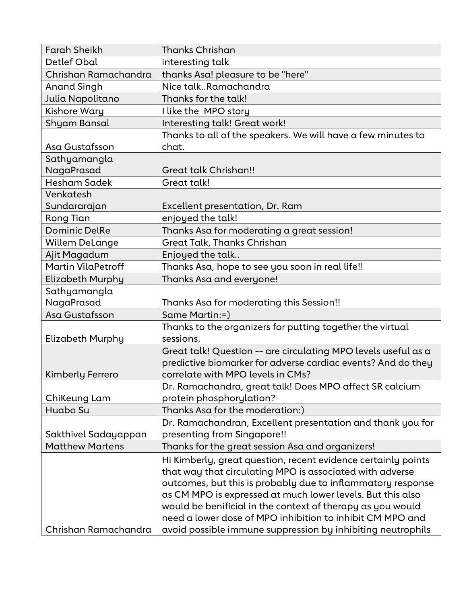| <b>Farah Sheikh</b>    | <b>Thanks Chrishan</b>                                         |
|------------------------|----------------------------------------------------------------|
| Detlef Obal            | interesting talk                                               |
| Chrishan Ramachandra   | thanks Asa! pleasure to be "here"                              |
| <b>Anand Singh</b>     | Nice talkRamachandra                                           |
| Julia Napolitano       | Thanks for the talk!                                           |
| Kishore Wary           | I like the MPO story                                           |
| Shyam Bansal           | Interesting talk! Great work!                                  |
|                        | Thanks to all of the speakers. We will have a few minutes to   |
| Asa Gustafsson         | chat.                                                          |
| Sathyamangla           |                                                                |
| NagaPrasad             | Great talk Chrishan!!                                          |
| <b>Hesham Sadek</b>    | Great talk!                                                    |
| Venkatesh              |                                                                |
| Sundararajan           | Excellent presentation, Dr. Ram                                |
| Rong Tian              | enjoyed the talk!                                              |
| <b>Dominic DelRe</b>   | Thanks Asa for moderating a great session!                     |
| <b>Willem DeLange</b>  | Great Talk, Thanks Chrishan                                    |
| Ajit Magadum           | Enjoyed the talk                                               |
| Martin VilaPetroff     | Thanks Asa, hope to see you soon in real life!!                |
| Elizabeth Murphy       | Thanks Asa and everyone!                                       |
| Sathyamangla           |                                                                |
| NagaPrasad             | Thanks Asa for moderating this Session!!                       |
| Asa Gustafsson         | Same Martin:=)                                                 |
|                        | Thanks to the organizers for putting together the virtual      |
| Elizabeth Murphy       | sessions.                                                      |
|                        | Great talk! Question -- are circulating MPO levels useful as a |
|                        | predictive biomarker for adverse cardiac events? And do they   |
| Kimberly Ferrero       | correlate with MPO levels in CMs?                              |
|                        | Dr. Ramachandra, great talk! Does MPO affect SR calcium        |
| ChiKeung Lam           | protein phosphorylation?                                       |
| Huabo Su               | Thanks Asa for the moderation:)                                |
|                        | Dr. Ramachandran, Excellent presentation and thank you for     |
| Sakthivel Sadayappan   | presenting from Singapore!!                                    |
| <b>Matthew Martens</b> | Thanks for the great session Asa and organizers!               |
|                        | Hi Kimberly, great question, recent evidence certainly points  |
|                        | that way that circulating MPO is associated with adverse       |
|                        | outcomes, but this is probably due to inflammatory response    |
|                        | as CM MPO is expressed at much lower levels. But this also     |
|                        | would be benificial in the context of therapy as you would     |
|                        | need a lower dose of MPO inhibition to inhibit CM MPO and      |
| Chrishan Ramachandra   | avoid possible immune suppression by inhibiting neutrophils    |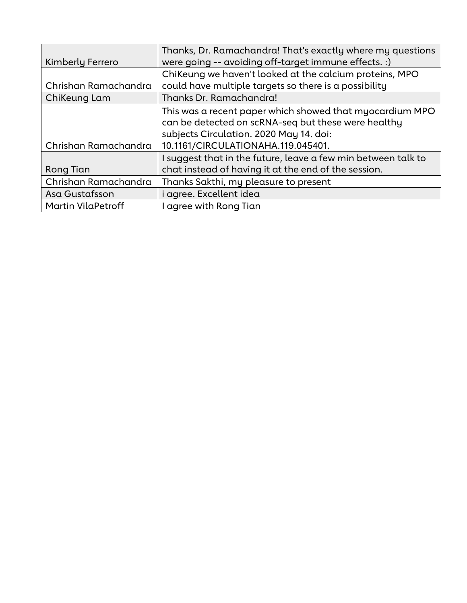| Kimberly Ferrero          | Thanks, Dr. Ramachandra! That's exactly where my questions<br>were going -- avoiding off-target immune effects. :) |
|---------------------------|--------------------------------------------------------------------------------------------------------------------|
|                           | ChiKeung we haven't looked at the calcium proteins, MPO                                                            |
| Chrishan Ramachandra      | could have multiple targets so there is a possibility                                                              |
| ChiKeung Lam              | Thanks Dr. Ramachandra!                                                                                            |
|                           | This was a recent paper which showed that myocardium MPO                                                           |
|                           | can be detected on scRNA-seq but these were healthy                                                                |
|                           | subjects Circulation. 2020 May 14. doi:                                                                            |
| Chrishan Ramachandra      | 10.1161/CIRCULATIONAHA.119.045401.                                                                                 |
|                           | I suggest that in the future, leave a few min between talk to                                                      |
| Rong Tian                 | chat instead of having it at the end of the session.                                                               |
| Chrishan Ramachandra      | Thanks Sakthi, my pleasure to present                                                                              |
| Asa Gustafsson            | i agree. Excellent idea                                                                                            |
| <b>Martin VilaPetroff</b> | I agree with Rong Tian                                                                                             |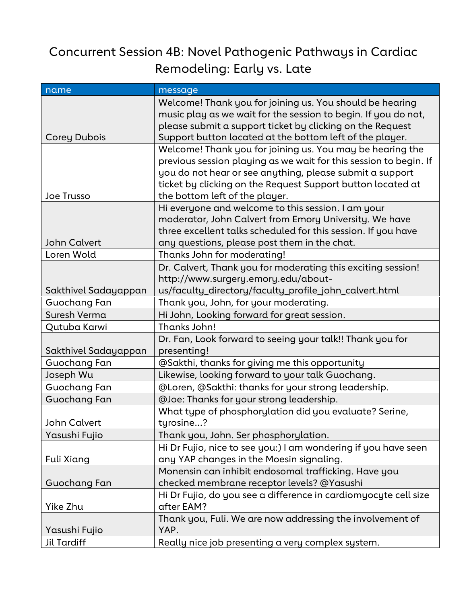### Concurrent Session 4B: Novel Pathogenic Pathways in Cardiac Remodeling: Early vs. Late

| name                 | message                                                                                                                 |
|----------------------|-------------------------------------------------------------------------------------------------------------------------|
|                      | Welcome! Thank you for joining us. You should be hearing                                                                |
|                      | music play as we wait for the session to begin. If you do not,                                                          |
|                      | please submit a support ticket by clicking on the Request                                                               |
| <b>Corey Dubois</b>  | Support button located at the bottom left of the player.                                                                |
|                      | Welcome! Thank you for joining us. You may be hearing the                                                               |
|                      | previous session playing as we wait for this session to begin. If                                                       |
|                      | you do not hear or see anything, please submit a support<br>ticket by clicking on the Request Support button located at |
| Joe Trusso           | the bottom left of the player.                                                                                          |
|                      | Hi everyone and welcome to this session. I am your                                                                      |
|                      | moderator, John Calvert from Emory University. We have                                                                  |
|                      | three excellent talks scheduled for this session. If you have                                                           |
| <b>John Calvert</b>  | any questions, please post them in the chat.                                                                            |
| Loren Wold           | Thanks John for moderating!                                                                                             |
|                      | Dr. Calvert, Thank you for moderating this exciting session!                                                            |
|                      | http://www.surgery.emory.edu/about-                                                                                     |
| Sakthivel Sadayappan | us/faculty_directory/faculty_profile_john_calvert.html                                                                  |
| Guochang Fan         | Thank you, John, for your moderating.                                                                                   |
| Suresh Verma         | Hi John, Looking forward for great session.                                                                             |
| Qutuba Karwi         | Thanks John!                                                                                                            |
|                      | Dr. Fan, Look forward to seeing your talk!! Thank you for                                                               |
| Sakthivel Sadayappan | presenting!                                                                                                             |
| Guochang Fan         | @Sakthi, thanks for giving me this opportunity                                                                          |
| Joseph Wu            | Likewise, looking forward to your talk Guochang.                                                                        |
| Guochang Fan         | @Loren, @Sakthi: thanks for your strong leadership.                                                                     |
| Guochang Fan         | @Joe: Thanks for your strong leadership.                                                                                |
|                      | What type of phosphorylation did you evaluate? Serine,                                                                  |
| <b>John Calvert</b>  | tyrosine?                                                                                                               |
| Yasushi Fujio        | Thank you, John. Ser phosphorylation.                                                                                   |
|                      | Hi Dr Fujio, nice to see you:) I am wondering if you have seen                                                          |
| Fuli Xiang           | any YAP changes in the Moesin signaling.                                                                                |
|                      | Monensin can inhibit endosomal trafficking. Have you                                                                    |
| Guochang Fan         | checked membrane receptor levels? @Yasushi                                                                              |
|                      | Hi Dr Fujio, do you see a difference in cardiomyocyte cell size                                                         |
| Yike Zhu             | after EAM?                                                                                                              |
|                      | Thank you, Fuli. We are now addressing the involvement of                                                               |
| Yasushi Fujio        | YAP.                                                                                                                    |
| <b>Jil Tardiff</b>   | Really nice job presenting a very complex system.                                                                       |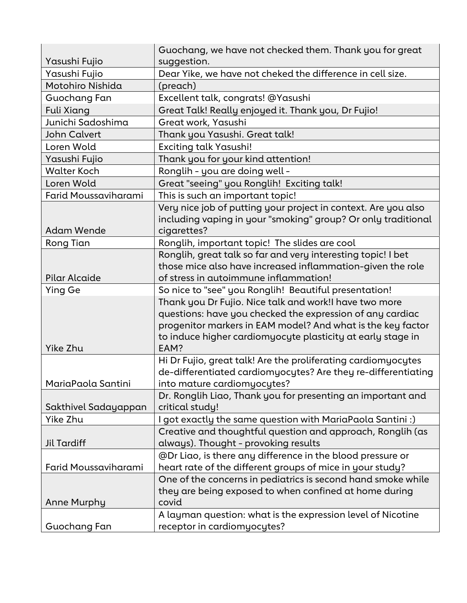|                      | Guochang, we have not checked them. Thank you for great             |
|----------------------|---------------------------------------------------------------------|
| Yasushi Fujio        | suggestion.                                                         |
| Yasushi Fujio        | Dear Yike, we have not cheked the difference in cell size.          |
| Motohiro Nishida     | (preach)                                                            |
| Guochang Fan         | Excellent talk, congrats! @Yasushi                                  |
| <b>Fuli Xiang</b>    | Great Talk! Really enjoyed it. Thank you, Dr Fujio!                 |
| Junichi Sadoshima    | Great work, Yasushi                                                 |
| <b>John Calvert</b>  | Thank you Yasushi. Great talk!                                      |
| Loren Wold           | <b>Exciting talk Yasushi!</b>                                       |
| Yasushi Fujio        | Thank you for your kind attention!                                  |
| <b>Walter Koch</b>   | Ronglih - you are doing well -                                      |
| Loren Wold           | Great "seeing" you Ronglih! Exciting talk!                          |
| Farid Moussaviharami | This is such an important topic!                                    |
|                      | Very nice job of putting your project in context. Are you also      |
|                      | including vaping in your "smoking" group? Or only traditional       |
| <b>Adam Wende</b>    | cigarettes?                                                         |
| Rong Tian            | Ronglih, important topic! The slides are cool                       |
|                      | Ronglih, great talk so far and very interesting topic! I bet        |
|                      | those mice also have increased inflammation-given the role          |
| Pilar Alcaide        | of stress in autoimmune inflammation!                               |
| <b>Ying Ge</b>       | So nice to "see" you Ronglih! Beautiful presentation!               |
|                      | Thank you Dr Fujio. Nice talk and work!I have two more              |
|                      | questions: have you checked the expression of any cardiac           |
|                      | progenitor markers in EAM model? And what is the key factor         |
| Yike Zhu             | to induce higher cardiomyocyte plasticity at early stage in<br>EAM? |
|                      | Hi Dr Fujio, great talk! Are the proliferating cardiomyocytes       |
|                      | de-differentiated cardiomyocytes? Are they re-differentiating       |
| MariaPaola Santini   | into mature cardiomyocytes?                                         |
|                      | Dr. Ronglih Liao, Thank you for presenting an important and         |
| Sakthivel Sadayappan | critical study!                                                     |
| Yike Zhu             | I got exactly the same question with MariaPaola Santini :)          |
|                      | Creative and thoughtful question and approach, Ronglih (as          |
| Jil Tardiff          | always). Thought - provoking results                                |
|                      | @Dr Liao, is there any difference in the blood pressure or          |
| Farid Moussaviharami | heart rate of the different groups of mice in your study?           |
|                      | One of the concerns in pediatrics is second hand smoke while        |
|                      | they are being exposed to when confined at home during              |
| <b>Anne Murphy</b>   | covid                                                               |
|                      | A layman question: what is the expression level of Nicotine         |
| Guochang Fan         | receptor in cardiomyocytes?                                         |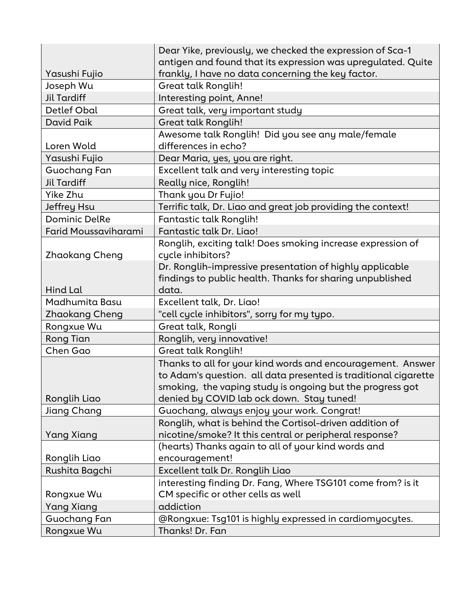|                      | Dear Yike, previously, we checked the expression of Sca-1       |
|----------------------|-----------------------------------------------------------------|
|                      | antigen and found that its expression was upregulated. Quite    |
| Yasushi Fujio        | frankly, I have no data concerning the key factor.              |
| Joseph Wu            | <b>Great talk Ronglih!</b>                                      |
| <b>Jil Tardiff</b>   | Interesting point, Anne!                                        |
| Detlef Obal          | Great talk, very important study                                |
| David Paik           | Great talk Ronglih!                                             |
|                      | Awesome talk Ronglih! Did you see any male/female               |
| Loren Wold           | differences in echo?                                            |
| Yasushi Fujio        | Dear Maria, yes, you are right.                                 |
| Guochang Fan         | Excellent talk and very interesting topic                       |
| <b>Jil Tardiff</b>   | Really nice, Ronglih!                                           |
| Yike Zhu             | Thank you Dr Fujio!                                             |
| Jeffrey Hsu          | Terrific talk, Dr. Liao and great job providing the context!    |
| <b>Dominic DelRe</b> | Fantastic talk Ronglih!                                         |
| Farid Moussaviharami | Fantastic talk Dr. Liao!                                        |
|                      | Ronglih, exciting talk! Does smoking increase expression of     |
| Zhaokang Cheng       | cycle inhibitors?                                               |
|                      | Dr. Ronglih-impressive presentation of highly applicable        |
|                      | findings to public health. Thanks for sharing unpublished       |
| Hind Lal             | data.                                                           |
| Madhumita Basu       | Excellent talk, Dr. Liao!                                       |
| Zhaokang Cheng       | "cell cycle inhibitors", sorry for my typo.                     |
| Rongxue Wu           | Great talk, Rongli                                              |
| Rong Tian            | Ronglih, very innovative!                                       |
| Chen Gao             | <b>Great talk Ronglih!</b>                                      |
|                      | Thanks to all for your kind words and encouragement. Answer     |
|                      | to Adam's question. all data presented is traditional cigarette |
|                      | smoking, the vaping study is ongoing but the progress got       |
| Ronglih Liao         | denied by COVID lab ock down. Stay tuned!                       |
| Jiang Chang          | Guochang, always enjoy your work. Congrat!                      |
|                      | Ronglih, what is behind the Cortisol-driven addition of         |
| Yang Xiang           | nicotine/smoke? It this central or peripheral response?         |
|                      | (hearts) Thanks again to all of your kind words and             |
| Ronglih Liao         | encouragement!                                                  |
| Rushita Bagchi       | Excellent talk Dr. Ronglih Liao                                 |
|                      | interesting finding Dr. Fang, Where TSG101 come from? is it     |
| Rongxue Wu           | CM specific or other cells as well                              |
| Yang Xiang           | addiction                                                       |
| Guochang Fan         | @Rongxue: Tsg101 is highly expressed in cardiomyocytes.         |
| Rongxue Wu           | Thanks! Dr. Fan                                                 |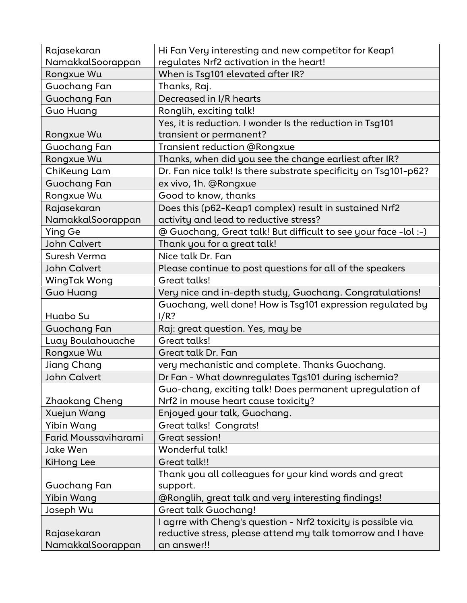| Rajasekaran                                                                                                                                                 | Hi Fan Very interesting and new competitor for Keap1                                                                                                                                                                                                                                                                                                                                                                                                                                                                                                                     |
|-------------------------------------------------------------------------------------------------------------------------------------------------------------|--------------------------------------------------------------------------------------------------------------------------------------------------------------------------------------------------------------------------------------------------------------------------------------------------------------------------------------------------------------------------------------------------------------------------------------------------------------------------------------------------------------------------------------------------------------------------|
| NamakkalSoorappan                                                                                                                                           | regulates Nrf2 activation in the heart!                                                                                                                                                                                                                                                                                                                                                                                                                                                                                                                                  |
| Rongxue Wu                                                                                                                                                  | When is Tsg101 elevated after IR?                                                                                                                                                                                                                                                                                                                                                                                                                                                                                                                                        |
| Guochang Fan                                                                                                                                                | Thanks, Raj.                                                                                                                                                                                                                                                                                                                                                                                                                                                                                                                                                             |
| Guochang Fan                                                                                                                                                | Decreased in I/R hearts                                                                                                                                                                                                                                                                                                                                                                                                                                                                                                                                                  |
| Guo Huang                                                                                                                                                   | Ronglih, exciting talk!                                                                                                                                                                                                                                                                                                                                                                                                                                                                                                                                                  |
|                                                                                                                                                             | Yes, it is reduction. I wonder Is the reduction in Tsg101                                                                                                                                                                                                                                                                                                                                                                                                                                                                                                                |
| Rongxue Wu                                                                                                                                                  | transient or permanent?                                                                                                                                                                                                                                                                                                                                                                                                                                                                                                                                                  |
| Guochang Fan                                                                                                                                                | Transient reduction @Rongxue                                                                                                                                                                                                                                                                                                                                                                                                                                                                                                                                             |
| Rongxue Wu                                                                                                                                                  | Thanks, when did you see the change earliest after IR?                                                                                                                                                                                                                                                                                                                                                                                                                                                                                                                   |
| ChiKeung Lam                                                                                                                                                | Dr. Fan nice talk! Is there substrate specificity on Tsg101-p62?                                                                                                                                                                                                                                                                                                                                                                                                                                                                                                         |
| Guochang Fan                                                                                                                                                | ex vivo, 1h. @Rongxue                                                                                                                                                                                                                                                                                                                                                                                                                                                                                                                                                    |
| Rongxue Wu                                                                                                                                                  | Good to know, thanks                                                                                                                                                                                                                                                                                                                                                                                                                                                                                                                                                     |
| Rajasekaran                                                                                                                                                 | Does this (p62-Keap1 complex) result in sustained Nrf2                                                                                                                                                                                                                                                                                                                                                                                                                                                                                                                   |
| NamakkalSoorappan                                                                                                                                           | activity and lead to reductive stress?                                                                                                                                                                                                                                                                                                                                                                                                                                                                                                                                   |
| <b>Ying Ge</b>                                                                                                                                              | @ Guochang, Great talk! But difficult to see your face -lol :-)                                                                                                                                                                                                                                                                                                                                                                                                                                                                                                          |
| <b>John Calvert</b>                                                                                                                                         | Thank you for a great talk!                                                                                                                                                                                                                                                                                                                                                                                                                                                                                                                                              |
| Suresh Verma                                                                                                                                                | Nice talk Dr. Fan                                                                                                                                                                                                                                                                                                                                                                                                                                                                                                                                                        |
| <b>John Calvert</b>                                                                                                                                         | Please continue to post questions for all of the speakers                                                                                                                                                                                                                                                                                                                                                                                                                                                                                                                |
| WingTak Wong                                                                                                                                                | Great talks!                                                                                                                                                                                                                                                                                                                                                                                                                                                                                                                                                             |
| <b>Guo Huang</b>                                                                                                                                            | Very nice and in-depth study, Guochang. Congratulations!                                                                                                                                                                                                                                                                                                                                                                                                                                                                                                                 |
|                                                                                                                                                             | Guochang, well done! How is Tsg101 expression regulated by                                                                                                                                                                                                                                                                                                                                                                                                                                                                                                               |
| Huabo Su                                                                                                                                                    | I/R?                                                                                                                                                                                                                                                                                                                                                                                                                                                                                                                                                                     |
| <b>Guochang Fan</b>                                                                                                                                         | Raj: great question. Yes, may be                                                                                                                                                                                                                                                                                                                                                                                                                                                                                                                                         |
| Luay Boulahouache                                                                                                                                           | Great talks!                                                                                                                                                                                                                                                                                                                                                                                                                                                                                                                                                             |
| Rongxue Wu                                                                                                                                                  | Great talk Dr. Fan                                                                                                                                                                                                                                                                                                                                                                                                                                                                                                                                                       |
| Jiang Chang                                                                                                                                                 | very mechanistic and complete. Thanks Guochang.                                                                                                                                                                                                                                                                                                                                                                                                                                                                                                                          |
| <b>John Calvert</b>                                                                                                                                         |                                                                                                                                                                                                                                                                                                                                                                                                                                                                                                                                                                          |
|                                                                                                                                                             |                                                                                                                                                                                                                                                                                                                                                                                                                                                                                                                                                                          |
|                                                                                                                                                             |                                                                                                                                                                                                                                                                                                                                                                                                                                                                                                                                                                          |
|                                                                                                                                                             |                                                                                                                                                                                                                                                                                                                                                                                                                                                                                                                                                                          |
|                                                                                                                                                             |                                                                                                                                                                                                                                                                                                                                                                                                                                                                                                                                                                          |
| Farid Moussaviharami                                                                                                                                        |                                                                                                                                                                                                                                                                                                                                                                                                                                                                                                                                                                          |
|                                                                                                                                                             |                                                                                                                                                                                                                                                                                                                                                                                                                                                                                                                                                                          |
|                                                                                                                                                             |                                                                                                                                                                                                                                                                                                                                                                                                                                                                                                                                                                          |
|                                                                                                                                                             |                                                                                                                                                                                                                                                                                                                                                                                                                                                                                                                                                                          |
|                                                                                                                                                             |                                                                                                                                                                                                                                                                                                                                                                                                                                                                                                                                                                          |
|                                                                                                                                                             |                                                                                                                                                                                                                                                                                                                                                                                                                                                                                                                                                                          |
|                                                                                                                                                             |                                                                                                                                                                                                                                                                                                                                                                                                                                                                                                                                                                          |
|                                                                                                                                                             |                                                                                                                                                                                                                                                                                                                                                                                                                                                                                                                                                                          |
|                                                                                                                                                             |                                                                                                                                                                                                                                                                                                                                                                                                                                                                                                                                                                          |
|                                                                                                                                                             | an answer!!                                                                                                                                                                                                                                                                                                                                                                                                                                                                                                                                                              |
| Zhaokang Cheng<br>Xuejun Wang<br>Yibin Wang<br>Jake Wen<br>KiHong Lee<br>Guochang Fan<br><b>Yibin Wang</b><br>Joseph Wu<br>Rajasekaran<br>NamakkalSoorappan | Dr Fan - What downregulates Tgs101 during ischemia?<br>Guo-chang, exciting talk! Does permanent upregulation of<br>Nrf2 in mouse heart cause toxicity?<br>Enjoyed your talk, Guochang.<br><b>Great talks! Congrats!</b><br>Great session!<br>Wonderful talk!<br>Great talk!!<br>Thank you all colleagues for your kind words and great<br>support.<br>@Ronglih, great talk and very interesting findings!<br><b>Great talk Guochang!</b><br>I agrre with Cheng's question - Nrf2 toxicity is possible via<br>reductive stress, please attend my talk tomorrow and I have |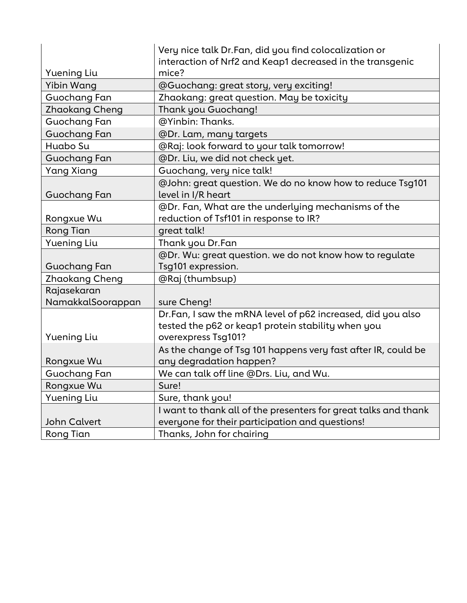|                     | Very nice talk Dr.Fan, did you find colocalization or<br>interaction of Nrf2 and Keap1 decreased in the transgenic |
|---------------------|--------------------------------------------------------------------------------------------------------------------|
| <b>Yuening Liu</b>  | mice?                                                                                                              |
| Yibin Wang          | @Guochang: great story, very exciting!                                                                             |
| Guochang Fan        | Zhaokang: great question. May be toxicity                                                                          |
| Zhaokang Cheng      | Thank you Guochang!                                                                                                |
| Guochang Fan        | @Yinbin: Thanks.                                                                                                   |
| <b>Guochang Fan</b> | @Dr. Lam, many targets                                                                                             |
| Huabo Su            | @Raj: look forward to your talk tomorrow!                                                                          |
| <b>Guochang Fan</b> | @Dr. Liu, we did not check yet.                                                                                    |
| <b>Yang Xiang</b>   | Guochang, very nice talk!                                                                                          |
| Guochang Fan        | @John: great question. We do no know how to reduce Tsg101<br>level in I/R heart                                    |
|                     | @Dr. Fan, What are the underlying mechanisms of the                                                                |
| Rongxue Wu          | reduction of Tsf101 in response to IR?                                                                             |
| <b>Rong Tian</b>    | great talk!                                                                                                        |
| <b>Yuening Liu</b>  | Thank you Dr.Fan                                                                                                   |
|                     | @Dr. Wu: great question. we do not know how to regulate                                                            |
| Guochang Fan        | Tsg101 expression.                                                                                                 |
| Zhaokang Cheng      | @Raj (thumbsup)                                                                                                    |
| Rajasekaran         |                                                                                                                    |
| NamakkalSoorappan   | sure Cheng!                                                                                                        |
|                     | Dr.Fan, I saw the mRNA level of p62 increased, did you also                                                        |
|                     | tested the p62 or keap1 protein stability when you                                                                 |
| <b>Yuening Liu</b>  | overexpress Tsg101?                                                                                                |
|                     | As the change of Tsg 101 happens very fast after IR, could be                                                      |
| Rongxue Wu          | any degradation happen?                                                                                            |
| Guochang Fan        | We can talk off line @Drs. Liu, and Wu.                                                                            |
| Rongxue Wu          | Sure!                                                                                                              |
| <b>Yuening Liu</b>  | Sure, thank you!                                                                                                   |
|                     | I want to thank all of the presenters for great talks and thank                                                    |
| <b>John Calvert</b> | everyone for their participation and questions!                                                                    |
| Rong Tian           | Thanks, John for chairing                                                                                          |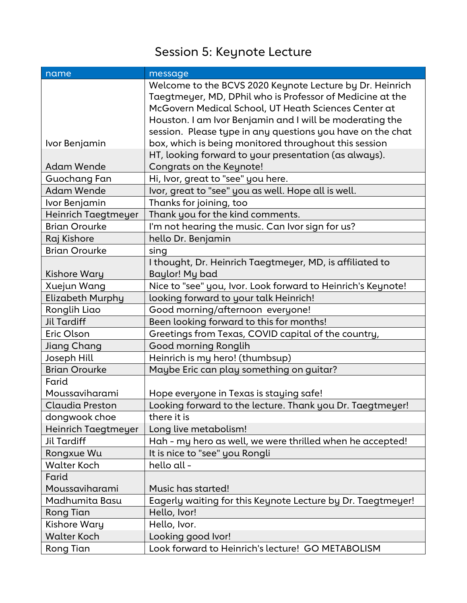# Session 5: Keynote Lecture

| name                   | message                                                      |
|------------------------|--------------------------------------------------------------|
|                        | Welcome to the BCVS 2020 Keynote Lecture by Dr. Heinrich     |
|                        | Taegtmeyer, MD, DPhil who is Professor of Medicine at the    |
|                        | McGovern Medical School, UT Heath Sciences Center at         |
|                        | Houston. I am Ivor Benjamin and I will be moderating the     |
|                        | session. Please type in any questions you have on the chat   |
| Ivor Benjamin          | box, which is being monitored throughout this session        |
|                        | HT, looking forward to your presentation (as always).        |
| Adam Wende             | Congrats on the Keynote!                                     |
| Guochang Fan           | Hi, Ivor, great to "see" you here.                           |
| <b>Adam Wende</b>      | Ivor, great to "see" you as well. Hope all is well.          |
| Ivor Benjamin          | Thanks for joining, too                                      |
| Heinrich Taegtmeyer    | Thank you for the kind comments.                             |
| <b>Brian Orourke</b>   | I'm not hearing the music. Can Ivor sign for us?             |
| Raj Kishore            | hello Dr. Benjamin                                           |
| <b>Brian Orourke</b>   | sing                                                         |
|                        | I thought, Dr. Heinrich Taegtmeyer, MD, is affiliated to     |
| Kishore Wary           | Baylor! My bad                                               |
| Xuejun Wang            | Nice to "see" you, Ivor. Look forward to Heinrich's Keynote! |
| Elizabeth Murphy       | looking forward to your talk Heinrich!                       |
| Ronglih Liao           | Good morning/afternoon everyone!                             |
| <b>Jil Tardiff</b>     | Been looking forward to this for months!                     |
| Eric Olson             | Greetings from Texas, COVID capital of the country,          |
| Jiang Chang            | Good morning Ronglih                                         |
| Joseph Hill            | Heinrich is my hero! (thumbsup)                              |
| <b>Brian Orourke</b>   | Maybe Eric can play something on guitar?                     |
| Farid                  |                                                              |
| Moussaviharami         | Hope everyone in Texas is staying safe!                      |
| <b>Claudia Preston</b> | Looking forward to the lecture. Thank you Dr. Taegtmeyer!    |
| dongwook choe          | there it is                                                  |
| Heinrich Taegtmeyer    | Long live metabolism!                                        |
| <b>Jil Tardiff</b>     | Hah - my hero as well, we were thrilled when he accepted!    |
| Rongxue Wu             | It is nice to "see" you Rongli                               |
| <b>Walter Koch</b>     | hello all -                                                  |
| Farid                  |                                                              |
| Moussaviharami         | Music has started!                                           |
| Madhumita Basu         | Eagerly waiting for this Keynote Lecture by Dr. Taegtmeyer!  |
| Rong Tian              | Hello, Ivor!                                                 |
| Kishore Wary           | Hello, Ivor.                                                 |
| <b>Walter Koch</b>     | Looking good Ivor!                                           |
| <b>Rong Tian</b>       | Look forward to Heinrich's lecture! GO METABOLISM            |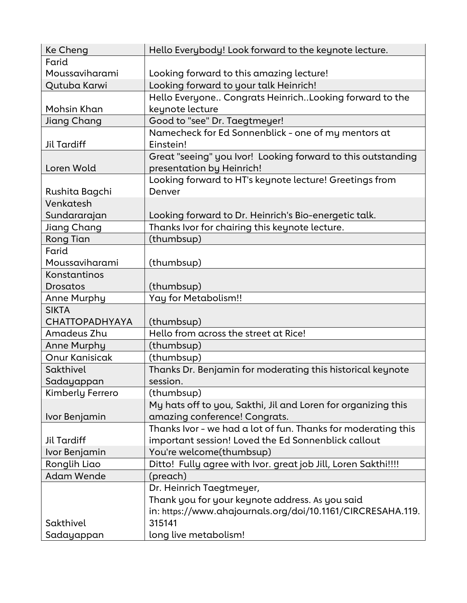| Ke Cheng              | Hello Everybody! Look forward to the keynote lecture.                                     |
|-----------------------|-------------------------------------------------------------------------------------------|
| Farid                 |                                                                                           |
| Moussaviharami        | Looking forward to this amazing lecture!                                                  |
| Qutuba Karwi          | Looking forward to your talk Heinrich!                                                    |
|                       | Hello Everyone Congrats HeinrichLooking forward to the                                    |
| Mohsin Khan           | keynote lecture                                                                           |
| Jiang Chang           | Good to "see" Dr. Taegtmeyer!                                                             |
| <b>Jil Tardiff</b>    | Namecheck for Ed Sonnenblick - one of my mentors at<br>Einstein!                          |
| Loren Wold            | Great "seeing" you Ivor! Looking forward to this outstanding<br>presentation by Heinrich! |
|                       | Looking forward to HT's keynote lecture! Greetings from                                   |
| Rushita Bagchi        | Denver                                                                                    |
| Venkatesh             |                                                                                           |
| Sundararajan          | Looking forward to Dr. Heinrich's Bio-energetic talk.                                     |
| Jiang Chang           | Thanks Ivor for chairing this keynote lecture.                                            |
| Rong Tian             | (thumbsup)                                                                                |
| Farid                 |                                                                                           |
| Moussaviharami        | (thumbsup)                                                                                |
| Konstantinos          |                                                                                           |
| Drosatos              | (thumbsup)                                                                                |
| Anne Murphy           | Yay for Metabolism!!                                                                      |
| <b>SIKTA</b>          |                                                                                           |
| <b>CHATTOPADHYAYA</b> | (thumbsup)                                                                                |
| Amadeus Zhu           | Hello from across the street at Rice!                                                     |
| Anne Murphy           | (thumbsup)                                                                                |
| <b>Onur Kanisicak</b> | (thumbsup)                                                                                |
| Sakthivel             | Thanks Dr. Benjamin for moderating this historical keynote                                |
| Sadayappan            | session                                                                                   |
| Kimberly Ferrero      | (thumbsup)                                                                                |
|                       | My hats off to you, Sakthi, Jil and Loren for organizing this                             |
| Ivor Benjamin         | amazing conference! Congrats.                                                             |
|                       | Thanks Ivor - we had a lot of fun. Thanks for moderating this                             |
| Jil Tardiff           | important session! Loved the Ed Sonnenblick callout                                       |
| Ivor Benjamin         | You're welcome(thumbsup)                                                                  |
| Ronglih Liao          | Ditto! Fully agree with Ivor. great job Jill, Loren Sakthi!!!!                            |
| <b>Adam Wende</b>     | (preach)                                                                                  |
|                       | Dr. Heinrich Taegtmeyer,                                                                  |
|                       | Thank you for your keynote address. As you said                                           |
|                       | in: https://www.ahajournals.org/doi/10.1161/CIRCRESAHA.119.                               |
| Sakthivel             | 315141                                                                                    |
| Sadayappan            | long live metabolism!                                                                     |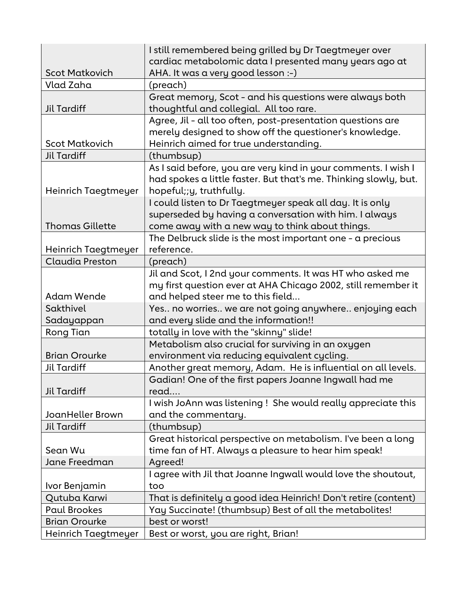|                        | I still remembered being grilled by Dr Taegtmeyer over                                       |
|------------------------|----------------------------------------------------------------------------------------------|
| <b>Scot Matkovich</b>  | cardiac metabolomic data I presented many years ago at<br>AHA. It was a very good lesson :-) |
| Vlad Zaha              | (preach)                                                                                     |
|                        | Great memory, Scot - and his questions were always both                                      |
| <b>Jil Tardiff</b>     | thoughtful and collegial. All too rare.                                                      |
|                        | Agree, Jil - all too often, post-presentation questions are                                  |
|                        | merely designed to show off the questioner's knowledge.                                      |
| <b>Scot Matkovich</b>  | Heinrich aimed for true understanding.                                                       |
| <b>Jil Tardiff</b>     | (thumbsup)                                                                                   |
|                        | As I said before, you are very kind in your comments. I wish I                               |
|                        | had spokes a little faster. But that's me. Thinking slowly, but.                             |
| Heinrich Taegtmeyer    | hopeful;;y, truthfully.                                                                      |
|                        | I could listen to Dr Taegtmeyer speak all day. It is only                                    |
|                        | superseded by having a conversation with him. I always                                       |
| <b>Thomas Gillette</b> | come away with a new way to think about things.                                              |
|                        | The Delbruck slide is the most important one - $a$ precious                                  |
| Heinrich Taegtmeyer    | reference.                                                                                   |
| <b>Claudia Preston</b> | (preach)                                                                                     |
|                        | Jil and Scot, I 2nd your comments. It was HT who asked me                                    |
|                        | my first question ever at AHA Chicago 2002, still remember it                                |
| <b>Adam Wende</b>      | and helped steer me to this field                                                            |
| Sakthivel              | Yes no worries we are not going anywhere enjoying each                                       |
| Sadayappan             | and every slide and the information!!                                                        |
| <b>Rong Tian</b>       | totally in love with the "skinny" slide!                                                     |
|                        | Metabolism also crucial for surviving in an oxygen                                           |
| <b>Brian Orourke</b>   | environment via reducing equivalent cycling.                                                 |
| <b>Jil Tardiff</b>     | Another great memory, Adam. He is influential on all levels.                                 |
|                        | Gadian! One of the first papers Joanne Ingwall had me                                        |
| <b>Jil Tardiff</b>     | read                                                                                         |
|                        | I wish JoAnn was listening ! She would really appreciate this                                |
| JoanHeller Brown       | and the commentary.                                                                          |
| <b>Jil Tardiff</b>     | (thumbsup)                                                                                   |
|                        | Great historical perspective on metabolism. I've been a long                                 |
| Sean Wu                | time fan of HT. Always a pleasure to hear him speak!                                         |
| Jane Freedman          | Agreed!                                                                                      |
|                        | I agree with Jil that Joanne Ingwall would love the shoutout,                                |
| Ivor Benjamin          | too                                                                                          |
| Qutuba Karwi           | That is definitely a good idea Heinrich! Don't retire (content)                              |
| <b>Paul Brookes</b>    | Yay Succinate! (thumbsup) Best of all the metabolites!                                       |
| <b>Brian Orourke</b>   | best or worst!                                                                               |
| Heinrich Taegtmeyer    | Best or worst, you are right, Brian!                                                         |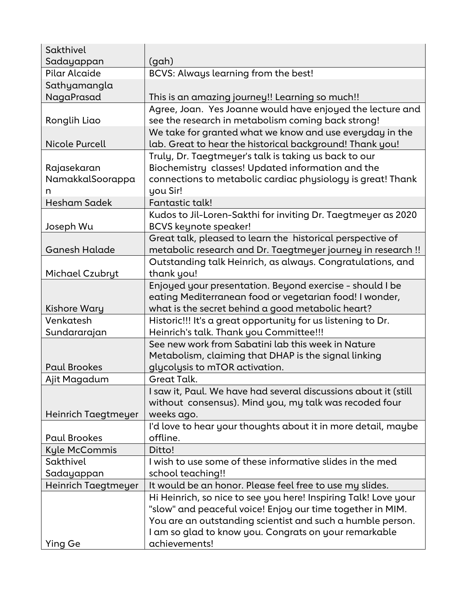| Sakthivel             |                                                                 |
|-----------------------|-----------------------------------------------------------------|
| Sadayappan            | (gah)                                                           |
| Pilar Alcaide         | BCVS: Always learning from the best!                            |
| Sathyamangla          |                                                                 |
| NagaPrasad            | This is an amazing journey!! Learning so much!!                 |
|                       | Agree, Joan. Yes Joanne would have enjoyed the lecture and      |
| Ronglih Liao          | see the research in metabolism coming back strong!              |
|                       | We take for granted what we know and use everyday in the        |
| <b>Nicole Purcell</b> | lab. Great to hear the historical background! Thank you!        |
|                       | Truly, Dr. Taegtmeyer's talk is taking us back to our           |
| Rajasekaran           | Biochemistry classes! Updated information and the               |
| NamakkalSoorappa      | connections to metabolic cardiac physiology is great! Thank     |
| n                     | you Sir!                                                        |
| <b>Hesham Sadek</b>   | Fantastic talk!                                                 |
|                       | Kudos to Jil-Loren-Sakthi for inviting Dr. Taegtmeyer as 2020   |
| Joseph Wu             | <b>BCVS</b> keynote speaker!                                    |
|                       | Great talk, pleased to learn the historical perspective of      |
| Ganesh Halade         | metabolic research and Dr. Taegtmeyer journey in research !!    |
|                       | Outstanding talk Heinrich, as always. Congratulations, and      |
| Michael Czubryt       | thank you!                                                      |
|                       | Enjoyed your presentation. Beyond exercise - should I be        |
|                       | eating Mediterranean food or vegetarian food! I wonder,         |
| <b>Kishore Wary</b>   | what is the secret behind a good metabolic heart?               |
| Venkatesh             | Historic!!! It's a great opportunity for us listening to Dr.    |
| Sundararajan          | Heinrich's talk. Thank you Committee!!!                         |
|                       | See new work from Sabatini lab this week in Nature              |
|                       | Metabolism, claiming that DHAP is the signal linking            |
| <b>Paul Brookes</b>   | glycolysis to mTOR activation.                                  |
| Ajit Magadum          | Great Talk.                                                     |
|                       | I saw it, Paul. We have had several discussions about it (still |
|                       | without consensus). Mind you, my talk was recoded four          |
| Heinrich Taegtmeyer   | weeks ago.                                                      |
|                       | I'd love to hear your thoughts about it in more detail, maybe   |
| <b>Paul Brookes</b>   | offline.                                                        |
| Kyle McCommis         | Ditto!                                                          |
| Sakthivel             | I wish to use some of these informative slides in the med       |
| Sadayappan            | school teaching!!                                               |
| Heinrich Taegtmeyer   | It would be an honor. Please feel free to use my slides.        |
|                       | Hi Heinrich, so nice to see you here! Inspiring Talk! Love your |
|                       | "slow" and peaceful voice! Enjoy our time together in MIM.      |
|                       | You are an outstanding scientist and such a humble person.      |
|                       | I am so glad to know you. Congrats on your remarkable           |
| Ying Ge               | achievements!                                                   |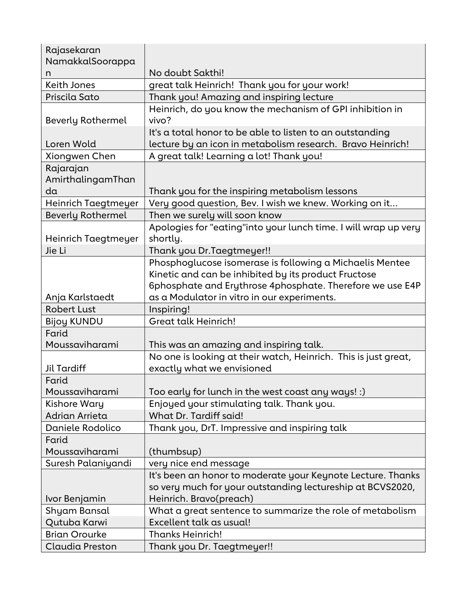| Rajasekaran              |                                                                 |
|--------------------------|-----------------------------------------------------------------|
| NamakkalSoorappa         |                                                                 |
| n                        | No doubt Sakthi!                                                |
| <b>Keith Jones</b>       | great talk Heinrich! Thank you for your work!                   |
| Priscila Sato            | Thank you! Amazing and inspiring lecture                        |
|                          | Heinrich, do you know the mechanism of GPI inhibition in        |
| <b>Beverly Rothermel</b> | vivo?                                                           |
|                          | It's a total honor to be able to listen to an outstanding       |
| Loren Wold               | lecture by an icon in metabolism research. Bravo Heinrich!      |
| Xiongwen Chen            | A great talk! Learning a lot! Thank you!                        |
| Rajarajan                |                                                                 |
| AmirthalingamThan        |                                                                 |
| da                       | Thank you for the inspiring metabolism lessons                  |
| Heinrich Taegtmeyer      | Very good question, Bev. I wish we knew. Working on it          |
| <b>Beverly Rothermel</b> | Then we surely will soon know                                   |
|                          | Apologies for "eating"into your lunch time. I will wrap up very |
| Heinrich Taegtmeyer      | shortly.                                                        |
| Jie Li                   | Thank you Dr. Taegtmeyer!!                                      |
|                          | Phosphoglucose isomerase is following a Michaelis Mentee        |
|                          | Kinetic and can be inhibited by its product Fructose            |
|                          | 6phosphate and Erythrose 4phosphate. Therefore we use E4P       |
| Anja Karlstaedt          | as a Modulator in vitro in our experiments.                     |
| <b>Robert Lust</b>       | Inspiring!                                                      |
| <b>Bijoy KUNDU</b>       | <b>Great talk Heinrich!</b>                                     |
| Farid                    |                                                                 |
| Moussaviharami           | This was an amazing and inspiring talk.                         |
|                          | No one is looking at their watch, Heinrich. This is just great, |
| <b>Jil Tardiff</b>       | exactly what we envisioned                                      |
| Farid                    |                                                                 |
| Moussaviharami           | Too early for lunch in the west coast any ways! :)              |
| <b>Kishore Wary</b>      | Enjoyed your stimulating talk. Thank you.                       |
| Adrian Arrieta           | What Dr. Tardiff said!                                          |
| Daniele Rodolico         | Thank you, DrT. Impressive and inspiring talk                   |
| Farid                    |                                                                 |
| Moussaviharami           | (thumbsup)                                                      |
| Suresh Palaniyandi       |                                                                 |
|                          | very nice end message                                           |
|                          | It's been an honor to moderate your Keynote Lecture. Thanks     |
|                          | so very much for your outstanding lectureship at BCVS2020,      |
| Ivor Benjamin            | Heinrich. Bravo(preach)                                         |
| Shyam Bansal             | What a great sentence to summarize the role of metabolism       |
| Qutuba Karwi             | Excellent talk as usual!                                        |
| <b>Brian Orourke</b>     | <b>Thanks Heinrich!</b>                                         |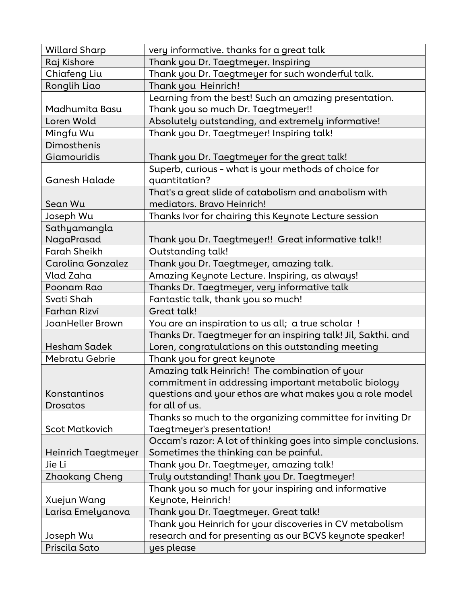| <b>Willard Sharp</b>  | very informative. thanks for a great talk                      |
|-----------------------|----------------------------------------------------------------|
| Raj Kishore           | Thank you Dr. Taegtmeyer. Inspiring                            |
| Chiafeng Liu          | Thank you Dr. Taegtmeyer for such wonderful talk.              |
| Ronglih Liao          | Thank you Heinrich!                                            |
|                       | Learning from the best! Such an amazing presentation.          |
| Madhumita Basu        | Thank you so much Dr. Taegtmeyer!!                             |
| Loren Wold            | Absolutely outstanding, and extremely informative!             |
| Mingfu Wu             | Thank you Dr. Taegtmeyer! Inspiring talk!                      |
| Dimosthenis           |                                                                |
| Giamouridis           | Thank you Dr. Taegtmeyer for the great talk!                   |
|                       | Superb, curious - what is your methods of choice for           |
| <b>Ganesh Halade</b>  | quantitation?                                                  |
|                       | That's a great slide of catabolism and anabolism with          |
| Sean Wu               | mediators. Bravo Heinrich!                                     |
| Joseph Wu             | Thanks Ivor for chairing this Keynote Lecture session          |
| Sathyamangla          |                                                                |
| NagaPrasad            | Thank you Dr. Taegtmeyer!! Great informative talk!!            |
| <b>Farah Sheikh</b>   | Outstanding talk!                                              |
| Carolina Gonzalez     | Thank you Dr. Taegtmeyer, amazing talk.                        |
| Vlad Zaha             | Amazing Keynote Lecture. Inspiring, as always!                 |
| Poonam Rao            | Thanks Dr. Taegtmeyer, very informative talk                   |
| Svati Shah            | Fantastic talk, thank you so much!                             |
| <b>Farhan Rizvi</b>   | Great talk!                                                    |
| JoanHeller Brown      | You are an inspiration to us all; a true scholar !             |
|                       | Thanks Dr. Taegtmeyer for an inspiring talk! Jil, Sakthi. and  |
| <b>Hesham Sadek</b>   | Loren, congratulations on this outstanding meeting             |
| <b>Mebratu Gebrie</b> | Thank you for great keynote                                    |
|                       | Amazing talk Heinrich! The combination of your                 |
|                       | commitment in addressing important metabolic biology           |
| Konstantinos          | questions and your ethos are what makes you a role model       |
| Drosatos              | for all of us.                                                 |
|                       | Thanks so much to the organizing committee for inviting Dr     |
| <b>Scot Matkovich</b> | Taegtmeyer's presentation!                                     |
|                       | Occam's razor: A lot of thinking goes into simple conclusions. |
| Heinrich Taegtmeyer   | Sometimes the thinking can be painful.                         |
| Jie Li                | Thank you Dr. Taegtmeyer, amazing talk!                        |
| Zhaokang Cheng        | Truly outstanding! Thank you Dr. Taegtmeyer!                   |
|                       | Thank you so much for your inspiring and informative           |
| Xuejun Wang           | Keynote, Heinrich!                                             |
| Larisa Emelyanova     | Thank you Dr. Taegtmeyer. Great talk!                          |
|                       | Thank you Heinrich for your discoveries in CV metabolism       |
| Joseph Wu             | research and for presenting as our BCVS keynote speaker!       |
| Priscila Sato         | yes please                                                     |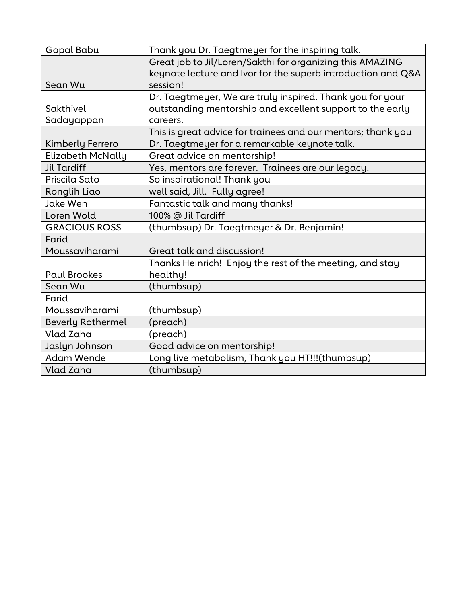| Gopal Babu               | Thank you Dr. Taegtmeyer for the inspiring talk.             |
|--------------------------|--------------------------------------------------------------|
|                          | Great job to Jil/Loren/Sakthi for organizing this AMAZING    |
|                          | keynote lecture and Ivor for the superb introduction and Q&A |
| Sean Wu                  | session!                                                     |
|                          | Dr. Taegtmeyer, We are truly inspired. Thank you for your    |
| Sakthivel                | outstanding mentorship and excellent support to the early    |
| Sadayappan               | careers.                                                     |
|                          | This is great advice for trainees and our mentors; thank you |
| Kimberly Ferrero         | Dr. Taegtmeyer for a remarkable keynote talk.                |
| <b>Elizabeth McNally</b> | Great advice on mentorship!                                  |
| <b>Jil Tardiff</b>       | Yes, mentors are forever. Trainees are our legacy.           |
| Priscila Sato            | So inspirational! Thank you                                  |
| Ronglih Liao             | well said, Jill. Fully agree!                                |
| Jake Wen                 | Fantastic talk and many thanks!                              |
| Loren Wold               | 100% @ Jil Tardiff                                           |
| <b>GRACIOUS ROSS</b>     | (thumbsup) Dr. Taegtmeyer & Dr. Benjamin!                    |
| Farid                    |                                                              |
| Moussaviharami           | Great talk and discussion!                                   |
|                          | Thanks Heinrich! Enjoy the rest of the meeting, and stay     |
| <b>Paul Brookes</b>      | healthy!                                                     |
| Sean Wu                  | (thumbsup)                                                   |
| Farid                    |                                                              |
| Moussaviharami           | (thumbsup)                                                   |
| <b>Beverly Rothermel</b> | (preach)                                                     |
| Vlad Zaha                | (preach)                                                     |
| Jaslyn Johnson           | Good advice on mentorship!                                   |
| <b>Adam Wende</b>        | Long live metabolism, Thank you HT!!!(thumbsup)              |
| Vlad Zaha                | (thumbsup)                                                   |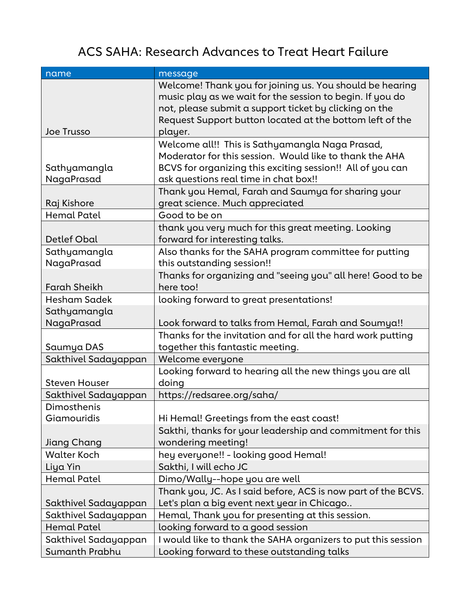#### ACS SAHA: Research Advances to Treat Heart Failure

| name                       | message                                                                          |
|----------------------------|----------------------------------------------------------------------------------|
|                            | Welcome! Thank you for joining us. You should be hearing                         |
|                            | music play as we wait for the session to begin. If you do                        |
|                            | not, please submit a support ticket by clicking on the                           |
|                            | Request Support button located at the bottom left of the                         |
| <b>Joe Trusso</b>          | player.                                                                          |
|                            | Welcome all!! This is Sathyamangla Naga Prasad,                                  |
|                            | Moderator for this session. Would like to thank the AHA                          |
| Sathyamangla               | BCVS for organizing this exciting session!! All of you can                       |
| NagaPrasad                 | ask questions real time in chat box!!                                            |
|                            | Thank you Hemal, Farah and Saumya for sharing your                               |
| Raj Kishore                | great science. Much appreciated                                                  |
| <b>Hemal Patel</b>         | Good to be on                                                                    |
|                            | thank you very much for this great meeting. Looking                              |
| <b>Detlef Obal</b>         | forward for interesting talks.                                                   |
| Sathyamangla               | Also thanks for the SAHA program committee for putting                           |
| NagaPrasad                 | this outstanding session!!                                                       |
|                            | Thanks for organizing and "seeing you" all here! Good to be                      |
| <b>Farah Sheikh</b>        | here too!                                                                        |
| Hesham Sadek               | looking forward to great presentations!                                          |
| Sathyamangla               |                                                                                  |
| NagaPrasad                 | Look forward to talks from Hemal, Farah and Soumya!!                             |
|                            | Thanks for the invitation and for all the hard work putting                      |
| Saumya DAS                 | together this fantastic meeting.                                                 |
| Sakthivel Sadayappan       | Welcome everyone                                                                 |
|                            | Looking forward to hearing all the new things you are all                        |
| <b>Steven Houser</b>       | doing                                                                            |
| Sakthivel Sadayappan       | https://redsaree.org/saha/                                                       |
| Dimosthenis<br>Giamouridis |                                                                                  |
|                            | Hi Hemal! Greetings from the east coast!                                         |
| Jiang Chang                | Sakthi, thanks for your leadership and commitment for this<br>wondering meeting! |
| <b>Walter Koch</b>         | hey everyone!! - looking good Hemal!                                             |
| Liya Yin                   | Sakthi, I will echo JC                                                           |
| Hemal Patel                | Dimo/Wally--hope you are well                                                    |
|                            | Thank you, JC. As I said before, ACS is now part of the BCVS.                    |
| Sakthivel Sadayappan       | Let's plan a big event next year in Chicago                                      |
| Sakthivel Sadayappan       | Hemal, Thank you for presenting at this session.                                 |
| <b>Hemal Patel</b>         | looking forward to a good session                                                |
| Sakthivel Sadayappan       | I would like to thank the SAHA organizers to put this session                    |
| Sumanth Prabhu             | Looking forward to these outstanding talks                                       |
|                            |                                                                                  |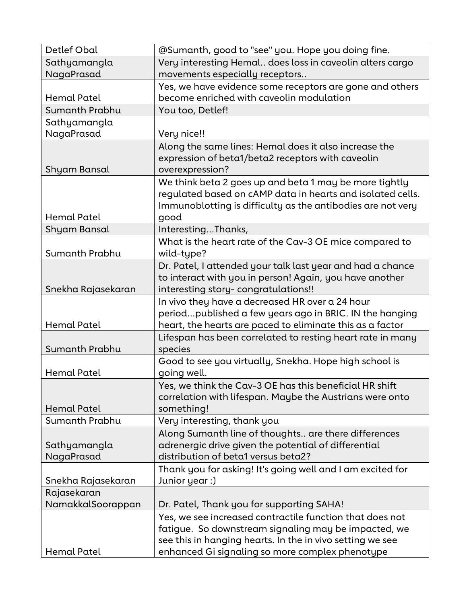| <b>Detlef Obal</b> | @Sumanth, good to "see" you. Hope you doing fine.                                                                |
|--------------------|------------------------------------------------------------------------------------------------------------------|
| Sathyamangla       | Very interesting Hemal does loss in caveolin alters cargo                                                        |
| NagaPrasad         | movements especially receptors                                                                                   |
|                    | Yes, we have evidence some receptors are gone and others                                                         |
| <b>Hemal Patel</b> | become enriched with caveolin modulation                                                                         |
| Sumanth Prabhu     | You too, Detlef!                                                                                                 |
| Sathyamangla       |                                                                                                                  |
| NagaPrasad         | Very nice!!                                                                                                      |
|                    | Along the same lines: Hemal does it also increase the                                                            |
|                    | expression of beta1/beta2 receptors with caveolin                                                                |
| Shyam Bansal       | overexpression?                                                                                                  |
|                    | We think beta 2 goes up and beta 1 may be more tightly                                                           |
|                    | regulated based on cAMP data in hearts and isolated cells.                                                       |
|                    | Immunoblotting is difficulty as the antibodies are not very                                                      |
| <b>Hemal Patel</b> | good                                                                                                             |
| Shyam Bansal       | InterestingThanks,                                                                                               |
|                    | What is the heart rate of the Cav-3 OE mice compared to                                                          |
| Sumanth Prabhu     | wild-type?                                                                                                       |
|                    | Dr. Patel, I attended your talk last year and had a chance                                                       |
|                    | to interact with you in person! Again, you have another                                                          |
| Snekha Rajasekaran | interesting story-congratulations!!                                                                              |
|                    | In vivo they have a decreased HR over a 24 hour                                                                  |
|                    | periodpublished a few years ago in BRIC. IN the hanging                                                          |
| <b>Hemal Patel</b> | heart, the hearts are paced to eliminate this as a factor                                                        |
|                    | Lifespan has been correlated to resting heart rate in many                                                       |
| Sumanth Prabhu     | species                                                                                                          |
|                    | Good to see you virtually, Snekha. Hope high school is                                                           |
| <b>Hemal Patel</b> | going well.                                                                                                      |
|                    | Yes, we think the Cav-3 OE has this beneficial HR shift                                                          |
|                    | correlation with lifespan. Maybe the Austrians were onto                                                         |
| Hemal Patel        | something!                                                                                                       |
| Sumanth Prabhu     | Very interesting, thank you                                                                                      |
|                    | Along Sumanth line of thoughts are there differences                                                             |
| Sathyamangla       | adrenergic drive given the potential of differential                                                             |
| NagaPrasad         | distribution of beta1 versus beta2?                                                                              |
| Snekha Rajasekaran | Thank you for asking! It's going well and I am excited for<br>Junior year :)                                     |
| Rajasekaran        |                                                                                                                  |
| NamakkalSoorappan  | Dr. Patel, Thank you for supporting SAHA!                                                                        |
|                    |                                                                                                                  |
|                    | Yes, we see increased contractile function that does not<br>fatigue. So downstream signaling may be impacted, we |
|                    | see this in hanging hearts. In the in vivo setting we see                                                        |
| <b>Hemal Patel</b> |                                                                                                                  |
|                    | enhanced Gi signaling so more complex phenotype                                                                  |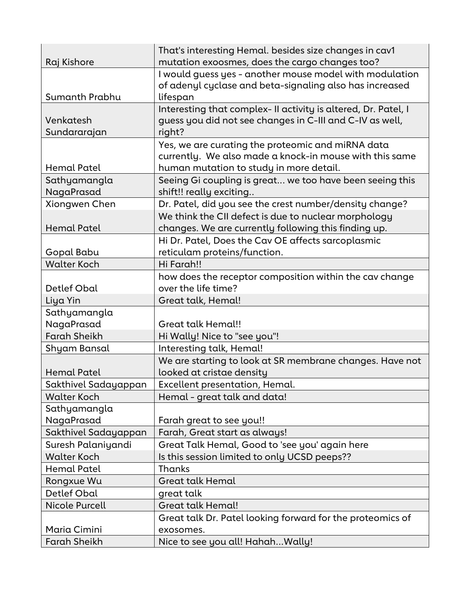| Raj Kishore                | That's interesting Hemal. besides size changes in cav1<br>mutation exoosmes, does the cargo changes too?                                                |
|----------------------------|---------------------------------------------------------------------------------------------------------------------------------------------------------|
| Sumanth Prabhu             | I would guess yes - another mouse model with modulation<br>of adenyl cyclase and beta-signaling also has increased<br>lifespan                          |
| Venkatesh<br>Sundararajan  | Interesting that complex- II activity is altered, Dr. Patel, I<br>guess you did not see changes in C-III and C-IV as well,<br>right?                    |
| Hemal Patel                | Yes, we are curating the proteomic and miRNA data<br>currently. We also made a knock-in mouse with this same<br>human mutation to study in more detail. |
| Sathyamangla<br>NagaPrasad | Seeing Gi coupling is great we too have been seeing this<br>shift!! really exciting                                                                     |
| Xiongwen Chen              | Dr. Patel, did you see the crest number/density change?                                                                                                 |
| <b>Hemal Patel</b>         | We think the CII defect is due to nuclear morphology<br>changes. We are currently following this finding up.                                            |
| Gopal Babu                 | Hi Dr. Patel, Does the Cav OE affects sarcoplasmic<br>reticulam proteins/function.                                                                      |
| <b>Walter Koch</b>         | Hi Farah!!                                                                                                                                              |
| Detlef Obal                | how does the receptor composition within the cav change<br>over the life time?                                                                          |
| Liya Yin                   | Great talk, Hemal!                                                                                                                                      |
| Sathyamangla               |                                                                                                                                                         |
| NagaPrasad                 | Great talk Hemal!!                                                                                                                                      |
| <b>Farah Sheikh</b>        | Hi Wally! Nice to "see you"!                                                                                                                            |
| Shyam Bansal               | Interesting talk, Hemal!                                                                                                                                |
| <b>Hemal Patel</b>         | We are starting to look at SR membrane changes. Have not<br>looked at cristae density                                                                   |
| Sakthivel Sadayappan       | Excellent presentation, Hemal.                                                                                                                          |
| <b>Walter Koch</b>         | Hemal - great talk and data!                                                                                                                            |
| Sathyamangla<br>NagaPrasad | Farah great to see you!!                                                                                                                                |
| Sakthivel Sadayappan       | Farah, Great start as always!                                                                                                                           |
| Suresh Palaniyandi         | Great Talk Hemal, Good to 'see you' again here                                                                                                          |
| <b>Walter Koch</b>         | Is this session limited to only UCSD peeps??                                                                                                            |
| <b>Hemal Patel</b>         | Thanks                                                                                                                                                  |
| Rongxue Wu                 | <b>Great talk Hemal</b>                                                                                                                                 |
| <b>Detlef Obal</b>         | great talk                                                                                                                                              |
| <b>Nicole Purcell</b>      | Great talk Hemal!                                                                                                                                       |
| Maria Cimini               | Great talk Dr. Patel looking forward for the proteomics of<br>exosomes.                                                                                 |
| <b>Farah Sheikh</b>        | Nice to see you all! HahahWally!                                                                                                                        |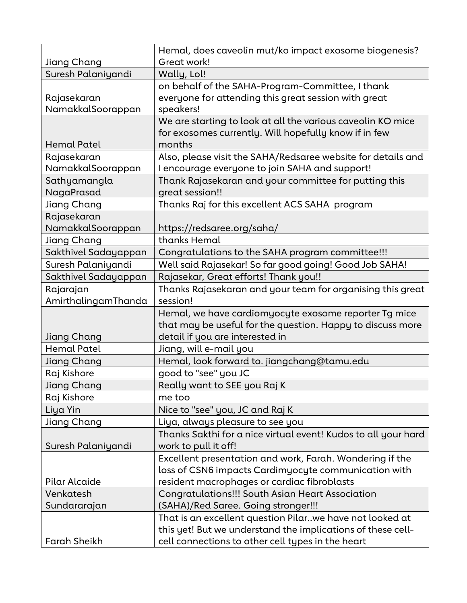| Jiang Chang          | Hemal, does caveolin mut/ko impact exosome biogenesis?<br>Great work! |
|----------------------|-----------------------------------------------------------------------|
| Suresh Palaniyandi   | Wally, Lol!                                                           |
|                      | on behalf of the SAHA-Program-Committee, I thank                      |
| Rajasekaran          | everyone for attending this great session with great                  |
| NamakkalSoorappan    | speakers!                                                             |
|                      | We are starting to look at all the various caveolin KO mice           |
|                      | for exosomes currently. Will hopefully know if in few                 |
| <b>Hemal Patel</b>   | months                                                                |
| Rajasekaran          | Also, please visit the SAHA/Redsaree website for details and          |
| NamakkalSoorappan    | I encourage everyone to join SAHA and support!                        |
| Sathyamangla         | Thank Rajasekaran and your committee for putting this                 |
| NagaPrasad           | great session!!                                                       |
| Jiang Chang          | Thanks Raj for this excellent ACS SAHA program                        |
| Rajasekaran          |                                                                       |
| NamakkalSoorappan    | https://redsaree.org/saha/                                            |
| Jiang Chang          | thanks Hemal                                                          |
| Sakthivel Sadayappan | Congratulations to the SAHA program committee!!!                      |
| Suresh Palaniyandi   | Well said Rajasekar! So far good going! Good Job SAHA!                |
| Sakthivel Sadayappan | Rajasekar, Great efforts! Thank you!!                                 |
| Rajarajan            | Thanks Rajasekaran and your team for organising this great            |
| AmirthalingamThanda  | session!                                                              |
|                      | Hemal, we have cardiomyocyte exosome reporter Tg mice                 |
|                      | that may be useful for the question. Happy to discuss more            |
| Jiang Chang          | detail if you are interested in                                       |
| <b>Hemal Patel</b>   | Jiang, will e-mail you                                                |
| Jiang Chang          | Hemal, look forward to. jiangchang@tamu.edu                           |
| Raj Kishore          | good to "see" you JC                                                  |
| Jiang Chang          | Really want to SEE you Raj K                                          |
| Raj Kishore          | me too                                                                |
| Liya Yin             | Nice to "see" you, JC and Raj K                                       |
| Jiang Chang          | Liya, always pleasure to see you                                      |
|                      | Thanks Sakthi for a nice virtual event! Kudos to all your hard        |
| Suresh Palaniyandi   | work to pull it off!                                                  |
|                      | Excellent presentation and work, Farah. Wondering if the              |
|                      | loss of CSN6 impacts Cardimyocyte communication with                  |
| Pilar Alcaide        | resident macrophages or cardiac fibroblasts                           |
| Venkatesh            | Congratulations!!! South Asian Heart Association                      |
| Sundararajan         | (SAHA)/Red Saree. Going stronger!!!                                   |
|                      | That is an excellent question Pilarwe have not looked at              |
|                      | this yet! But we understand the implications of these cell-           |
| <b>Farah Sheikh</b>  | cell connections to other cell types in the heart                     |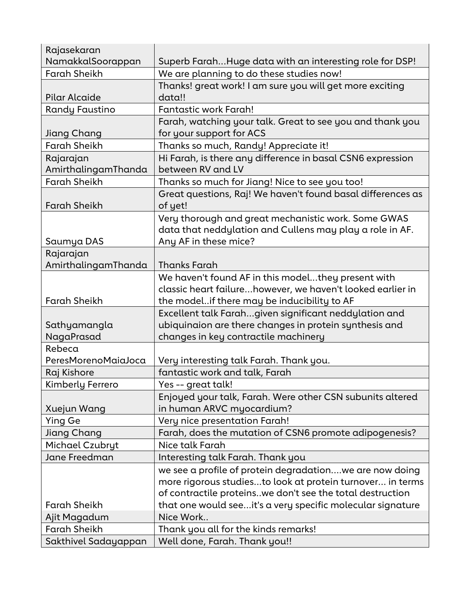| Rajasekaran          |                                                             |
|----------------------|-------------------------------------------------------------|
| NamakkalSoorappan    | Superb FarahHuge data with an interesting role for DSP!     |
| <b>Farah Sheikh</b>  | We are planning to do these studies now!                    |
|                      | Thanks! great work! I am sure you will get more exciting    |
| <b>Pilar Alcaide</b> | data!!                                                      |
| Randy Faustino       | Fantastic work Farah!                                       |
|                      | Farah, watching your talk. Great to see you and thank you   |
| Jiang Chang          | for your support for ACS                                    |
| <b>Farah Sheikh</b>  | Thanks so much, Randy! Appreciate it!                       |
| Rajarajan            | Hi Farah, is there any difference in basal CSN6 expression  |
| AmirthalingamThanda  | between RV and LV                                           |
| <b>Farah Sheikh</b>  | Thanks so much for Jiang! Nice to see you too!              |
|                      | Great questions, Raj! We haven't found basal differences as |
| <b>Farah Sheikh</b>  | of yet!                                                     |
|                      | Very thorough and great mechanistic work. Some GWAS         |
|                      | data that neddylation and Cullens may play a role in AF.    |
| Saumya DAS           | Any AF in these mice?                                       |
| Rajarajan            |                                                             |
| AmirthalingamThanda  | <b>Thanks Farah</b>                                         |
|                      | We haven't found AF in this modelthey present with          |
|                      | classic heart failurehowever, we haven't looked earlier in  |
| <b>Farah Sheikh</b>  | the modelif there may be inducibility to AF                 |
|                      | Excellent talk Farahgiven significant neddylation and       |
| Sathyamangla         | ubiquinaion are there changes in protein synthesis and      |
| NagaPrasad           | changes in key contractile machinery                        |
| Rebeca               |                                                             |
| PeresMorenoMaiaJoca  | Very interesting talk Farah. Thank you.                     |
| Raj Kishore          | fantastic work and talk, Farah                              |
| Kimberly Ferrero     | Yes -- great talk!                                          |
|                      | Enjoyed your talk, Farah. Were other CSN subunits altered   |
| Xuejun Wang          | in human ARVC myocardium?                                   |
| <b>Ying Ge</b>       | Very nice presentation Farah!                               |
| Jiang Chang          | Farah, does the mutation of CSN6 promote adipogenesis?      |
| Michael Czubryt      | Nice talk Farah                                             |
| Jane Freedman        | Interesting talk Farah. Thank you                           |
|                      | we see a profile of protein degradationwe are now doing     |
|                      | more rigorous studiesto look at protein turnover in terms   |
|                      | of contractile proteins. we don't see the total destruction |
| <b>Farah Sheikh</b>  | that one would seeit's a very specific molecular signature  |
| Ajit Magadum         | Nice Work                                                   |
| <b>Farah Sheikh</b>  | Thank you all for the kinds remarks!                        |
| Sakthivel Sadayappan | Well done, Farah. Thank you!!                               |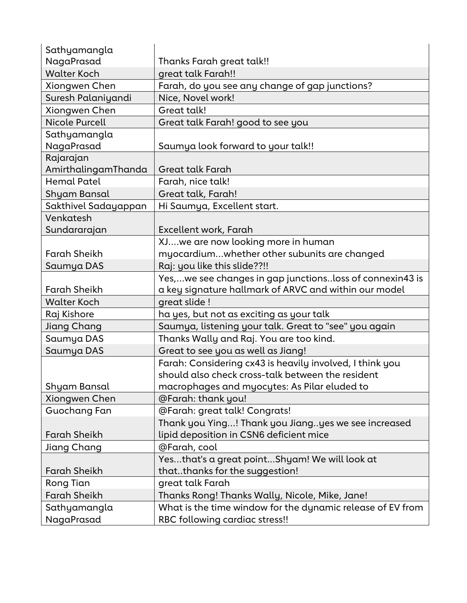| Sathyamangla          |                                                            |
|-----------------------|------------------------------------------------------------|
| NagaPrasad            | Thanks Farah great talk!!                                  |
| <b>Walter Koch</b>    | great talk Farah!!                                         |
| Xiongwen Chen         | Farah, do you see any change of gap junctions?             |
| Suresh Palaniyandi    | Nice, Novel work!                                          |
| Xiongwen Chen         | Great talk!                                                |
| <b>Nicole Purcell</b> | Great talk Farah! good to see you                          |
| Sathyamangla          |                                                            |
| NagaPrasad            | Saumya look forward to your talk!!                         |
| Rajarajan             |                                                            |
| AmirthalingamThanda   | Great talk Farah                                           |
| <b>Hemal Patel</b>    | Farah, nice talk!                                          |
| Shyam Bansal          | Great talk, Farah!                                         |
| Sakthivel Sadayappan  | Hi Saumya, Excellent start.                                |
| Venkatesh             |                                                            |
| Sundararajan          | Excellent work, Farah                                      |
|                       | XJwe are now looking more in human                         |
| <b>Farah Sheikh</b>   | myocardiumwhether other subunits are changed               |
| Saumya DAS            | Raj: you like this slide??!!                               |
|                       | Yes,we see changes in gap junctionsloss of connexin43 is   |
| <b>Farah Sheikh</b>   | a key signature hallmark of ARVC and within our model      |
| <b>Walter Koch</b>    | great slide !                                              |
| Raj Kishore           | ha yes, but not as exciting as your talk                   |
| Jiang Chang           | Saumya, listening your talk. Great to "see" you again      |
| Saumya DAS            | Thanks Wally and Raj. You are too kind.                    |
| Saumya DAS            | Great to see you as well as Jiang!                         |
|                       | Farah: Considering cx43 is heavily involved, I think you   |
|                       | should also check cross-talk between the resident          |
| Shyam Bansal          | macrophages and myocytes: As Pilar eluded to               |
| Xiongwen Chen         | @Farah: thank you!                                         |
| Guochang Fan          | @Farah: great talk! Congrats!                              |
|                       | Thank you Ying! Thank you Jiangyes we see increased        |
| <b>Farah Sheikh</b>   | lipid deposition in CSN6 deficient mice                    |
| Jiang Chang           | @Farah, cool                                               |
|                       | Yesthat's a great pointShyam! We will look at              |
| <b>Farah Sheikh</b>   | thatthanks for the suggestion!                             |
| <b>Rong Tian</b>      | great talk Farah                                           |
| <b>Farah Sheikh</b>   | Thanks Rong! Thanks Wally, Nicole, Mike, Jane!             |
| Sathyamangla          | What is the time window for the dynamic release of EV from |
| NagaPrasad            | RBC following cardiac stress!!                             |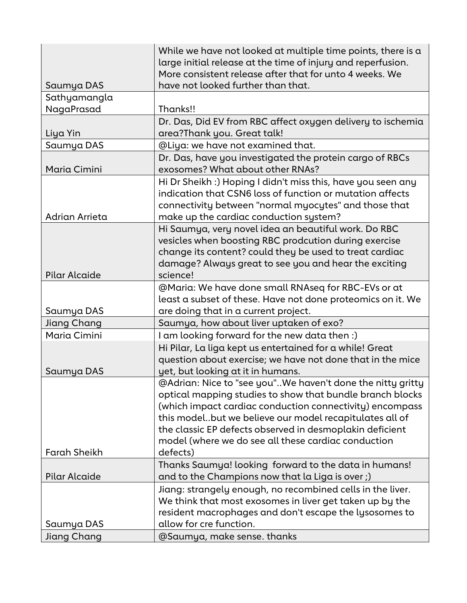| Saumya DAS           | While we have not looked at multiple time points, there is a<br>large initial release at the time of injury and reperfusion.<br>More consistent release after that for unto 4 weeks. We<br>have not looked further than that.                                                                                                                                     |
|----------------------|-------------------------------------------------------------------------------------------------------------------------------------------------------------------------------------------------------------------------------------------------------------------------------------------------------------------------------------------------------------------|
| Sathyamangla         |                                                                                                                                                                                                                                                                                                                                                                   |
| NagaPrasad           | Thanks!!                                                                                                                                                                                                                                                                                                                                                          |
|                      | Dr. Das, Did EV from RBC affect oxygen delivery to ischemia                                                                                                                                                                                                                                                                                                       |
| Liya Yin             | area?Thank you. Great talk!                                                                                                                                                                                                                                                                                                                                       |
| Saumya DAS           | @Liya: we have not examined that.                                                                                                                                                                                                                                                                                                                                 |
| Maria Cimini         | Dr. Das, have you investigated the protein cargo of RBCs<br>exosomes? What about other RNAs?                                                                                                                                                                                                                                                                      |
| Adrian Arrieta       | Hi Dr Sheikh :) Hoping I didn't miss this, have you seen any<br>indication that CSN6 loss of function or mutation affects<br>connectivity between "normal myocytes" and those that<br>make up the cardiac conduction system?                                                                                                                                      |
| <b>Pilar Alcaide</b> | Hi Saumya, very novel idea an beautiful work. Do RBC<br>vesicles when boosting RBC prodcution during exercise<br>change its content? could they be used to treat cardiac<br>damage? Always great to see you and hear the exciting<br>science!                                                                                                                     |
|                      | @Maria: We have done small RNAseq for RBC-EVs or at                                                                                                                                                                                                                                                                                                               |
| Saumya DAS           | least a subset of these. Have not done proteomics on it. We<br>are doing that in a current project.                                                                                                                                                                                                                                                               |
| <b>Jiang Chang</b>   | Saumya, how about liver uptaken of exo?                                                                                                                                                                                                                                                                                                                           |
| Maria Cimini         | I am looking forward for the new data then :)                                                                                                                                                                                                                                                                                                                     |
| Saumya DAS           | Hi Pilar, La liga kept us entertained for a while! Great<br>question about exercise; we have not done that in the mice<br>yet, but looking at it in humans.                                                                                                                                                                                                       |
|                      | @Adrian: Nice to "see you"We haven't done the nitty gritty<br>optical mapping studies to show that bundle branch blocks<br>(which impact cardiac conduction connectivity) encompass<br>this modelbut we believe our model recapitulates all of<br>the classic EP defects observed in desmoplakin deficient<br>model (where we do see all these cardiac conduction |
| <b>Farah Sheikh</b>  | defects)                                                                                                                                                                                                                                                                                                                                                          |
| Pilar Alcaide        | Thanks Saumya! looking forward to the data in humans!<br>and to the Champions now that la Liga is over;)                                                                                                                                                                                                                                                          |
|                      | Jiang: strangely enough, no recombined cells in the liver.<br>We think that most exosomes in liver get taken up by the<br>resident macrophages and don't escape the lysosomes to                                                                                                                                                                                  |
| Saumya DAS           | allow for cre function.                                                                                                                                                                                                                                                                                                                                           |
| Jiang Chang          | @Saumya, make sense. thanks                                                                                                                                                                                                                                                                                                                                       |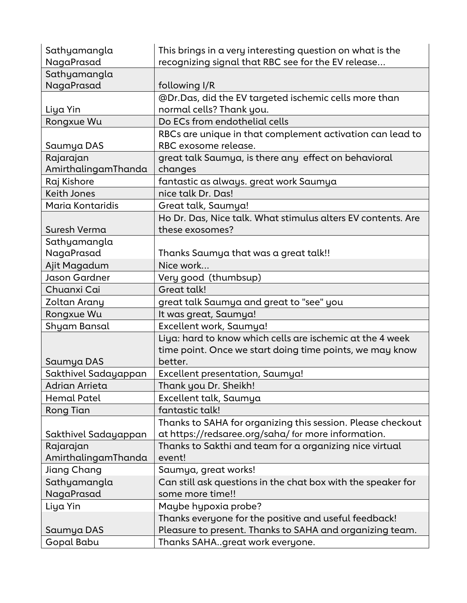| Sathyamangla<br>NagaPrasad | This brings in a very interesting question on what is the<br>recognizing signal that RBC see for the EV release |
|----------------------------|-----------------------------------------------------------------------------------------------------------------|
| Sathyamangla               |                                                                                                                 |
| NagaPrasad                 | following I/R                                                                                                   |
|                            | @Dr.Das, did the EV targeted ischemic cells more than                                                           |
| Liya Yin                   | normal cells? Thank you.                                                                                        |
| Rongxue Wu                 | Do ECs from endothelial cells                                                                                   |
|                            | RBCs are unique in that complement activation can lead to                                                       |
| Saumya DAS                 | RBC exosome release.                                                                                            |
| Rajarajan                  | great talk Saumya, is there any effect on behavioral                                                            |
| AmirthalingamThanda        | changes                                                                                                         |
| Raj Kishore                | fantastic as always. great work Saumya                                                                          |
| <b>Keith Jones</b>         | nice talk Dr. Das!                                                                                              |
| Maria Kontaridis           | Great talk, Saumya!                                                                                             |
|                            | Ho Dr. Das, Nice talk. What stimulus alters EV contents. Are                                                    |
| Suresh Verma               | these exosomes?                                                                                                 |
| Sathyamangla               |                                                                                                                 |
| NagaPrasad                 | Thanks Saumya that was a great talk!!                                                                           |
| Ajit Magadum               | Nice work                                                                                                       |
| Jason Gardner              | Very good (thumbsup)                                                                                            |
| Chuanxi Cai                | <b>Great talk!</b>                                                                                              |
| Zoltan Arany               | great talk Saumya and great to "see" you                                                                        |
| Rongxue Wu                 | It was great, Saumya!                                                                                           |
| Shyam Bansal               | Excellent work, Saumya!                                                                                         |
|                            | Liya: hard to know which cells are ischemic at the 4 week                                                       |
|                            | time point. Once we start doing time points, we may know                                                        |
| Saumya DAS                 | better.                                                                                                         |
| Sakthivel Sadayappan       | Excellent presentation, Saumya!                                                                                 |
| Adrian Arrieta             | Thank you Dr. Sheikh!                                                                                           |
| Hemal Patel                | Excellent talk, Saumya                                                                                          |
| <b>Rong Tian</b>           | fantastic talk!                                                                                                 |
|                            | Thanks to SAHA for organizing this session. Please checkout                                                     |
| Sakthivel Sadayappan       | at https://redsaree.org/saha/ for more information.                                                             |
| Rajarajan                  | Thanks to Sakthi and team for a organizing nice virtual                                                         |
| AmirthalingamThanda        |                                                                                                                 |
| Jiang Chang                | event!                                                                                                          |
|                            | Saumya, great works!                                                                                            |
| Sathyamangla               | Can still ask questions in the chat box with the speaker for                                                    |
| NagaPrasad                 | some more time!!                                                                                                |
| Liya Yin                   | Maybe hypoxia probe?                                                                                            |
|                            | Thanks everyone for the positive and useful feedback!                                                           |
| Saumya DAS<br>Gopal Babu   | Pleasure to present. Thanks to SAHA and organizing team.<br>Thanks SAHAgreat work everyone.                     |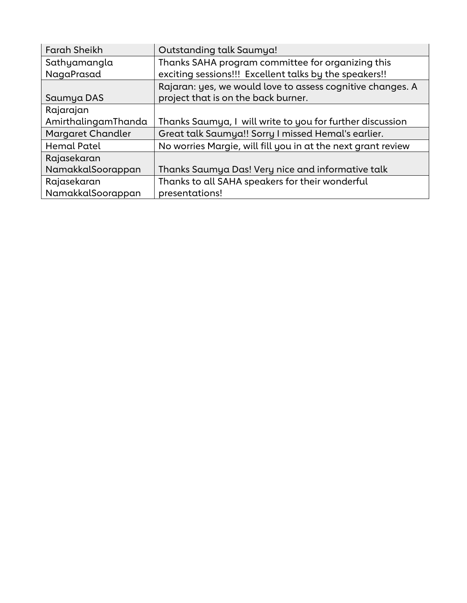| <b>Farah Sheikh</b> | Outstanding talk Saumya!                                     |
|---------------------|--------------------------------------------------------------|
| Sathyamangla        | Thanks SAHA program committee for organizing this            |
| NagaPrasad          | exciting sessions!!! Excellent talks by the speakers!!       |
|                     | Rajaran: yes, we would love to assess cognitive changes. A   |
| Saumya DAS          | project that is on the back burner.                          |
| Rajarajan           |                                                              |
| AmirthalingamThanda | Thanks Saumya, I will write to you for further discussion    |
| Margaret Chandler   | Great talk Saumya!! Sorry I missed Hemal's earlier.          |
| <b>Hemal Patel</b>  | No worries Margie, will fill you in at the next grant review |
| Rajasekaran         |                                                              |
| NamakkalSoorappan   | Thanks Saumya Das! Very nice and informative talk            |
| Rajasekaran         | Thanks to all SAHA speakers for their wonderful              |
| NamakkalSoorappan   | presentations!                                               |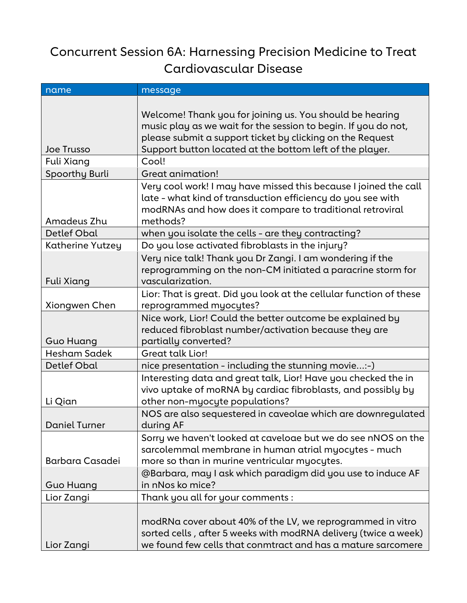### Concurrent Session 6A: Harnessing Precision Medicine to Treat Cardiovascular Disease

| name                   | message                                                                                                                                                          |
|------------------------|------------------------------------------------------------------------------------------------------------------------------------------------------------------|
|                        |                                                                                                                                                                  |
|                        | Welcome! Thank you for joining us. You should be hearing                                                                                                         |
|                        | music play as we wait for the session to begin. If you do not,<br>please submit a support ticket by clicking on the Request                                      |
| Joe Trusso             | Support button located at the bottom left of the player.                                                                                                         |
| Fuli Xiang             | Cool!                                                                                                                                                            |
| Spoorthy Burli         | Great animation!                                                                                                                                                 |
|                        | Very cool work! I may have missed this because I joined the call<br>late - what kind of transduction efficiency do you see with                                  |
| Amadeus Zhu            | modRNAs and how does it compare to traditional retroviral<br>methods?                                                                                            |
| <b>Detlef Obal</b>     | when you isolate the cells - are they contracting?                                                                                                               |
| Katherine Yutzey       | Do you lose activated fibroblasts in the injury?                                                                                                                 |
|                        | Very nice talk! Thank you Dr Zangi. I am wondering if the<br>reprogramming on the non-CM initiated a paracrine storm for                                         |
| <b>Fuli Xiang</b>      | vascularization.                                                                                                                                                 |
| Xiongwen Chen          | Lior: That is great. Did you look at the cellular function of these<br>reprogrammed myocytes?                                                                    |
|                        | Nice work, Lior! Could the better outcome be explained by                                                                                                        |
|                        | reduced fibroblast number/activation because they are                                                                                                            |
| <b>Guo Huang</b>       | partially converted?                                                                                                                                             |
| Hesham Sadek           | Great talk Lior!                                                                                                                                                 |
| <b>Detlef Obal</b>     | nice presentation - including the stunning movie:-)                                                                                                              |
| Li Qian                | Interesting data and great talk, Lior! Have you checked the in<br>vivo uptake of moRNA by cardiac fibroblasts, and possibly by<br>other non-myocyte populations? |
|                        | NOS are also sequestered in caveolae which are downregulated                                                                                                     |
| <b>Daniel Turner</b>   | during AF                                                                                                                                                        |
|                        | Sorry we haven't looked at caveloae but we do see nNOS on the                                                                                                    |
|                        | sarcolemmal membrane in human atrial myocytes - much                                                                                                             |
| <b>Barbara Casadei</b> | more so than in murine ventricular myocytes.                                                                                                                     |
|                        | @Barbara, may I ask which paradigm did you use to induce AF                                                                                                      |
| Guo Huang              | in nNos ko mice?                                                                                                                                                 |
| Lior Zangi             | Thank you all for your comments :                                                                                                                                |
|                        | modRNa cover about 40% of the LV, we reprogrammed in vitro                                                                                                       |
|                        | sorted cells, after 5 weeks with modRNA delivery (twice a week)                                                                                                  |
| Lior Zangi             | we found few cells that conmtract and has a mature sarcomere                                                                                                     |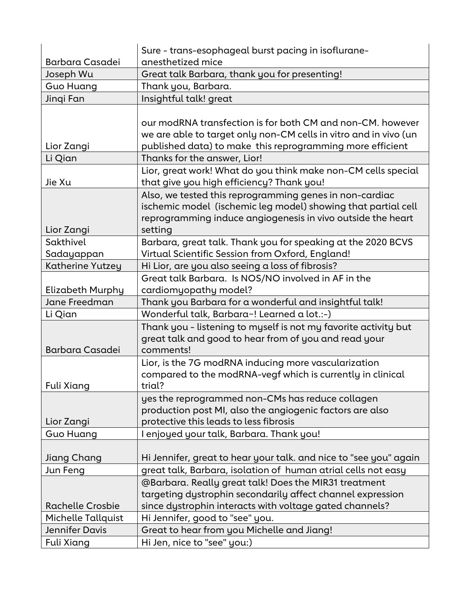| <b>Barbara Casadei</b>  | Sure - trans-esophageal burst pacing in isoflurane-<br>anesthetized mice                                                                                                                                                    |
|-------------------------|-----------------------------------------------------------------------------------------------------------------------------------------------------------------------------------------------------------------------------|
| Joseph Wu               | Great talk Barbara, thank you for presenting!                                                                                                                                                                               |
| <b>Guo Huang</b>        | Thank you, Barbara.                                                                                                                                                                                                         |
|                         |                                                                                                                                                                                                                             |
| Jinqi Fan               | Insightful talk! great                                                                                                                                                                                                      |
| Lior Zangi              | our modRNA transfection is for both CM and non-CM, however<br>we are able to target only non-CM cells in vitro and in vivo (un<br>published data) to make this reprogramming more efficient<br>Thanks for the answer, Lior! |
| Li Qian                 |                                                                                                                                                                                                                             |
| Jie Xu                  | Lior, great work! What do you think make non-CM cells special<br>that give you high efficiency? Thank you!                                                                                                                  |
| Lior Zangi              | Also, we tested this reprogramming genes in non-cardiac<br>ischemic model (ischemic leg model) showing that partial cell<br>reprogramming induce angiogenesis in vivo outside the heart<br>setting                          |
| Sakthivel               | Barbara, great talk. Thank you for speaking at the 2020 BCVS                                                                                                                                                                |
| Sadayappan              | Virtual Scientific Session from Oxford, England!                                                                                                                                                                            |
| Katherine Yutzey        | Hi Lior, are you also seeing a loss of fibrosis?                                                                                                                                                                            |
| <b>Elizabeth Murphy</b> | Great talk Barbara. Is NOS/NO involved in AF in the<br>cardiomyopathy model?                                                                                                                                                |
| Jane Freedman           | Thank you Barbara for a wonderful and insightful talk!                                                                                                                                                                      |
| Li Qian                 | Wonderful talk, Barbara~! Learned a lot.:-)                                                                                                                                                                                 |
| <b>Barbara Casadei</b>  | Thank you - listening to myself is not my favorite activity but<br>great talk and good to hear from of you and read your<br>comments!                                                                                       |
| <b>Fuli Xiang</b>       | Lior, is the 7G modRNA inducing more vascularization<br>compared to the modRNA-vegf which is currently in clinical<br>trial?                                                                                                |
| Lior Zangi              | yes the reprogrammed non-CMs has reduce collagen<br>production post MI, also the angiogenic factors are also<br>protective this leads to less fibrosis                                                                      |
| Guo Huang               | I enjoyed your talk, Barbara. Thank you!                                                                                                                                                                                    |
|                         |                                                                                                                                                                                                                             |
| Jiang Chang             | Hi Jennifer, great to hear your talk. and nice to "see you" again                                                                                                                                                           |
| Jun Feng                | great talk, Barbara, isolation of human atrial cells not easy                                                                                                                                                               |
|                         | @Barbara. Really great talk! Does the MIR31 treatment                                                                                                                                                                       |
|                         | targeting dystrophin secondarily affect channel expression                                                                                                                                                                  |
| <b>Rachelle Crosbie</b> | since dystrophin interacts with voltage gated channels?                                                                                                                                                                     |
| Michelle Tallquist      | Hi Jennifer, good to "see" you.                                                                                                                                                                                             |
| <b>Jennifer Davis</b>   | Great to hear from you Michelle and Jiang!                                                                                                                                                                                  |
| Fuli Xiang              | Hi Jen, nice to "see" you:)                                                                                                                                                                                                 |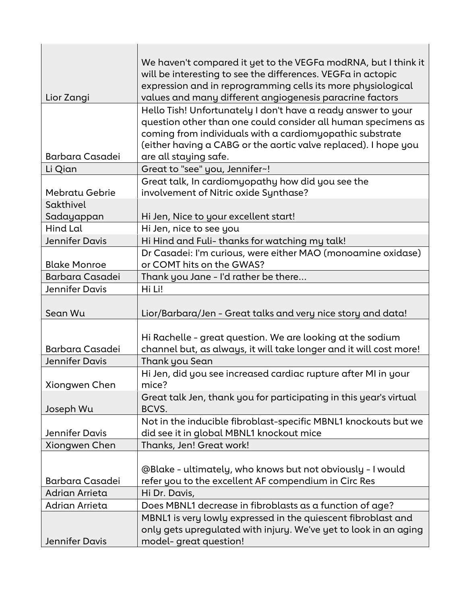| Lior Zangi             | We haven't compared it yet to the VEGFa modRNA, but I think it<br>will be interesting to see the differences. VEGFa in actopic<br>expression and in reprogramming cells its more physiological<br>values and many different angiogenesis paracrine factors |
|------------------------|------------------------------------------------------------------------------------------------------------------------------------------------------------------------------------------------------------------------------------------------------------|
|                        | Hello Tish! Unfortunately I don't have a ready answer to your                                                                                                                                                                                              |
|                        | question other than one could consider all human specimens as<br>coming from individuals with a cardiomyopathic substrate                                                                                                                                  |
|                        | (either having a CABG or the aortic valve replaced). I hope you                                                                                                                                                                                            |
| <b>Barbara Casadei</b> | are all staying safe.                                                                                                                                                                                                                                      |
| Li Qian                | Great to "see" you, Jennifer~!                                                                                                                                                                                                                             |
|                        | Great talk, In cardiomyopathy how did you see the                                                                                                                                                                                                          |
| Mebratu Gebrie         | involvement of Nitric oxide Synthase?                                                                                                                                                                                                                      |
| Sakthivel              |                                                                                                                                                                                                                                                            |
| Sadayappan             | Hi Jen, Nice to your excellent start!                                                                                                                                                                                                                      |
| Hind Lal               | Hi Jen, nice to see you                                                                                                                                                                                                                                    |
| <b>Jennifer Davis</b>  | Hi Hind and Fuli- thanks for watching my talk!                                                                                                                                                                                                             |
|                        | Dr Casadei: I'm curious, were either MAO (monoamine oxidase)                                                                                                                                                                                               |
| <b>Blake Monroe</b>    | or COMT hits on the GWAS?                                                                                                                                                                                                                                  |
| <b>Barbara Casadei</b> | Thank you Jane - I'd rather be there                                                                                                                                                                                                                       |
| Jennifer Davis         | Hi Li!                                                                                                                                                                                                                                                     |
| Sean Wu                | Lior/Barbara/Jen - Great talks and very nice story and data!                                                                                                                                                                                               |
| <b>Barbara Casadei</b> | Hi Rachelle - great question. We are looking at the sodium<br>channel but, as always, it will take longer and it will cost more!                                                                                                                           |
| <b>Jennifer Davis</b>  | Thank you Sean                                                                                                                                                                                                                                             |
|                        | Hi Jen, did you see increased cardiac rupture after MI in your                                                                                                                                                                                             |
| Xiongwen Chen          | mice?                                                                                                                                                                                                                                                      |
| Joseph Wu              | Great talk Jen, thank you for participating in this year's virtual<br>BCVS.                                                                                                                                                                                |
|                        | Not in the inducible fibroblast-specific MBNL1 knockouts but we                                                                                                                                                                                            |
| Jennifer Davis         | did see it in global MBNL1 knockout mice                                                                                                                                                                                                                   |
| Xiongwen Chen          | Thanks, Jen! Great work!                                                                                                                                                                                                                                   |
|                        |                                                                                                                                                                                                                                                            |
|                        | @Blake - ultimately, who knows but not obviously - I would                                                                                                                                                                                                 |
| <b>Barbara Casadei</b> | refer you to the excellent AF compendium in Circ Res                                                                                                                                                                                                       |
| Adrian Arrieta         | Hi Dr. Davis,                                                                                                                                                                                                                                              |
| Adrian Arrieta         | Does MBNL1 decrease in fibroblasts as a function of age?                                                                                                                                                                                                   |
|                        |                                                                                                                                                                                                                                                            |
| Jennifer Davis         | MBNL1 is very lowly expressed in the quiescent fibroblast and<br>only gets upregulated with injury. We've yet to look in an aging<br>model-great question!                                                                                                 |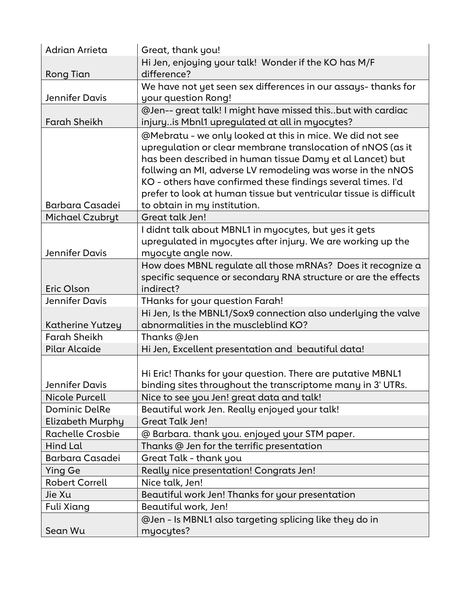| Adrian Arrieta          | Great, thank you!                                                                                                                                                                                                                                                                                                                                                                                                          |
|-------------------------|----------------------------------------------------------------------------------------------------------------------------------------------------------------------------------------------------------------------------------------------------------------------------------------------------------------------------------------------------------------------------------------------------------------------------|
|                         | Hi Jen, enjoying your talk! Wonder if the KO has M/F                                                                                                                                                                                                                                                                                                                                                                       |
| Rong Tian               | difference?                                                                                                                                                                                                                                                                                                                                                                                                                |
|                         | We have not yet seen sex differences in our assays-thanks for                                                                                                                                                                                                                                                                                                                                                              |
| Jennifer Davis          | your question Rong!                                                                                                                                                                                                                                                                                                                                                                                                        |
|                         | @Jen-- great talk! I might have missed thisbut with cardiac                                                                                                                                                                                                                                                                                                                                                                |
| <b>Farah Sheikh</b>     | injuryis Mbnl1 upregulated at all in myocytes?                                                                                                                                                                                                                                                                                                                                                                             |
| <b>Barbara Casadei</b>  | @Mebratu - we only looked at this in mice. We did not see<br>upregulation or clear membrane translocation of nNOS (as it<br>has been described in human tissue Damy et al Lancet) but<br>follwing an MI, adverse LV remodeling was worse in the nNOS<br>KO - others have confirmed these findings several times. I'd<br>prefer to look at human tissue but ventricular tissue is difficult<br>to obtain in my institution. |
| Michael Czubryt         | Great talk Jen!                                                                                                                                                                                                                                                                                                                                                                                                            |
| <b>Jennifer Davis</b>   | I didnt talk about MBNL1 in myocytes, but yes it gets<br>upregulated in myocytes after injury. We are working up the<br>myocyte angle now.                                                                                                                                                                                                                                                                                 |
|                         | How does MBNL regulate all those mRNAs? Does it recognize a                                                                                                                                                                                                                                                                                                                                                                |
|                         | specific sequence or secondary RNA structure or are the effects                                                                                                                                                                                                                                                                                                                                                            |
| Eric Olson              | indirect?                                                                                                                                                                                                                                                                                                                                                                                                                  |
| Jennifer Davis          | THanks for your question Farah!                                                                                                                                                                                                                                                                                                                                                                                            |
|                         | Hi Jen, Is the MBNL1/Sox9 connection also underlying the valve                                                                                                                                                                                                                                                                                                                                                             |
| Katherine Yutzey        | abnormalities in the muscleblind KO?                                                                                                                                                                                                                                                                                                                                                                                       |
| <b>Farah Sheikh</b>     | Thanks @Jen                                                                                                                                                                                                                                                                                                                                                                                                                |
| <b>Pilar Alcaide</b>    | Hi Jen, Excellent presentation and beautiful data!                                                                                                                                                                                                                                                                                                                                                                         |
| Jennifer Davis          | Hi Eric! Thanks for your question. There are putative MBNL1<br>binding sites throughout the transcriptome many in 3' UTRs.                                                                                                                                                                                                                                                                                                 |
| Nicole Purcell          | Nice to see you Jen! great data and talk!                                                                                                                                                                                                                                                                                                                                                                                  |
| <b>Dominic DelRe</b>    | Beautiful work Jen. Really enjoyed your talk!                                                                                                                                                                                                                                                                                                                                                                              |
| Elizabeth Murphy        | <b>Great Talk Jen!</b>                                                                                                                                                                                                                                                                                                                                                                                                     |
| <b>Rachelle Crosbie</b> | @ Barbara. thank you. enjoyed your STM paper.                                                                                                                                                                                                                                                                                                                                                                              |
| Hind Lal                | Thanks @ Jen for the terrific presentation                                                                                                                                                                                                                                                                                                                                                                                 |
| <b>Barbara Casadei</b>  | Great Talk - thank you                                                                                                                                                                                                                                                                                                                                                                                                     |
| Ying Ge                 | Really nice presentation! Congrats Jen!                                                                                                                                                                                                                                                                                                                                                                                    |
| <b>Robert Correll</b>   | Nice talk, Jen!                                                                                                                                                                                                                                                                                                                                                                                                            |
| Jie Xu                  | Beautiful work Jen! Thanks for your presentation                                                                                                                                                                                                                                                                                                                                                                           |
| Fuli Xiang              | Beautiful work, Jen!                                                                                                                                                                                                                                                                                                                                                                                                       |
| Sean Wu                 | @Jen - Is MBNL1 also targeting splicing like they do in<br>myocytes?                                                                                                                                                                                                                                                                                                                                                       |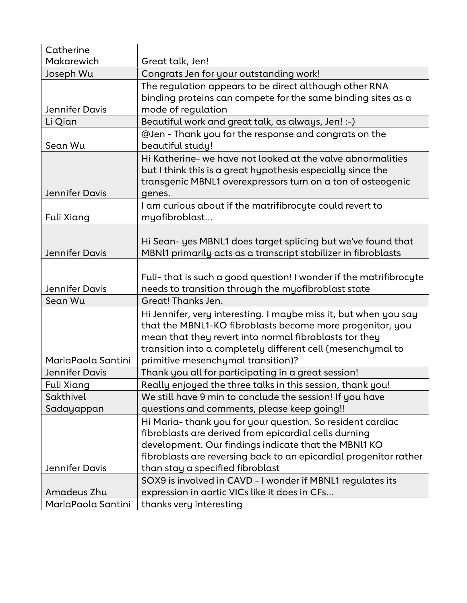| Catherine             |                                                                                                                                                                                                                                                                                              |
|-----------------------|----------------------------------------------------------------------------------------------------------------------------------------------------------------------------------------------------------------------------------------------------------------------------------------------|
| Makarewich            | Great talk, Jen!                                                                                                                                                                                                                                                                             |
| Joseph Wu             | Congrats Jen for your outstanding work!                                                                                                                                                                                                                                                      |
| Jennifer Davis        | The regulation appears to be direct although other RNA<br>binding proteins can compete for the same binding sites as a<br>mode of regulation                                                                                                                                                 |
| Li Qian               | Beautiful work and great talk, as always, Jen! :-)                                                                                                                                                                                                                                           |
| Sean Wu               | @Jen - Thank you for the response and congrats on the<br>beautiful study!                                                                                                                                                                                                                    |
| Jennifer Davis        | Hi Katherine- we have not looked at the valve abnormalities<br>but I think this is a great hypothesis especially since the<br>transgenic MBNL1 overexpressors turn on a ton of osteogenic<br>genes.                                                                                          |
| Fuli Xiang            | I am curious about if the matrifibrocyte could revert to<br>myofibroblast                                                                                                                                                                                                                    |
| <b>Jennifer Davis</b> | Hi Sean- yes MBNL1 does target splicing but we've found that<br>MBNl1 primarily acts as a transcript stabilizer in fibroblasts                                                                                                                                                               |
| Jennifer Davis        | Fuli-that is such a good question! I wonder if the matrifibrocyte<br>needs to transition through the myofibroblast state                                                                                                                                                                     |
| Sean Wu               | Great! Thanks Jen.                                                                                                                                                                                                                                                                           |
| MariaPaola Santini    | Hi Jennifer, very interesting. I maybe miss it, but when you say<br>that the MBNL1-KO fibroblasts become more progenitor, you<br>mean that they revert into normal fibroblasts tor they<br>transition into a completely different cell (mesenchymal to<br>primitive mesenchymal transition)? |
| Jennifer Davis        | Thank you all for participating in a great session!                                                                                                                                                                                                                                          |
| Fuli Xiang            | Really enjoyed the three talks in this session, thank you!                                                                                                                                                                                                                                   |
| Sakthivel             | We still have 9 min to conclude the session! If you have                                                                                                                                                                                                                                     |
| Sadayappan            | questions and comments, please keep going!!                                                                                                                                                                                                                                                  |
|                       | Hi Maria-thank you for your question. So resident cardiac<br>fibroblasts are derived from epicardial cells durning<br>development. Our findings indicate that the MBNI1 KO<br>fibroblasts are reversing back to an epicardial progenitor rather                                              |
| Jennifer Davis        | than stay a specified fibroblast                                                                                                                                                                                                                                                             |
|                       | SOX9 is involved in CAVD - I wonder if MBNL1 regulates its                                                                                                                                                                                                                                   |
| Amadeus Zhu           | expression in aortic VICs like it does in CFs                                                                                                                                                                                                                                                |
| MariaPaola Santini    | thanks very interesting                                                                                                                                                                                                                                                                      |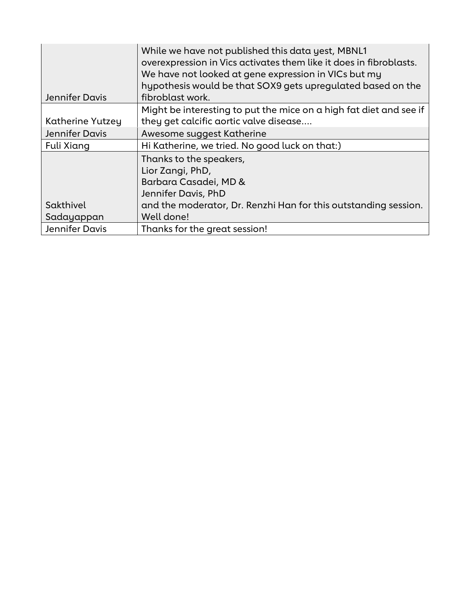| Jennifer Davis   | While we have not published this data yest, MBNL1<br>overexpression in Vics activates them like it does in fibroblasts.<br>We have not looked at gene expression in VICs but my<br>hypothesis would be that SOX9 gets upregulated based on the<br>fibroblast work. |
|------------------|--------------------------------------------------------------------------------------------------------------------------------------------------------------------------------------------------------------------------------------------------------------------|
|                  | Might be interesting to put the mice on a high fat diet and see if                                                                                                                                                                                                 |
| Katherine Yutzey | they get calcific aortic valve disease                                                                                                                                                                                                                             |
| Jennifer Davis   | Awesome suggest Katherine                                                                                                                                                                                                                                          |
| Fuli Xiang       | Hi Katherine, we tried. No good luck on that:)                                                                                                                                                                                                                     |
|                  | Thanks to the speakers,                                                                                                                                                                                                                                            |
|                  | Lior Zangi, PhD,                                                                                                                                                                                                                                                   |
|                  | Barbara Casadei, MD &                                                                                                                                                                                                                                              |
|                  | Jennifer Davis, PhD                                                                                                                                                                                                                                                |
| Sakthivel        | and the moderator, Dr. Renzhi Han for this outstanding session.                                                                                                                                                                                                    |
| Sadayappan       | Well done!                                                                                                                                                                                                                                                         |
| Jennifer Davis   | Thanks for the great session!                                                                                                                                                                                                                                      |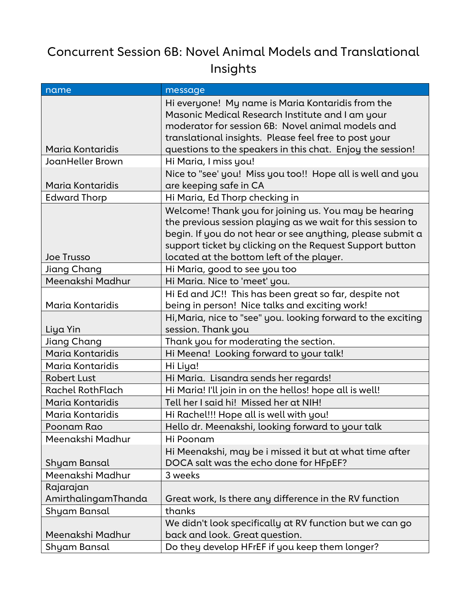## Concurrent Session 6B: Novel Animal Models and Translational Insights

| message                                                                                                                                                                                                                                                                                     |
|---------------------------------------------------------------------------------------------------------------------------------------------------------------------------------------------------------------------------------------------------------------------------------------------|
| Hi everyone! My name is Maria Kontaridis from the<br>Masonic Medical Research Institute and I am your<br>moderator for session 6B: Novel animal models and<br>translational insights. Please feel free to post your                                                                         |
| questions to the speakers in this chat. Enjoy the session!<br>Hi Maria, I miss you!                                                                                                                                                                                                         |
| Nice to "see' you! Miss you too!! Hope all is well and you                                                                                                                                                                                                                                  |
| are keeping safe in CA                                                                                                                                                                                                                                                                      |
| Hi Maria, Ed Thorp checking in                                                                                                                                                                                                                                                              |
| Welcome! Thank you for joining us. You may be hearing<br>the previous session playing as we wait for this session to<br>begin. If you do not hear or see anything, please submit a<br>support ticket by clicking on the Request Support button<br>located at the bottom left of the player. |
| Hi Maria, good to see you too                                                                                                                                                                                                                                                               |
| Hi Maria. Nice to 'meet' you.                                                                                                                                                                                                                                                               |
| Hi Ed and JC!! This has been great so far, despite not<br>being in person! Nice talks and exciting work!                                                                                                                                                                                    |
| Hi, Maria, nice to "see" you. looking forward to the exciting<br>session. Thank you                                                                                                                                                                                                         |
| Thank you for moderating the section.                                                                                                                                                                                                                                                       |
| Hi Meena! Looking forward to your talk!                                                                                                                                                                                                                                                     |
| Hi Liya!                                                                                                                                                                                                                                                                                    |
| Hi Maria. Lisandra sends her regards!                                                                                                                                                                                                                                                       |
| Hi Maria! I'll join in on the hellos! hope all is well!                                                                                                                                                                                                                                     |
| Tell her I said hi! Missed her at NIH!                                                                                                                                                                                                                                                      |
| Hi Rachel!!! Hope all is well with you!                                                                                                                                                                                                                                                     |
| Hello dr. Meenakshi, looking forward to your talk                                                                                                                                                                                                                                           |
| Hi Poonam                                                                                                                                                                                                                                                                                   |
| Hi Meenakshi, may be i missed it but at what time after<br>DOCA salt was the echo done for HFpEF?                                                                                                                                                                                           |
| 3 weeks                                                                                                                                                                                                                                                                                     |
|                                                                                                                                                                                                                                                                                             |
|                                                                                                                                                                                                                                                                                             |
| Great work, Is there any difference in the RV function                                                                                                                                                                                                                                      |
| thanks                                                                                                                                                                                                                                                                                      |
| We didn't look specifically at RV function but we can go                                                                                                                                                                                                                                    |
| back and look. Great question.                                                                                                                                                                                                                                                              |
|                                                                                                                                                                                                                                                                                             |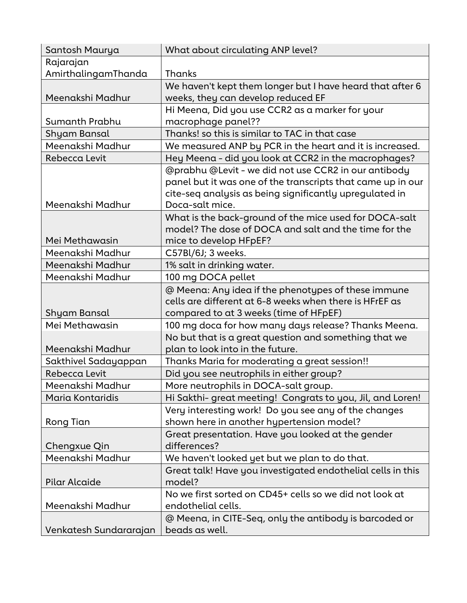| Santosh Maurya         | What about circulating ANP level?                           |
|------------------------|-------------------------------------------------------------|
| Rajarajan              |                                                             |
| AmirthalingamThanda    | Thanks                                                      |
|                        | We haven't kept them longer but I have heard that after 6   |
| Meenakshi Madhur       | weeks, they can develop reduced EF                          |
|                        | Hi Meena, Did you use CCR2 as a marker for your             |
| Sumanth Prabhu         | macrophage panel??                                          |
| Shyam Bansal           | Thanks! so this is similar to TAC in that case              |
| Meenakshi Madhur       | We measured ANP by PCR in the heart and it is increased.    |
| Rebecca Levit          | Hey Meena - did you look at CCR2 in the macrophages?        |
|                        | @prabhu @Levit - we did not use CCR2 in our antibody        |
|                        | panel but it was one of the transcripts that came up in our |
|                        | cite-seq analysis as being significantly upregulated in     |
| Meenakshi Madhur       | Doca-salt mice.                                             |
|                        | What is the back-ground of the mice used for DOCA-salt      |
|                        | model? The dose of DOCA and salt and the time for the       |
| Mei Methawasin         | mice to develop HFpEF?                                      |
| Meenakshi Madhur       | C57Bl/6J; 3 weeks.                                          |
| Meenakshi Madhur       | 1% salt in drinking water.                                  |
| Meenakshi Madhur       | 100 mg DOCA pellet                                          |
|                        | @ Meena: Any idea if the phenotypes of these immune         |
|                        | cells are different at 6-8 weeks when there is HFrEF as     |
| Shyam Bansal           | compared to at 3 weeks (time of HFpEF)                      |
| Mei Methawasin         | 100 mg doca for how many days release? Thanks Meena.        |
|                        | No but that is a great question and something that we       |
| Meenakshi Madhur       | plan to look into in the future.                            |
| Sakthivel Sadayappan   | Thanks Maria for moderating a great session!!               |
| Rebecca Levit          | Did you see neutrophils in either group?                    |
| Meenakshi Madhur       | More neutrophils in DOCA-salt group.                        |
| Maria Kontaridis       | Hi Sakthi- great meeting! Congrats to you, Jil, and Loren!  |
|                        | Very interesting work! Do you see any of the changes        |
| Rong Tian              | shown here in another hypertension model?                   |
|                        | Great presentation. Have you looked at the gender           |
| Chengxue Qin           | differences?                                                |
| Meenakshi Madhur       | We haven't looked yet but we plan to do that.               |
|                        | Great talk! Have you investigated endothelial cells in this |
| Pilar Alcaide          | model?                                                      |
|                        | No we first sorted on CD45+ cells so we did not look at     |
| Meenakshi Madhur       | endothelial cells.                                          |
|                        | @ Meena, in CITE-Seq, only the antibody is barcoded or      |
| Venkatesh Sundararajan | beads as well.                                              |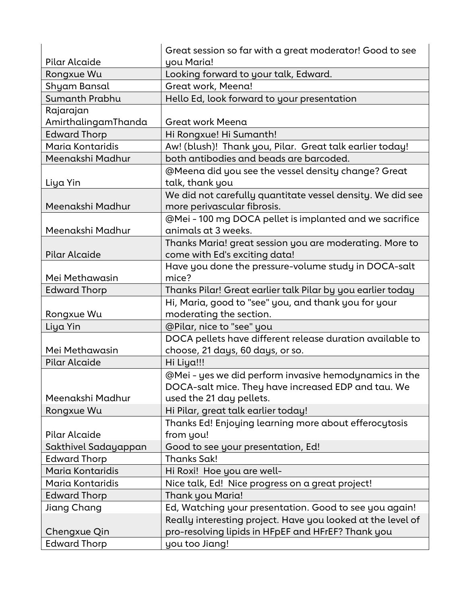| Pilar Alcaide        | Great session so far with a great moderator! Good to see<br>you Maria! |
|----------------------|------------------------------------------------------------------------|
| Rongxue Wu           | Looking forward to your talk, Edward.                                  |
| Shyam Bansal         | Great work, Meena!                                                     |
| Sumanth Prabhu       | Hello Ed, look forward to your presentation                            |
| Rajarajan            |                                                                        |
| AmirthalingamThanda  | Great work Meena                                                       |
| <b>Edward Thorp</b>  | Hi Rongxue! Hi Sumanth!                                                |
| Maria Kontaridis     | Aw! (blush)! Thank you, Pilar. Great talk earlier today!               |
| Meenakshi Madhur     | both antibodies and beads are barcoded.                                |
|                      | @Meena did you see the vessel density change? Great                    |
| Liya Yin             | talk, thank you                                                        |
|                      | We did not carefully quantitate vessel density. We did see             |
| Meenakshi Madhur     | more perivascular fibrosis.                                            |
|                      | @Mei - 100 mg DOCA pellet is implanted and we sacrifice                |
| Meenakshi Madhur     | animals at 3 weeks.                                                    |
|                      | Thanks Maria! great session you are moderating. More to                |
| <b>Pilar Alcaide</b> | come with Ed's exciting data!                                          |
|                      | Have you done the pressure-volume study in DOCA-salt                   |
| Mei Methawasin       | mice?                                                                  |
| <b>Edward Thorp</b>  | Thanks Pilar! Great earlier talk Pilar by you earlier today            |
|                      | Hi, Maria, good to "see" you, and thank you for your                   |
| Rongxue Wu           | moderating the section.                                                |
| Liya Yin             | @Pilar, nice to "see" you                                              |
|                      | DOCA pellets have different release duration available to              |
| Mei Methawasin       | choose, 21 days, 60 days, or so.                                       |
| <b>Pilar Alcaide</b> | Hi Liya!!!                                                             |
|                      | @Mei - yes we did perform invasive hemodynamics in the                 |
|                      | DOCA-salt mice. They have increased EDP and tau. We                    |
| Meenakshi Madhur     | used the 21 day pellets.                                               |
| Rongxue Wu           | Hi Pilar, great talk earlier today!                                    |
|                      | Thanks Ed! Enjoying learning more about efferocytosis                  |
| Pilar Alcaide        | from you!                                                              |
| Sakthivel Sadayappan | Good to see your presentation, Ed!                                     |
| <b>Edward Thorp</b>  | <b>Thanks Sak!</b>                                                     |
| Maria Kontaridis     | Hi Roxi! Hoe you are well-                                             |
| Maria Kontaridis     | Nice talk, Ed! Nice progress on a great project!                       |
| <b>Edward Thorp</b>  | Thank you Maria!                                                       |
| Jiang Chang          | Ed, Watching your presentation. Good to see you again!                 |
|                      | Really interesting project. Have you looked at the level of            |
| Chengxue Qin         | pro-resolving lipids in HFpEF and HFrEF? Thank you                     |
| <b>Edward Thorp</b>  | you too Jiang!                                                         |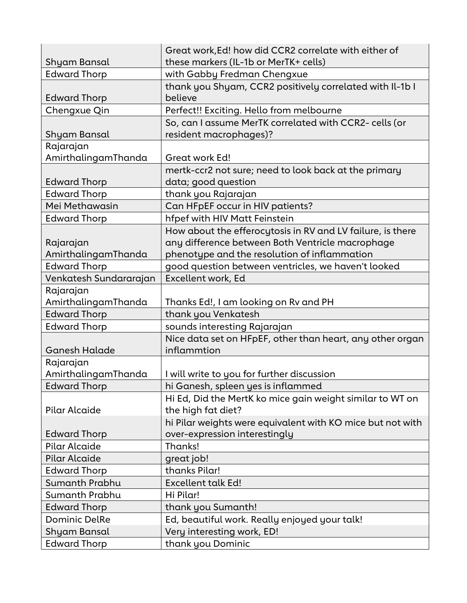|                        | Great work, Ed! how did CCR2 correlate with either of               |
|------------------------|---------------------------------------------------------------------|
| Shyam Bansal           | these markers (IL-1b or MerTK+ cells)                               |
| <b>Edward Thorp</b>    | with Gabby Fredman Chengxue                                         |
| <b>Edward Thorp</b>    | thank you Shyam, CCR2 positively correlated with Il-1b I<br>believe |
| Chengxue Qin           | Perfect!! Exciting. Hello from melbourne                            |
|                        | So, can I assume MerTK correlated with CCR2- cells (or              |
| Shyam Bansal           | resident macrophages)?                                              |
| Rajarajan              |                                                                     |
| AmirthalingamThanda    | Great work Ed!                                                      |
|                        | mertk-ccr2 not sure; need to look back at the primary               |
| <b>Edward Thorp</b>    | data; good question                                                 |
| <b>Edward Thorp</b>    | thank you Rajarajan                                                 |
| Mei Methawasin         | Can HFpEF occur in HIV patients?                                    |
| <b>Edward Thorp</b>    | hfpef with HIV Matt Feinstein                                       |
|                        | How about the efferocytosis in RV and LV failure, is there          |
| Rajarajan              | any difference between Both Ventricle macrophage                    |
| AmirthalingamThanda    | phenotype and the resolution of inflammation                        |
| <b>Edward Thorp</b>    | good question between ventricles, we haven't looked                 |
| Venkatesh Sundararajan | Excellent work, Ed                                                  |
| Rajarajan              |                                                                     |
| AmirthalingamThanda    | Thanks Ed!, I am looking on Rv and PH                               |
| <b>Edward Thorp</b>    | thank you Venkatesh                                                 |
| <b>Edward Thorp</b>    | sounds interesting Rajarajan                                        |
|                        | Nice data set on HFpEF, other than heart, any other organ           |
| Ganesh Halade          | inflammtion                                                         |
| Rajarajan              |                                                                     |
| AmirthalingamThanda    | I will write to you for further discussion                          |
| <b>Edward Thorp</b>    | hi Ganesh, spleen yes is inflammed                                  |
|                        | Hi Ed, Did the MertK ko mice gain weight similar to WT on           |
| Pilar Alcaide          | the high fat diet?                                                  |
|                        | hi Pilar weights were equivalent with KO mice but not with          |
| <b>Edward Thorp</b>    | over-expression interestingly                                       |
| Pilar Alcaide          | Thanks!                                                             |
| <b>Pilar Alcaide</b>   | great job!                                                          |
| <b>Edward Thorp</b>    | thanks Pilar!                                                       |
| Sumanth Prabhu         | <b>Excellent talk Ed!</b>                                           |
| Sumanth Prabhu         | Hi Pilar!                                                           |
| <b>Edward Thorp</b>    | thank you Sumanth!                                                  |
| <b>Dominic DelRe</b>   | Ed, beautiful work. Really enjoyed your talk!                       |
| Shyam Bansal           | Very interesting work, ED!                                          |
| <b>Edward Thorp</b>    | thank you Dominic                                                   |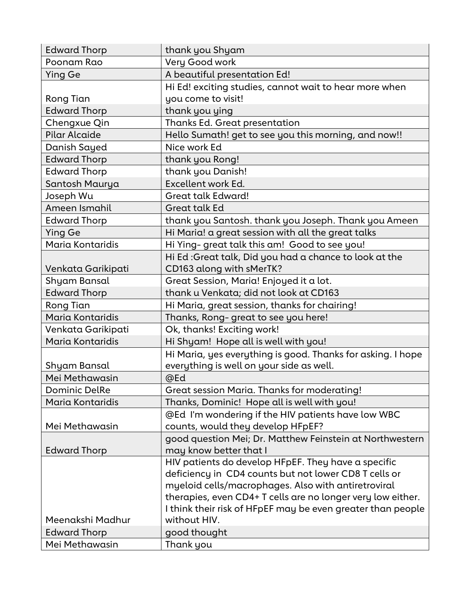| <b>Edward Thorp</b>  | thank you Shyam                                             |
|----------------------|-------------------------------------------------------------|
| Poonam Rao           | Very Good work                                              |
| <b>Ying Ge</b>       | A beautiful presentation Ed!                                |
|                      | Hi Ed! exciting studies, cannot wait to hear more when      |
| Rong Tian            | you come to visit!                                          |
| <b>Edward Thorp</b>  | thank you ying                                              |
| Chengxue Qin         | Thanks Ed. Great presentation                               |
| Pilar Alcaide        | Hello Sumath! get to see you this morning, and now!!        |
| Danish Sayed         | Nice work Ed                                                |
| <b>Edward Thorp</b>  | thank you Rong!                                             |
| <b>Edward Thorp</b>  | thank you Danish!                                           |
| Santosh Maurya       | Excellent work Ed.                                          |
| Joseph Wu            | Great talk Edward!                                          |
| Ameen Ismahil        | Great talk Ed                                               |
| <b>Edward Thorp</b>  | thank you Santosh. thank you Joseph. Thank you Ameen        |
| <b>Ying Ge</b>       | Hi Maria! a great session with all the great talks          |
| Maria Kontaridis     | Hi Ying- great talk this am! Good to see you!               |
|                      | Hi Ed: Great talk, Did you had a chance to look at the      |
| Venkata Garikipati   | CD163 along with sMerTK?                                    |
| Shyam Bansal         | Great Session, Maria! Enjoyed it a lot.                     |
| <b>Edward Thorp</b>  | thank u Venkata; did not look at CD163                      |
| Rong Tian            | Hi Maria, great session, thanks for chairing!               |
| Maria Kontaridis     | Thanks, Rong-great to see you here!                         |
| Venkata Garikipati   | Ok, thanks! Exciting work!                                  |
| Maria Kontaridis     | Hi Shyam! Hope all is well with you!                        |
|                      | Hi Maria, yes everything is good. Thanks for asking. I hope |
| Shyam Bansal         | everything is well on your side as well.                    |
| Mei Methawasin       | @Ed                                                         |
| <b>Dominic DelRe</b> | Great session Maria. Thanks for moderating!                 |
| Maria Kontaridis     | Thanks, Dominic! Hope all is well with you!                 |
|                      | @Ed I'm wondering if the HIV patients have low WBC          |
| Mei Methawasin       | counts, would they develop HFpEF?                           |
|                      | good question Mei; Dr. Matthew Feinstein at Northwestern    |
| <b>Edward Thorp</b>  | may know better that I                                      |
|                      | HIV patients do develop HFpEF. They have a specific         |
|                      | deficiency in CD4 counts but not lower CD8 T cells or       |
|                      | myeloid cells/macrophages. Also with antiretroviral         |
|                      | therapies, even CD4+ T cells are no longer very low either. |
|                      | I think their risk of HFpEF may be even greater than people |
| Meenakshi Madhur     | without HIV.                                                |
| <b>Edward Thorp</b>  | good thought                                                |
| Mei Methawasin       | Thank you                                                   |